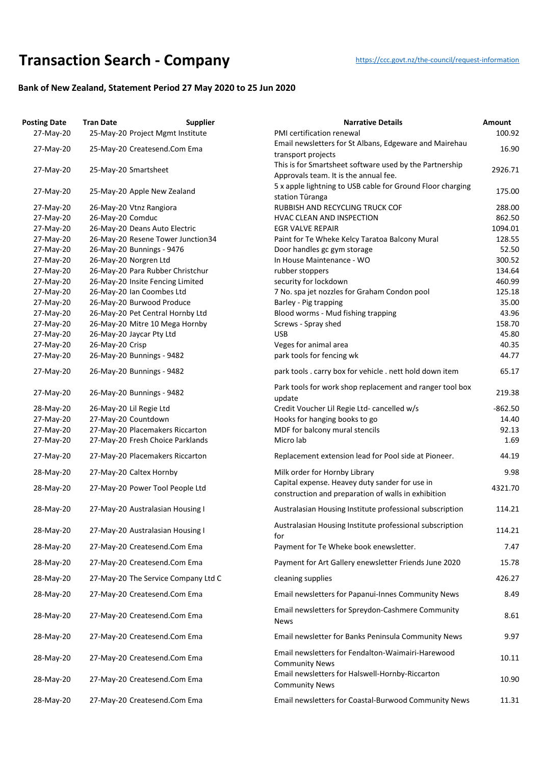## **Transaction Searc[h](https://ccc.govt.nz/the-council/request-information) - Company** https://ccc.govt.nz/the-council/request-information

## **Bank of New Zealand, Statement Period 27 May 2020 to 25 Jun 2020**

| <b>Posting Date</b> | <b>Tran Date</b>              | <b>Supplier</b>                     | <b>Narrative Details</b>                                                                              | Amount    |
|---------------------|-------------------------------|-------------------------------------|-------------------------------------------------------------------------------------------------------|-----------|
| 27-May-20           |                               | 25-May-20 Project Mgmt Institute    | PMI certification renewal                                                                             | 100.92    |
| 27-May-20           |                               | 25-May-20 Createsend.Com Ema        | Email newsletters for St Albans, Edgeware and Mairehau<br>transport projects                          | 16.90     |
| 27-May-20           | 25-May-20 Smartsheet          |                                     | This is for Smartsheet software used by the Partnership<br>Approvals team. It is the annual fee.      | 2926.71   |
| 27-May-20           | 25-May-20 Apple New Zealand   |                                     | 5 x apple lightning to USB cable for Ground Floor charging<br>station Tūranga                         | 175.00    |
| 27-May-20           | 26-May-20 Vtnz Rangiora       |                                     | RUBBISH AND RECYCLING TRUCK COF                                                                       | 288.00    |
| 27-May-20           | 26-May-20 Comduc              |                                     | HVAC CLEAN AND INSPECTION                                                                             | 862.50    |
| 27-May-20           | 26-May-20 Deans Auto Electric |                                     | <b>EGR VALVE REPAIR</b>                                                                               | 1094.01   |
| 27-May-20           |                               | 26-May-20 Resene Tower Junction34   | Paint for Te Wheke Kelcy Taratoa Balcony Mural                                                        | 128.55    |
| 27-May-20           | 26-May-20 Bunnings - 9476     |                                     | Door handles gc gym storage                                                                           | 52.50     |
| 27-May-20           | 26-May-20 Norgren Ltd         |                                     | In House Maintenance - WO                                                                             | 300.52    |
| 27-May-20           |                               | 26-May-20 Para Rubber Christchur    | rubber stoppers                                                                                       | 134.64    |
| 27-May-20           |                               | 26-May-20 Insite Fencing Limited    | security for lockdown                                                                                 | 460.99    |
| 27-May-20           | 26-May-20 Ian Coombes Ltd     |                                     | 7 No. spa jet nozzles for Graham Condon pool                                                          | 125.18    |
| 27-May-20           | 26-May-20 Burwood Produce     |                                     | Barley - Pig trapping                                                                                 | 35.00     |
| 27-May-20           |                               | 26-May-20 Pet Central Hornby Ltd    | Blood worms - Mud fishing trapping                                                                    | 43.96     |
| 27-May-20           |                               | 26-May-20 Mitre 10 Mega Hornby      | Screws - Spray shed                                                                                   | 158.70    |
| 27-May-20           | 26-May-20 Jaycar Pty Ltd      |                                     | <b>USB</b>                                                                                            | 45.80     |
| 27-May-20           | 26-May-20 Crisp               |                                     | Veges for animal area                                                                                 | 40.35     |
| 27-May-20           | 26-May-20 Bunnings - 9482     |                                     | park tools for fencing wk                                                                             | 44.77     |
| 27-May-20           | 26-May-20 Bunnings - 9482     |                                     | park tools. carry box for vehicle. nett hold down item                                                | 65.17     |
| 27-May-20           | 26-May-20 Bunnings - 9482     |                                     | Park tools for work shop replacement and ranger tool box<br>update                                    | 219.38    |
| 28-May-20           | 26-May-20 Lil Regie Ltd       |                                     | Credit Voucher Lil Regie Ltd- cancelled w/s                                                           | $-862.50$ |
| 27-May-20           | 27-May-20 Countdown           |                                     | Hooks for hanging books to go                                                                         | 14.40     |
| 27-May-20           |                               | 27-May-20 Placemakers Riccarton     | MDF for balcony mural stencils                                                                        | 92.13     |
| 27-May-20           |                               | 27-May-20 Fresh Choice Parklands    | Micro lab                                                                                             | 1.69      |
| 27-May-20           |                               | 27-May-20 Placemakers Riccarton     | Replacement extension lead for Pool side at Pioneer.                                                  | 44.19     |
| 28-May-20           | 27-May-20 Caltex Hornby       |                                     | Milk order for Hornby Library                                                                         | 9.98      |
| 28-May-20           |                               | 27-May-20 Power Tool People Ltd     | Capital expense. Heavey duty sander for use in<br>construction and preparation of walls in exhibition | 4321.70   |
| 28-May-20           |                               | 27-May-20 Australasian Housing I    | Australasian Housing Institute professional subscription                                              | 114.21    |
| 28-May-20           |                               | 27-May-20 Australasian Housing I    | Australasian Housing Institute professional subscription<br>for                                       | 114.21    |
| 28-May-20           |                               | 27-May-20 Createsend.Com Ema        | Payment for Te Wheke book enewsletter.                                                                | 7.47      |
| 28-May-20           |                               | 27-May-20 Createsend.Com Ema        | Payment for Art Gallery enewsletter Friends June 2020                                                 | 15.78     |
| 28-May-20           |                               | 27-May-20 The Service Company Ltd C | cleaning supplies                                                                                     | 426.27    |
| 28-May-20           |                               | 27-May-20 Createsend.Com Ema        | Email newsletters for Papanui-Innes Community News                                                    | 8.49      |
| 28-May-20           |                               | 27-May-20 Createsend.Com Ema        | Email newsletters for Spreydon-Cashmere Community<br><b>News</b>                                      | 8.61      |
| 28-May-20           |                               | 27-May-20 Createsend.Com Ema        | Email newsletter for Banks Peninsula Community News                                                   | 9.97      |
| 28-May-20           |                               | 27-May-20 Createsend.Com Ema        | Email newsletters for Fendalton-Waimairi-Harewood<br><b>Community News</b>                            | 10.11     |
| 28-May-20           |                               | 27-May-20 Createsend.Com Ema        | Email newsletters for Halswell-Hornby-Riccarton<br><b>Community News</b>                              | 10.90     |
| 28-May-20           |                               | 27-May-20 Createsend.Com Ema        | Email newsletters for Coastal-Burwood Community News                                                  | 11.31     |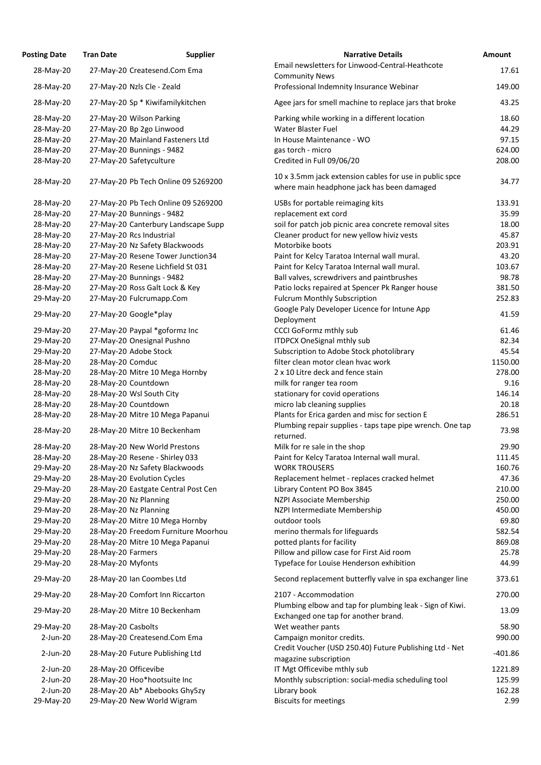| <b>Posting Date</b> | <b>Tran Date</b>                    | <b>Supplier</b>                     | <b>Narrative Details</b>                                                                              |
|---------------------|-------------------------------------|-------------------------------------|-------------------------------------------------------------------------------------------------------|
| 28-May-20           | 27-May-20 Createsend.Com Ema        |                                     | Email newsletters for Linwood-Central-Heathcote                                                       |
| 28-May-20           | 27-May-20 Nzls Cle - Zeald          |                                     | <b>Community News</b><br>Professional Indemnity Insurance Webinar                                     |
| 28-May-20           | 27-May-20 Sp * Kiwifamilykitchen    |                                     | Agee jars for smell machine to replace jars that broke                                                |
| 28-May-20           | 27-May-20 Wilson Parking            |                                     | Parking while working in a different location                                                         |
| 28-May-20           | 27-May-20 Bp 2go Linwood            |                                     | <b>Water Blaster Fuel</b>                                                                             |
| 28-May-20           | 27-May-20 Mainland Fasteners Ltd    |                                     | In House Maintenance - WO                                                                             |
| 28-May-20           | 27-May-20 Bunnings - 9482           |                                     | gas torch - micro                                                                                     |
| 28-May-20           | 27-May-20 Safetyculture             |                                     | Credited in Full 09/06/20                                                                             |
| 28-May-20           |                                     | 27-May-20 Pb Tech Online 09 5269200 | 10 x 3.5mm jack extension cables for use in public spce<br>where main headphone jack has been damaged |
| 28-May-20           |                                     | 27-May-20 Pb Tech Online 09 5269200 | USBs for portable reimaging kits                                                                      |
| 28-May-20           | 27-May-20 Bunnings - 9482           |                                     | replacement ext cord                                                                                  |
| 28-May-20           |                                     | 27-May-20 Canterbury Landscape Supp | soil for patch job picnic area concrete removal sites                                                 |
| 28-May-20           | 27-May-20 Rcs Industrial            |                                     | Cleaner product for new yellow hiviz vests                                                            |
| 28-May-20           | 27-May-20 Nz Safety Blackwoods      |                                     | Motorbike boots                                                                                       |
| 28-May-20           | 27-May-20 Resene Tower Junction34   |                                     | Paint for Kelcy Taratoa Internal wall mural.                                                          |
| 28-May-20           | 27-May-20 Resene Lichfield St 031   |                                     | Paint for Kelcy Taratoa Internal wall mural.                                                          |
| 28-May-20           | 27-May-20 Bunnings - 9482           |                                     | Ball valves, screwdrivers and paintbrushes                                                            |
| 28-May-20           | 27-May-20 Ross Galt Lock & Key      |                                     | Patio locks repaired at Spencer Pk Ranger house                                                       |
| 29-May-20           | 27-May-20 Fulcrumapp.Com            |                                     | <b>Fulcrum Monthly Subscription</b>                                                                   |
|                     |                                     |                                     | Google Paly Developer Licence for Intune App                                                          |
| 29-May-20           | 27-May-20 Google*play               |                                     | Deployment                                                                                            |
| 29-May-20           | 27-May-20 Paypal *goformz Inc       |                                     | <b>CCCI GoFormz mthly sub</b>                                                                         |
| 29-May-20           | 27-May-20 Onesignal Pushno          |                                     | <b>ITDPCX OneSignal mthly sub</b>                                                                     |
| 29-May-20           | 27-May-20 Adobe Stock               |                                     | Subscription to Adobe Stock photolibrary                                                              |
| 28-May-20           | 28-May-20 Comduc                    |                                     | filter clean motor clean hvac work                                                                    |
| 28-May-20           | 28-May-20 Mitre 10 Mega Hornby      |                                     | 2 x 10 Litre deck and fence stain                                                                     |
| 28-May-20           | 28-May-20 Countdown                 |                                     | milk for ranger tea room                                                                              |
| 28-May-20           | 28-May-20 Wsl South City            |                                     | stationary for covid operations                                                                       |
| 28-May-20           | 28-May-20 Countdown                 |                                     | micro lab cleaning supplies                                                                           |
| 28-May-20           | 28-May-20 Mitre 10 Mega Papanui     |                                     | Plants for Erica garden and misc for section E                                                        |
|                     |                                     |                                     | Plumbing repair supplies - taps tape pipe wrench. One t                                               |
| 28-May-20           | 28-May-20 Mitre 10 Beckenham        |                                     | returned.                                                                                             |
| 28-May-20           | 28-May-20 New World Prestons        |                                     | Milk for re sale in the shop                                                                          |
| 28-May-20           | 28-May-20 Resene - Shirley 033      |                                     | Paint for Kelcy Taratoa Internal wall mural.                                                          |
| 29-May-20           | 28-May-20 Nz Safety Blackwoods      |                                     | <b>WORK TROUSERS</b>                                                                                  |
| 29-May-20           | 28-May-20 Evolution Cycles          |                                     | Replacement helmet - replaces cracked helmet                                                          |
| 29-May-20           | 28-May-20 Eastgate Central Post Cen |                                     | Library Content PO Box 3845                                                                           |
| 29-May-20           | 28-May-20 Nz Planning               |                                     | NZPI Associate Membership                                                                             |
| 29-May-20           | 28-May-20 Nz Planning               |                                     | NZPI Intermediate Membership                                                                          |
| 29-May-20           | 28-May-20 Mitre 10 Mega Hornby      |                                     | outdoor tools                                                                                         |
| 29-May-20           |                                     | 28-May-20 Freedom Furniture Moorhou | merino thermals for lifeguards                                                                        |
| 29-May-20           | 28-May-20 Mitre 10 Mega Papanui     |                                     | potted plants for facility                                                                            |
| 29-May-20           | 28-May-20 Farmers                   |                                     | Pillow and pillow case for First Aid room                                                             |
| 29-May-20           | 28-May-20 Myfonts                   |                                     | Typeface for Louise Henderson exhibition                                                              |
| 29-May-20           | 28-May-20 Ian Coombes Ltd           |                                     | Second replacement butterfly valve in spa exchanger lir                                               |
| 29-May-20           | 28-May-20 Comfort Inn Riccarton     |                                     | 2107 - Accommodation                                                                                  |
| 29-May-20           | 28-May-20 Mitre 10 Beckenham        |                                     | Plumbing elbow and tap for plumbing leak - Sign of Kiw<br>Exchanged one tap for another brand.        |
| 29-May-20           | 28-May-20 Casbolts                  |                                     | Wet weather pants                                                                                     |
| $2$ -Jun-20         | 28-May-20 Createsend.Com Ema        |                                     | Campaign monitor credits.                                                                             |
| $2$ -Jun-20         | 28-May-20 Future Publishing Ltd     |                                     | Credit Voucher (USD 250.40) Future Publishing Ltd - Ne<br>magazine subscription                       |
| $2-Jun-20$          | 28-May-20 Officevibe                |                                     | IT Mgt Officevibe mthly sub                                                                           |
| $2$ -Jun-20         | 28-May-20 Hoo*hootsuite Inc         |                                     | Monthly subscription: social-media scheduling tool                                                    |
| $2-Jun-20$          | 28-May-20 Ab* Abebooks Ghy5zy       |                                     | Library book                                                                                          |
| 29-May-20           | 29-May-20 New World Wigram          |                                     | <b>Biscuits for meetings</b>                                                                          |

| <b>Posting Date</b> | <b>Tran Date</b>     | <b>Supplier</b>                     | <b>Narrative Details</b>                                                                              | <b>Amount</b> |
|---------------------|----------------------|-------------------------------------|-------------------------------------------------------------------------------------------------------|---------------|
| 28-May-20           |                      | 27-May-20 Createsend.Com Ema        | Email newsletters for Linwood-Central-Heathcote                                                       | 17.61         |
| 28-May-20           |                      | 27-May-20 Nzls Cle - Zeald          | <b>Community News</b><br>Professional Indemnity Insurance Webinar                                     | 149.00        |
| 28-May-20           |                      | 27-May-20 Sp * Kiwifamilykitchen    | Agee jars for smell machine to replace jars that broke                                                | 43.25         |
| 28-May-20           |                      | 27-May-20 Wilson Parking            | Parking while working in a different location                                                         | 18.60         |
| 28-May-20           |                      | 27-May-20 Bp 2go Linwood            | <b>Water Blaster Fuel</b>                                                                             | 44.29         |
| 28-May-20           |                      | 27-May-20 Mainland Fasteners Ltd    | In House Maintenance - WO                                                                             | 97.15         |
| 28-May-20           |                      | 27-May-20 Bunnings - 9482           | gas torch - micro                                                                                     | 624.00        |
| 28-May-20           |                      | 27-May-20 Safetyculture             | Credited in Full 09/06/20                                                                             | 208.00        |
| 28-May-20           |                      | 27-May-20 Pb Tech Online 09 5269200 | 10 x 3.5mm jack extension cables for use in public spce<br>where main headphone jack has been damaged | 34.77         |
| 28-May-20           |                      | 27-May-20 Pb Tech Online 09 5269200 | USBs for portable reimaging kits                                                                      | 133.91        |
| 28-May-20           |                      | 27-May-20 Bunnings - 9482           | replacement ext cord                                                                                  | 35.99         |
| 28-May-20           |                      | 27-May-20 Canterbury Landscape Supp | soil for patch job picnic area concrete removal sites                                                 | 18.00         |
| 28-May-20           |                      | 27-May-20 Rcs Industrial            | Cleaner product for new yellow hiviz vests                                                            | 45.87         |
| 28-May-20           |                      | 27-May-20 Nz Safety Blackwoods      | Motorbike boots                                                                                       | 203.91        |
| 28-May-20           |                      | 27-May-20 Resene Tower Junction34   | Paint for Kelcy Taratoa Internal wall mural.                                                          | 43.20         |
| 28-May-20           |                      | 27-May-20 Resene Lichfield St 031   | Paint for Kelcy Taratoa Internal wall mural.                                                          | 103.67        |
| 28-May-20           |                      | 27-May-20 Bunnings - 9482           | Ball valves, screwdrivers and paintbrushes                                                            | 98.78         |
| 28-May-20           |                      | 27-May-20 Ross Galt Lock & Key      | Patio locks repaired at Spencer Pk Ranger house                                                       | 381.50        |
| 29-May-20           |                      | 27-May-20 Fulcrumapp.Com            | <b>Fulcrum Monthly Subscription</b>                                                                   | 252.83        |
|                     |                      |                                     | Google Paly Developer Licence for Intune App                                                          |               |
| 29-May-20           |                      | 27-May-20 Google*play               | Deployment                                                                                            | 41.59         |
| 29-May-20           |                      | 27-May-20 Paypal *goformz Inc       | <b>CCCI GoFormz mthly sub</b>                                                                         | 61.46         |
| 29-May-20           |                      | 27-May-20 Onesignal Pushno          | <b>ITDPCX OneSignal mthly sub</b>                                                                     | 82.34         |
| 29-May-20           |                      | 27-May-20 Adobe Stock               | Subscription to Adobe Stock photolibrary                                                              | 45.54         |
| 28-May-20           | 28-May-20 Comduc     |                                     | filter clean motor clean hvac work                                                                    | 1150.00       |
| 28-May-20           |                      | 28-May-20 Mitre 10 Mega Hornby      | 2 x 10 Litre deck and fence stain                                                                     | 278.00        |
| 28-May-20           |                      | 28-May-20 Countdown                 | milk for ranger tea room                                                                              | 9.16          |
| 28-May-20           |                      | 28-May-20 Wsl South City            | stationary for covid operations                                                                       | 146.14        |
| 28-May-20           |                      | 28-May-20 Countdown                 | micro lab cleaning supplies                                                                           | 20.18         |
| 28-May-20           |                      | 28-May-20 Mitre 10 Mega Papanui     | Plants for Erica garden and misc for section E                                                        | 286.51        |
| 28-May-20           |                      | 28-May-20 Mitre 10 Beckenham        | Plumbing repair supplies - taps tape pipe wrench. One tap<br>returned.                                | 73.98         |
| 28-May-20           |                      | 28-May-20 New World Prestons        | Milk for re sale in the shop                                                                          | 29.90         |
| 28-May-20           |                      | 28-May-20 Resene - Shirley 033      | Paint for Kelcy Taratoa Internal wall mural.                                                          | 111.45        |
| 29-May-20           |                      | 28-May-20 Nz Safety Blackwoods      | <b>WORK TROUSERS</b>                                                                                  | 160.76        |
| 29-May-20           |                      | 28-May-20 Evolution Cycles          | Replacement helmet - replaces cracked helmet                                                          | 47.36         |
| 29-May-20           |                      | 28-May-20 Eastgate Central Post Cen | Library Content PO Box 3845                                                                           | 210.00        |
| 29-May-20           |                      | 28-May-20 Nz Planning               | NZPI Associate Membership                                                                             | 250.00        |
| 29-May-20           |                      | 28-May-20 Nz Planning               | NZPI Intermediate Membership                                                                          | 450.00        |
| 29-May-20           |                      | 28-May-20 Mitre 10 Mega Hornby      | outdoor tools                                                                                         | 69.80         |
| 29-May-20           |                      | 28-May-20 Freedom Furniture Moorhou | merino thermals for lifeguards                                                                        | 582.54        |
| 29-May-20           |                      | 28-May-20 Mitre 10 Mega Papanui     | potted plants for facility                                                                            | 869.08        |
| 29-May-20           | 28-May-20 Farmers    |                                     | Pillow and pillow case for First Aid room                                                             | 25.78         |
| 29-May-20           | 28-May-20 Myfonts    |                                     | Typeface for Louise Henderson exhibition                                                              | 44.99         |
| 29-May-20           |                      | 28-May-20 Ian Coombes Ltd           | Second replacement butterfly valve in spa exchanger line                                              | 373.61        |
| 29-May-20           |                      | 28-May-20 Comfort Inn Riccarton     | 2107 - Accommodation                                                                                  | 270.00        |
| 29-May-20           |                      | 28-May-20 Mitre 10 Beckenham        | Plumbing elbow and tap for plumbing leak - Sign of Kiwi.<br>Exchanged one tap for another brand.      | 13.09         |
| 29-May-20           | 28-May-20 Casbolts   |                                     | Wet weather pants                                                                                     | 58.90         |
| $2$ -Jun-20         |                      | 28-May-20 Createsend.Com Ema        | Campaign monitor credits.                                                                             | 990.00        |
| $2$ -Jun-20         |                      | 28-May-20 Future Publishing Ltd     | Credit Voucher (USD 250.40) Future Publishing Ltd - Net<br>magazine subscription                      | $-401.86$     |
| $2$ -Jun-20         | 28-May-20 Officevibe |                                     | IT Mgt Officevibe mthly sub                                                                           | 1221.89       |
| 2-Jun-20            |                      | 28-May-20 Hoo*hootsuite Inc         | Monthly subscription: social-media scheduling tool                                                    | 125.99        |
| $2$ -Jun-20         |                      | 28-May-20 Ab* Abebooks Ghy5zy       | Library book                                                                                          | 162.28        |
| 29-May-20           |                      | 29-May-20 New World Wigram          | <b>Biscuits for meetings</b>                                                                          | 2.99          |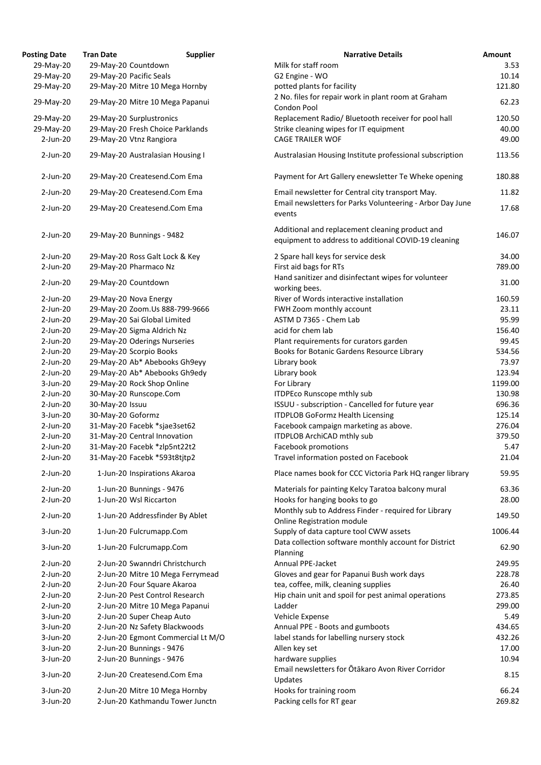| <b>Posting Date</b> | <b>Tran Date</b>                 | <b>Supplier</b>                   | <b>Narrative Details</b>                                                                                |
|---------------------|----------------------------------|-----------------------------------|---------------------------------------------------------------------------------------------------------|
| 29-May-20           | 29-May-20 Countdown              |                                   | Milk for staff room                                                                                     |
| 29-May-20           | 29-May-20 Pacific Seals          |                                   | G2 Engine - WO                                                                                          |
| 29-May-20           | 29-May-20 Mitre 10 Mega Hornby   |                                   | potted plants for facility                                                                              |
| 29-May-20           | 29-May-20 Mitre 10 Mega Papanui  |                                   | 2 No. files for repair work in plant room at Graham<br>Condon Pool                                      |
| 29-May-20           | 29-May-20 Surplustronics         |                                   | Replacement Radio/ Bluetooth receiver for pool hall                                                     |
| 29-May-20           | 29-May-20 Fresh Choice Parklands |                                   | Strike cleaning wipes for IT equipment                                                                  |
| $2$ -Jun-20         | 29-May-20 Vtnz Rangiora          |                                   | <b>CAGE TRAILER WOF</b>                                                                                 |
| $2$ -Jun-20         | 29-May-20 Australasian Housing I |                                   | Australasian Housing Institute professional subscription                                                |
| $2$ -Jun-20         | 29-May-20 Createsend.Com Ema     |                                   | Payment for Art Gallery enewsletter Te Wheke openir                                                     |
| $2$ -Jun-20         | 29-May-20 Createsend.Com Ema     |                                   | Email newsletter for Central city transport May.                                                        |
| $2$ -Jun-20         | 29-May-20 Createsend.Com Ema     |                                   | Email newsletters for Parks Volunteering - Arbor Day.<br>events                                         |
| $2$ -Jun-20         | 29-May-20 Bunnings - 9482        |                                   | Additional and replacement cleaning product and<br>equipment to address to additional COVID-19 cleaning |
| $2$ -Jun-20         | 29-May-20 Ross Galt Lock & Key   |                                   | 2 Spare hall keys for service desk                                                                      |
| $2$ -Jun-20         | 29-May-20 Pharmaco Nz            |                                   | First aid bags for RTs                                                                                  |
|                     |                                  |                                   | Hand sanitizer and disinfectant wipes for volunteer                                                     |
| $2$ -Jun-20         | 29-May-20 Countdown              |                                   | working bees.                                                                                           |
| $2$ -Jun-20         | 29-May-20 Nova Energy            |                                   | River of Words interactive installation                                                                 |
| $2$ -Jun-20         | 29-May-20 Zoom.Us 888-799-9666   |                                   | FWH Zoom monthly account                                                                                |
| $2$ -Jun-20         | 29-May-20 Sai Global Limited     |                                   | ASTM D 7365 - Chem Lab                                                                                  |
| $2$ -Jun-20         | 29-May-20 Sigma Aldrich Nz       |                                   | acid for chem lab                                                                                       |
| $2$ -Jun-20         | 29-May-20 Oderings Nurseries     |                                   | Plant requirements for curators garden                                                                  |
| $2$ -Jun-20         | 29-May-20 Scorpio Books          |                                   | Books for Botanic Gardens Resource Library                                                              |
| $2$ -Jun-20         | 29-May-20 Ab* Abebooks Gh9eyy    |                                   | Library book                                                                                            |
| $2$ -Jun-20         | 29-May-20 Ab* Abebooks Gh9edy    |                                   | Library book                                                                                            |
| $3$ -Jun-20         | 29-May-20 Rock Shop Online       |                                   | For Library                                                                                             |
| $2$ -Jun-20         | 30-May-20 Runscope.Com           |                                   | <b>ITDPEco Runscope mthly sub</b>                                                                       |
| $2$ -Jun-20         | 30-May-20 Issuu                  |                                   | ISSUU - subscription - Cancelled for future year                                                        |
| $3$ -Jun-20         | 30-May-20 Goformz                |                                   | <b>ITDPLOB GoFormz Health Licensing</b>                                                                 |
| $2$ -Jun-20         | 31-May-20 Facebk *sjae3set62     |                                   | Facebook campaign marketing as above.                                                                   |
| $2$ -Jun-20         | 31-May-20 Central Innovation     |                                   | <b>ITDPLOB ArchiCAD mthly sub</b>                                                                       |
| $2$ -Jun-20         | 31-May-20 Facebk *zlp5nt22t2     |                                   | <b>Facebook promotions</b>                                                                              |
| $2$ -Jun-20         | 31-May-20 Facebk *593t8tjtp2     |                                   | Travel information posted on Facebook                                                                   |
| $2$ -Jun-20         | 1-Jun-20 Inspirations Akaroa     |                                   | Place names book for CCC Victoria Park HQ ranger lib                                                    |
| $2$ -Jun-20         | 1-Jun-20 Bunnings - 9476         |                                   | Materials for painting Kelcy Taratoa balcony mural                                                      |
| $2$ -Jun-20         | 1-Jun-20 Wsl Riccarton           |                                   | Hooks for hanging books to go                                                                           |
| $2$ -Jun-20         |                                  | 1-Jun-20 Addressfinder By Ablet   | Monthly sub to Address Finder - required for Library<br>Online Registration module                      |
| 3-Jun-20            | 1-Jun-20 Fulcrumapp.Com          |                                   | Supply of data capture tool CWW assets                                                                  |
| 3-Jun-20            | 1-Jun-20 Fulcrumapp.Com          |                                   | Data collection software monthly account for District<br>Planning                                       |
| $2$ -Jun-20         |                                  | 2-Jun-20 Swanndri Christchurch    | <b>Annual PPE-Jacket</b>                                                                                |
| $2$ -Jun-20         |                                  | 2-Jun-20 Mitre 10 Mega Ferrymead  | Gloves and gear for Papanui Bush work days                                                              |
| $2$ -Jun-20         | 2-Jun-20 Four Square Akaroa      |                                   | tea, coffee, milk, cleaning supplies                                                                    |
| $2$ -Jun-20         |                                  | 2-Jun-20 Pest Control Research    | Hip chain unit and spoil for pest animal operations                                                     |
| $2$ -Jun-20         |                                  | 2-Jun-20 Mitre 10 Mega Papanui    | Ladder                                                                                                  |
| 3-Jun-20            | 2-Jun-20 Super Cheap Auto        |                                   | Vehicle Expense                                                                                         |
| $3$ -Jun-20         |                                  | 2-Jun-20 Nz Safety Blackwoods     | Annual PPE - Boots and gumboots                                                                         |
| 3-Jun-20            |                                  | 2-Jun-20 Egmont Commercial Lt M/O | label stands for labelling nursery stock                                                                |
| $3$ -Jun-20         | 2-Jun-20 Bunnings - 9476         |                                   | Allen key set                                                                                           |
| $3$ -Jun-20         | 2-Jun-20 Bunnings - 9476         |                                   | hardware supplies                                                                                       |
| $3$ -Jun-20         | 2-Jun-20 Createsend.Com Ema      |                                   | Email newsletters for Otakaro Avon River Corridor<br>Updates                                            |
| 3-Jun-20            |                                  | 2-Jun-20 Mitre 10 Mega Hornby     | Hooks for training room                                                                                 |
| 3-Jun-20            |                                  | 2-Jun-20 Kathmandu Tower Junctn   | Packing cells for RT gear                                                                               |
|                     |                                  |                                   |                                                                                                         |

| <b>Posting Date</b>    | <b>Tran Date</b>  | <b>Supplier</b>                                                  | <b>Narrative Details</b>                                                                                      | Amount          |
|------------------------|-------------------|------------------------------------------------------------------|---------------------------------------------------------------------------------------------------------------|-----------------|
| 29-May-20              |                   | 29-May-20 Countdown                                              | Milk for staff room                                                                                           | 3.53            |
| 29-May-20              |                   | 29-May-20 Pacific Seals                                          | G2 Engine - WO                                                                                                | 10.14           |
| 29-May-20              |                   | 29-May-20 Mitre 10 Mega Hornby                                   | potted plants for facility                                                                                    | 121.80          |
| 29-May-20              |                   | 29-May-20 Mitre 10 Mega Papanui                                  | 2 No. files for repair work in plant room at Graham<br>Condon Pool                                            | 62.23           |
| 29-May-20              |                   | 29-May-20 Surplustronics                                         | Replacement Radio/ Bluetooth receiver for pool hall                                                           | 120.50          |
| 29-May-20              |                   | 29-May-20 Fresh Choice Parklands                                 | Strike cleaning wipes for IT equipment                                                                        | 40.00           |
| $2$ -Jun-20            |                   | 29-May-20 Vtnz Rangiora                                          | <b>CAGE TRAILER WOF</b>                                                                                       | 49.00           |
|                        |                   |                                                                  |                                                                                                               |                 |
| $2$ -Jun-20            |                   | 29-May-20 Australasian Housing I                                 | Australasian Housing Institute professional subscription                                                      | 113.56          |
| $2$ -Jun-20            |                   | 29-May-20 Createsend.Com Ema                                     | Payment for Art Gallery enewsletter Te Wheke opening                                                          | 180.88          |
| $2$ -Jun-20            |                   | 29-May-20 Createsend.Com Ema                                     | Email newsletter for Central city transport May.<br>Email newsletters for Parks Volunteering - Arbor Day June | 11.82           |
| $2$ -Jun-20            |                   | 29-May-20 Createsend.Com Ema                                     | events                                                                                                        | 17.68           |
| $2$ -Jun-20            |                   | 29-May-20 Bunnings - 9482                                        | Additional and replacement cleaning product and<br>equipment to address to additional COVID-19 cleaning       | 146.07          |
| $2$ -Jun-20            |                   | 29-May-20 Ross Galt Lock & Key                                   | 2 Spare hall keys for service desk                                                                            | 34.00           |
| $2$ -Jun-20            |                   | 29-May-20 Pharmaco Nz                                            | First aid bags for RTs                                                                                        | 789.00          |
| $2$ -Jun-20            |                   | 29-May-20 Countdown                                              | Hand sanitizer and disinfectant wipes for volunteer<br>working bees.                                          | 31.00           |
| $2$ -Jun-20            |                   | 29-May-20 Nova Energy                                            | River of Words interactive installation                                                                       | 160.59          |
| $2$ -Jun-20            |                   | 29-May-20 Zoom.Us 888-799-9666                                   | FWH Zoom monthly account                                                                                      | 23.11           |
| $2$ -Jun-20            |                   | 29-May-20 Sai Global Limited                                     | ASTM D 7365 - Chem Lab                                                                                        | 95.99           |
| $2$ -Jun-20            |                   |                                                                  | acid for chem lab                                                                                             | 156.40          |
|                        |                   | 29-May-20 Sigma Aldrich Nz                                       |                                                                                                               |                 |
| $2$ -Jun-20            |                   | 29-May-20 Oderings Nurseries                                     | Plant requirements for curators garden                                                                        | 99.45           |
| $2$ -Jun-20            |                   | 29-May-20 Scorpio Books                                          | <b>Books for Botanic Gardens Resource Library</b>                                                             | 534.56          |
| $2$ -Jun-20            |                   | 29-May-20 Ab* Abebooks Gh9eyy                                    | Library book                                                                                                  | 73.97           |
| $2$ -Jun-20            |                   | 29-May-20 Ab* Abebooks Gh9edy                                    | Library book                                                                                                  | 123.94          |
| $3$ -Jun-20            |                   | 29-May-20 Rock Shop Online                                       | For Library                                                                                                   | 1199.00         |
| $2$ -Jun-20            |                   | 30-May-20 Runscope.Com                                           | <b>ITDPEco Runscope mthly sub</b>                                                                             | 130.98          |
| $2$ -Jun-20            | 30-May-20 Issuu   |                                                                  | ISSUU - subscription - Cancelled for future year                                                              | 696.36          |
| $3$ -Jun-20            | 30-May-20 Goformz |                                                                  | <b>ITDPLOB GoFormz Health Licensing</b>                                                                       | 125.14          |
| $2$ -Jun-20            |                   | 31-May-20 Facebk *sjae3set62                                     | Facebook campaign marketing as above.                                                                         | 276.04          |
| $2$ -Jun-20            |                   | 31-May-20 Central Innovation                                     | ITDPLOB ArchiCAD mthly sub                                                                                    | 379.50          |
| $2$ -Jun-20            |                   | 31-May-20 Facebk *zlp5nt22t2                                     | Facebook promotions                                                                                           | 5.47            |
| $2$ -Jun-20            |                   | 31-May-20 Facebk *593t8tjtp2                                     | Travel information posted on Facebook                                                                         | 21.04           |
| $2$ -Jun-20            |                   | 1-Jun-20 Inspirations Akaroa                                     | Place names book for CCC Victoria Park HQ ranger library                                                      | 59.95           |
| $2$ -Jun-20            |                   | 1-Jun-20 Bunnings - 9476                                         | Materials for painting Kelcy Taratoa balcony mural                                                            | 63.36           |
| $2$ -Jun-20            |                   | 1-Jun-20 Wsl Riccarton                                           | Hooks for hanging books to go                                                                                 | 28.00           |
| $2$ -Jun-20            |                   | 1-Jun-20 Addressfinder By Ablet                                  | Monthly sub to Address Finder - required for Library<br>Online Registration module                            | 149.50          |
| $3$ -Jun-20            |                   | 1-Jun-20 Fulcrumapp.Com                                          | Supply of data capture tool CWW assets                                                                        | 1006.44         |
| $3$ -Jun-20            |                   | 1-Jun-20 Fulcrumapp.Com                                          | Data collection software monthly account for District<br>Planning                                             | 62.90           |
| $2$ -Jun-20            |                   | 2-Jun-20 Swanndri Christchurch                                   | Annual PPE-Jacket                                                                                             | 249.95          |
| $2$ -Jun-20            |                   | 2-Jun-20 Mitre 10 Mega Ferrymead                                 | Gloves and gear for Papanui Bush work days                                                                    | 228.78          |
| $2$ -Jun-20            |                   | 2-Jun-20 Four Square Akaroa                                      | tea, coffee, milk, cleaning supplies                                                                          | 26.40           |
| $2$ -Jun-20            |                   | 2-Jun-20 Pest Control Research                                   | Hip chain unit and spoil for pest animal operations                                                           | 273.85          |
| $2$ -Jun-20            |                   | 2-Jun-20 Mitre 10 Mega Papanui                                   | Ladder                                                                                                        | 299.00          |
| $3$ -Jun-20            |                   | 2-Jun-20 Super Cheap Auto                                        | Vehicle Expense                                                                                               | 5.49            |
| $3$ -Jun-20            |                   | 2-Jun-20 Nz Safety Blackwoods                                    | Annual PPE - Boots and gumboots                                                                               | 434.65          |
| $3$ -Jun-20            |                   | 2-Jun-20 Egmont Commercial Lt M/O                                | label stands for labelling nursery stock                                                                      | 432.26          |
| $3$ -Jun-20            |                   | 2-Jun-20 Bunnings - 9476                                         | Allen key set                                                                                                 | 17.00           |
| $3$ -Jun-20            |                   | 2-Jun-20 Bunnings - 9476                                         | hardware supplies                                                                                             | 10.94           |
| $3$ -Jun-20            |                   | 2-Jun-20 Createsend.Com Ema                                      | Email newsletters for Otākaro Avon River Corridor                                                             | 8.15            |
|                        |                   |                                                                  | Updates                                                                                                       |                 |
| 3-Jun-20<br>$3-Jun-20$ |                   | 2-Jun-20 Mitre 10 Mega Hornby<br>2-Jun-20 Kathmandu Tower Junctn | Hooks for training room<br>Packing cells for RT gear                                                          | 66.24<br>269.82 |
|                        |                   |                                                                  |                                                                                                               |                 |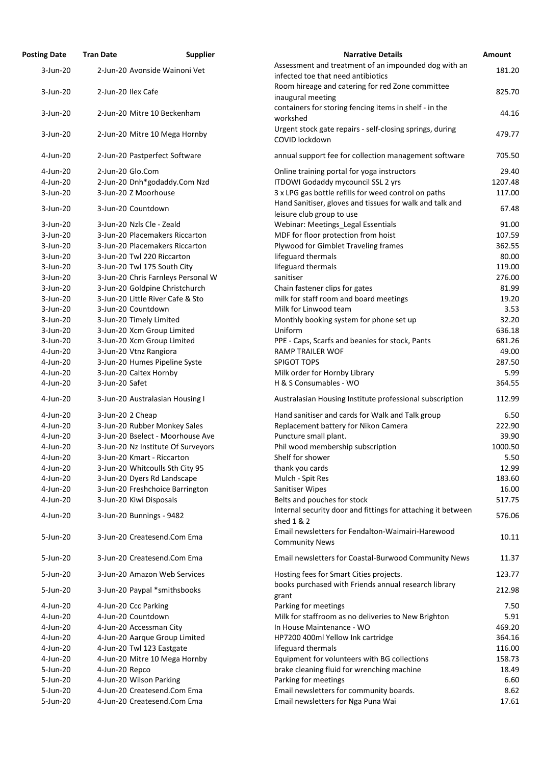| Posting Date | <b>Tran Date</b>                   | <b>Supplier</b> | <b>Narrative Details</b>                                                                   |
|--------------|------------------------------------|-----------------|--------------------------------------------------------------------------------------------|
| $3$ -Jun-20  | 2-Jun-20 Avonside Wainoni Vet      |                 | Assessment and treatment of an impounded dog with an<br>infected toe that need antibiotics |
|              |                                    |                 |                                                                                            |
| $3$ -Jun-20  | 2-Jun-20 Ilex Cafe                 |                 | Room hireage and catering for red Zone committee                                           |
|              |                                    |                 | inaugural meeting                                                                          |
| 3-Jun-20     | 2-Jun-20 Mitre 10 Beckenham        |                 | containers for storing fencing items in shelf - in the<br>workshed                         |
| $3$ -Jun-20  | 2-Jun-20 Mitre 10 Mega Hornby      |                 | Urgent stock gate repairs - self-closing springs, during<br>COVID lockdown                 |
| 4-Jun-20     | 2-Jun-20 Pastperfect Software      |                 | annual support fee for collection management software                                      |
| 4-Jun-20     | 2-Jun-20 Glo.Com                   |                 | Online training portal for yoga instructors                                                |
| 4-Jun-20     | 2-Jun-20 Dnh*godaddy.Com Nzd       |                 | ITDOWI Godaddy mycouncil SSL 2 yrs                                                         |
| 3-Jun-20     | 3-Jun-20 Z Moorhouse               |                 | 3 x LPG gas bottle refills for weed control on paths                                       |
| $3$ -Jun-20  | 3-Jun-20 Countdown                 |                 | Hand Sanitiser, gloves and tissues for walk and talk and<br>leisure club group to use      |
| $3$ -Jun-20  | 3-Jun-20 Nzls Cle - Zeald          |                 | Webinar: Meetings_Legal Essentials                                                         |
| $3$ -Jun-20  | 3-Jun-20 Placemakers Riccarton     |                 | MDF for floor protection from hoist                                                        |
| $3$ -Jun-20  | 3-Jun-20 Placemakers Riccarton     |                 | Plywood for Gimblet Traveling frames                                                       |
| $3$ -Jun-20  | 3-Jun-20 Twl 220 Riccarton         |                 | lifeguard thermals                                                                         |
| 3-Jun-20     | 3-Jun-20 Twl 175 South City        |                 | lifeguard thermals                                                                         |
| 3-Jun-20     | 3-Jun-20 Chris Farnleys Personal W |                 | sanitiser                                                                                  |
| $3$ -Jun-20  | 3-Jun-20 Goldpine Christchurch     |                 | Chain fastener clips for gates                                                             |
| $3$ -Jun-20  | 3-Jun-20 Little River Cafe & Sto   |                 | milk for staff room and board meetings                                                     |
| 3-Jun-20     | 3-Jun-20 Countdown                 |                 | Milk for Linwood team                                                                      |
| $3$ -Jun-20  | 3-Jun-20 Timely Limited            |                 | Monthly booking system for phone set up                                                    |
| $3$ -Jun-20  | 3-Jun-20 Xcm Group Limited         |                 | Uniform                                                                                    |
| $3$ -Jun-20  | 3-Jun-20 Xcm Group Limited         |                 | PPE - Caps, Scarfs and beanies for stock, Pants                                            |
| 4-Jun-20     | 3-Jun-20 Vtnz Rangiora             |                 | <b>RAMP TRAILER WOF</b>                                                                    |
| 4-Jun-20     | 3-Jun-20 Humes Pipeline Syste      |                 | <b>SPIGOT TOPS</b>                                                                         |
| 4-Jun-20     | 3-Jun-20 Caltex Hornby             |                 | Milk order for Hornby Library                                                              |
| 4-Jun-20     | 3-Jun-20 Safet                     |                 | H & S Consumables - WO                                                                     |
| 4-Jun-20     | 3-Jun-20 Australasian Housing I    |                 | Australasian Housing Institute professional subscription                                   |
| 4-Jun-20     | 3-Jun-20 2 Cheap                   |                 | Hand sanitiser and cards for Walk and Talk group                                           |
| 4-Jun-20     | 3-Jun-20 Rubber Monkey Sales       |                 | Replacement battery for Nikon Camera                                                       |
| 4-Jun-20     | 3-Jun-20 Bselect - Moorhouse Ave   |                 | Puncture small plant.                                                                      |
| 4-Jun-20     | 3-Jun-20 Nz Institute Of Surveyors |                 | Phil wood membership subscription                                                          |
| 4-Jun-20     | 3-Jun-20 Kmart - Riccarton         |                 | Shelf for shower                                                                           |
| 4-Jun-20     | 3-Jun-20 Whitcoulls Sth City 95    |                 | thank you cards                                                                            |
| 4-Jun-20     | 3-Jun-20 Dyers Rd Landscape        |                 | Mulch - Spit Res                                                                           |
| 4-Jun-20     | 3-Jun-20 Freshchoice Barrington    |                 | <b>Sanitiser Wipes</b>                                                                     |
| 4-Jun-20     | 3-Jun-20 Kiwi Disposals            |                 | Belts and pouches for stock                                                                |
| 4-Jun-20     | 3-Jun-20 Bunnings - 9482           |                 | Internal security door and fittings for attaching it betwee<br>shed 1 & 2                  |
| 5-Jun-20     | 3-Jun-20 Createsend.Com Ema        |                 | Email newsletters for Fendalton-Waimairi-Harewood<br><b>Community News</b>                 |
| 5-Jun-20     | 3-Jun-20 Createsend.Com Ema        |                 | Email newsletters for Coastal-Burwood Community News                                       |
| 5-Jun-20     | 3-Jun-20 Amazon Web Services       |                 | Hosting fees for Smart Cities projects.                                                    |
| 5-Jun-20     | 3-Jun-20 Paypal *smithsbooks       |                 | books purchased with Friends annual research library<br>grant                              |
| 4-Jun-20     | 4-Jun-20 Ccc Parking               |                 | Parking for meetings                                                                       |
| 4-Jun-20     | 4-Jun-20 Countdown                 |                 | Milk for staffroom as no deliveries to New Brighton                                        |
| 4-Jun-20     | 4-Jun-20 Accessman City            |                 | In House Maintenance - WO                                                                  |
| 4-Jun-20     | 4-Jun-20 Aarque Group Limited      |                 | HP7200 400ml Yellow Ink cartridge                                                          |
| 4-Jun-20     | 4-Jun-20 Twl 123 Eastgate          |                 | lifeguard thermals                                                                         |
| 4-Jun-20     | 4-Jun-20 Mitre 10 Mega Hornby      |                 | Equipment for volunteers with BG collections                                               |
| 5-Jun-20     | 4-Jun-20 Repco                     |                 | brake cleaning fluid for wrenching machine                                                 |
| 5-Jun-20     | 4-Jun-20 Wilson Parking            |                 | Parking for meetings                                                                       |
| 5-Jun-20     | 4-Jun-20 Createsend.Com Ema        |                 | Email newsletters for community boards.                                                    |
| 5-Jun-20     | 4-Jun-20 Createsend.Com Ema        |                 | Email newsletters for Nga Puna Wai                                                         |

| <b>Posting Date</b> | <b>Tran Date</b>     | <b>Supplier</b>                    | <b>Narrative Details</b>                                     | Amount  |
|---------------------|----------------------|------------------------------------|--------------------------------------------------------------|---------|
| $3$ -Jun-20         |                      | 2-Jun-20 Avonside Wainoni Vet      | Assessment and treatment of an impounded dog with an         | 181.20  |
|                     |                      |                                    | infected toe that need antibiotics                           |         |
| $3$ -Jun-20         | 2-Jun-20 Ilex Cafe   |                                    | Room hireage and catering for red Zone committee             | 825.70  |
|                     |                      |                                    | inaugural meeting                                            |         |
|                     |                      |                                    | containers for storing fencing items in shelf - in the       |         |
| $3$ -Jun-20         |                      | 2-Jun-20 Mitre 10 Beckenham        | workshed                                                     | 44.16   |
|                     |                      |                                    | Urgent stock gate repairs - self-closing springs, during     |         |
| $3$ -Jun-20         |                      | 2-Jun-20 Mitre 10 Mega Hornby      | COVID lockdown                                               | 479.77  |
|                     |                      |                                    |                                                              |         |
| 4-Jun-20            |                      | 2-Jun-20 Pastperfect Software      | annual support fee for collection management software        | 705.50  |
| 4-Jun-20            | 2-Jun-20 Glo.Com     |                                    | Online training portal for yoga instructors                  | 29.40   |
| $4$ -Jun-20         |                      | 2-Jun-20 Dnh*godaddy.Com Nzd       | ITDOWI Godaddy mycouncil SSL 2 yrs                           | 1207.48 |
| $3$ -Jun-20         |                      | 3-Jun-20 Z Moorhouse               | 3 x LPG gas bottle refills for weed control on paths         | 117.00  |
|                     |                      |                                    | Hand Sanitiser, gloves and tissues for walk and talk and     |         |
| 3-Jun-20            | 3-Jun-20 Countdown   |                                    | leisure club group to use                                    | 67.48   |
| $3$ -Jun-20         |                      | 3-Jun-20 Nzls Cle - Zeald          | Webinar: Meetings_Legal Essentials                           | 91.00   |
| $3$ -Jun-20         |                      | 3-Jun-20 Placemakers Riccarton     | MDF for floor protection from hoist                          | 107.59  |
| $3$ -Jun-20         |                      | 3-Jun-20 Placemakers Riccarton     | Plywood for Gimblet Traveling frames                         | 362.55  |
| $3$ -Jun-20         |                      | 3-Jun-20 Twl 220 Riccarton         | lifeguard thermals                                           | 80.00   |
|                     |                      |                                    |                                                              |         |
| $3$ -Jun-20         |                      | 3-Jun-20 Twl 175 South City        | lifeguard thermals                                           | 119.00  |
| $3$ -Jun-20         |                      | 3-Jun-20 Chris Farnleys Personal W | sanitiser                                                    | 276.00  |
| $3$ -Jun-20         |                      | 3-Jun-20 Goldpine Christchurch     | Chain fastener clips for gates                               | 81.99   |
| $3$ -Jun-20         |                      | 3-Jun-20 Little River Cafe & Sto   | milk for staff room and board meetings                       | 19.20   |
| $3$ -Jun-20         | 3-Jun-20 Countdown   |                                    | Milk for Linwood team                                        | 3.53    |
| $3$ -Jun-20         |                      | 3-Jun-20 Timely Limited            | Monthly booking system for phone set up                      | 32.20   |
| $3$ -Jun-20         |                      | 3-Jun-20 Xcm Group Limited         | Uniform                                                      | 636.18  |
| $3$ -Jun-20         |                      | 3-Jun-20 Xcm Group Limited         | PPE - Caps, Scarfs and beanies for stock, Pants              | 681.26  |
| 4-Jun-20            |                      | 3-Jun-20 Vtnz Rangiora             | <b>RAMP TRAILER WOF</b>                                      | 49.00   |
| 4-Jun-20            |                      | 3-Jun-20 Humes Pipeline Syste      | <b>SPIGOT TOPS</b>                                           | 287.50  |
| 4-Jun-20            |                      | 3-Jun-20 Caltex Hornby             | Milk order for Hornby Library                                | 5.99    |
| 4-Jun-20            | 3-Jun-20 Safet       |                                    | H & S Consumables - WO                                       | 364.55  |
|                     |                      |                                    |                                                              |         |
| 4-Jun-20            |                      | 3-Jun-20 Australasian Housing I    | Australasian Housing Institute professional subscription     | 112.99  |
| 4-Jun-20            | 3-Jun-20 2 Cheap     |                                    | Hand sanitiser and cards for Walk and Talk group             | 6.50    |
| 4-Jun-20            |                      | 3-Jun-20 Rubber Monkey Sales       | Replacement battery for Nikon Camera                         | 222.90  |
| 4-Jun-20            |                      | 3-Jun-20 Bselect - Moorhouse Ave   | Puncture small plant.                                        | 39.90   |
| $4$ -Jun-20         |                      | 3-Jun-20 Nz Institute Of Surveyors | Phil wood membership subscription                            | 1000.50 |
| 4-Jun-20            |                      | 3-Jun-20 Kmart - Riccarton         | Shelf for shower                                             | 5.50    |
| 4-Jun-20            |                      | 3-Jun-20 Whitcoulls Sth City 95    | thank you cards                                              | 12.99   |
| 4-Jun-20            |                      | 3-Jun-20 Dyers Rd Landscape        | Mulch - Spit Res                                             | 183.60  |
| $4$ -Jun-20         |                      |                                    |                                                              | 16.00   |
|                     |                      | 3-Jun-20 Freshchoice Barrington    | Sanitiser Wipes                                              |         |
| 4-Jun-20            |                      | 3-Jun-20 Kiwi Disposals            | Belts and pouches for stock                                  | 517.75  |
| 4-Jun-20            |                      | 3-Jun-20 Bunnings - 9482           | Internal security door and fittings for attaching it between | 576.06  |
|                     |                      |                                    | shed 1 & 2                                                   |         |
| 5-Jun-20            |                      | 3-Jun-20 Createsend.Com Ema        | Email newsletters for Fendalton-Waimairi-Harewood            | 10.11   |
|                     |                      |                                    | <b>Community News</b>                                        |         |
| 5-Jun-20            |                      | 3-Jun-20 Createsend.Com Ema        | Email newsletters for Coastal-Burwood Community News         | 11.37   |
|                     |                      |                                    |                                                              |         |
| 5-Jun-20            |                      | 3-Jun-20 Amazon Web Services       | Hosting fees for Smart Cities projects.                      | 123.77  |
| 5-Jun-20            |                      | 3-Jun-20 Paypal *smithsbooks       | books purchased with Friends annual research library         | 212.98  |
|                     |                      |                                    | grant                                                        |         |
| 4-Jun-20            | 4-Jun-20 Ccc Parking |                                    | Parking for meetings                                         | 7.50    |
| 4-Jun-20            | 4-Jun-20 Countdown   |                                    | Milk for staffroom as no deliveries to New Brighton          | 5.91    |
| 4-Jun-20            |                      | 4-Jun-20 Accessman City            | In House Maintenance - WO                                    | 469.20  |
| 4-Jun-20            |                      | 4-Jun-20 Aarque Group Limited      | HP7200 400ml Yellow Ink cartridge                            | 364.16  |
| 4-Jun-20            |                      | 4-Jun-20 Twl 123 Eastgate          | lifeguard thermals                                           | 116.00  |
| 4-Jun-20            |                      | 4-Jun-20 Mitre 10 Mega Hornby      | Equipment for volunteers with BG collections                 | 158.73  |
| 5-Jun-20            | 4-Jun-20 Repco       |                                    | brake cleaning fluid for wrenching machine                   | 18.49   |
| 5-Jun-20            |                      | 4-Jun-20 Wilson Parking            | Parking for meetings                                         | 6.60    |
| 5-Jun-20            |                      | 4-Jun-20 Createsend.Com Ema        | Email newsletters for community boards.                      | 8.62    |
| 5-Jun-20            |                      | 4-Jun-20 Createsend.Com Ema        | Email newsletters for Nga Puna Wai                           | 17.61   |
|                     |                      |                                    |                                                              |         |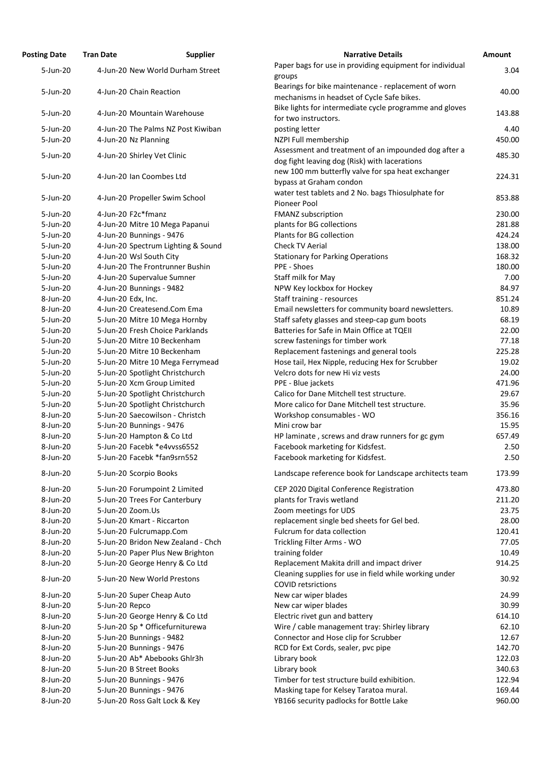| Paper bags for use in providing equipment for individu<br>4-Jun-20 New World Durham Street<br>5-Jun-20<br>groups<br>Bearings for bike maintenance - replacement of worn<br>4-Jun-20 Chain Reaction<br>5-Jun-20<br>mechanisms in headset of Cycle Safe bikes.<br>Bike lights for intermediate cycle programme and glov<br>5-Jun-20<br>4-Jun-20 Mountain Warehouse<br>for two instructors.<br>4-Jun-20 The Palms NZ Post Kiwiban<br>posting letter<br>$5 - Jun-20$<br>5-Jun-20<br>4-Jun-20 Nz Planning<br>NZPI Full membership |  |
|------------------------------------------------------------------------------------------------------------------------------------------------------------------------------------------------------------------------------------------------------------------------------------------------------------------------------------------------------------------------------------------------------------------------------------------------------------------------------------------------------------------------------|--|
|                                                                                                                                                                                                                                                                                                                                                                                                                                                                                                                              |  |
|                                                                                                                                                                                                                                                                                                                                                                                                                                                                                                                              |  |
|                                                                                                                                                                                                                                                                                                                                                                                                                                                                                                                              |  |
|                                                                                                                                                                                                                                                                                                                                                                                                                                                                                                                              |  |
|                                                                                                                                                                                                                                                                                                                                                                                                                                                                                                                              |  |
| Assessment and treatment of an impounded dog after<br>4-Jun-20 Shirley Vet Clinic<br>5-Jun-20<br>dog fight leaving dog (Risk) with lacerations                                                                                                                                                                                                                                                                                                                                                                               |  |
| new 100 mm butterfly valve for spa heat exchanger<br>5-Jun-20<br>4-Jun-20 Ian Coombes Ltd<br>bypass at Graham condon                                                                                                                                                                                                                                                                                                                                                                                                         |  |
| water test tablets and 2 No. bags Thiosulphate for<br>5-Jun-20<br>4-Jun-20 Propeller Swim School<br>Pioneer Pool                                                                                                                                                                                                                                                                                                                                                                                                             |  |
| 4-Jun-20 F2c*fmanz<br>FMANZ subscription<br>5-Jun-20                                                                                                                                                                                                                                                                                                                                                                                                                                                                         |  |
| plants for BG collections<br>5-Jun-20<br>4-Jun-20 Mitre 10 Mega Papanui                                                                                                                                                                                                                                                                                                                                                                                                                                                      |  |
| 4-Jun-20 Bunnings - 9476<br>Plants for BG collection<br>5-Jun-20                                                                                                                                                                                                                                                                                                                                                                                                                                                             |  |
| 5-Jun-20<br>4-Jun-20 Spectrum Lighting & Sound<br>Check TV Aerial                                                                                                                                                                                                                                                                                                                                                                                                                                                            |  |
| 4-Jun-20 Wsl South City<br>5-Jun-20<br><b>Stationary for Parking Operations</b>                                                                                                                                                                                                                                                                                                                                                                                                                                              |  |
| 4-Jun-20 The Frontrunner Bushin<br>PPE - Shoes<br>5-Jun-20                                                                                                                                                                                                                                                                                                                                                                                                                                                                   |  |
| 4-Jun-20 Supervalue Sumner<br>5-Jun-20<br>Staff milk for May                                                                                                                                                                                                                                                                                                                                                                                                                                                                 |  |
| 4-Jun-20 Bunnings - 9482<br>NPW Key lockbox for Hockey<br>$5 - Jun-20$                                                                                                                                                                                                                                                                                                                                                                                                                                                       |  |
| Staff training - resources<br>8-Jun-20<br>4-Jun-20 Edx, Inc.                                                                                                                                                                                                                                                                                                                                                                                                                                                                 |  |
| Email newsletters for community board newsletters.<br>8-Jun-20<br>4-Jun-20 Createsend.Com Ema                                                                                                                                                                                                                                                                                                                                                                                                                                |  |
| 5-Jun-20 Mitre 10 Mega Hornby<br>Staff safety glasses and steep-cap gum boots<br>5-Jun-20                                                                                                                                                                                                                                                                                                                                                                                                                                    |  |
| 5-Jun-20 Fresh Choice Parklands<br>Batteries for Safe in Main Office at TQEII<br>5-Jun-20                                                                                                                                                                                                                                                                                                                                                                                                                                    |  |
| 5-Jun-20<br>5-Jun-20 Mitre 10 Beckenham<br>screw fastenings for timber work                                                                                                                                                                                                                                                                                                                                                                                                                                                  |  |
| Replacement fastenings and general tools<br>5-Jun-20<br>5-Jun-20 Mitre 10 Beckenham                                                                                                                                                                                                                                                                                                                                                                                                                                          |  |
| Hose tail, Hex Nipple, reducing Hex for Scrubber<br>5-Jun-20<br>5-Jun-20 Mitre 10 Mega Ferrymead                                                                                                                                                                                                                                                                                                                                                                                                                             |  |
| 5-Jun-20 Spotlight Christchurch<br>Velcro dots for new Hi viz vests<br>5-Jun-20                                                                                                                                                                                                                                                                                                                                                                                                                                              |  |
| 5-Jun-20 Xcm Group Limited<br>PPE - Blue jackets<br>$5 - Jun-20$                                                                                                                                                                                                                                                                                                                                                                                                                                                             |  |
| 5-Jun-20 Spotlight Christchurch<br>Calico for Dane Mitchell test structure.<br>$5 - Jun-20$                                                                                                                                                                                                                                                                                                                                                                                                                                  |  |
| 5-Jun-20 Spotlight Christchurch<br>More calico for Dane Mitchell test structure.<br>5-Jun-20                                                                                                                                                                                                                                                                                                                                                                                                                                 |  |
| 5-Jun-20 Saecowilson - Christch<br>Workshop consumables - WO<br>8-Jun-20                                                                                                                                                                                                                                                                                                                                                                                                                                                     |  |
| 5-Jun-20 Bunnings - 9476<br>Mini crow bar<br>8-Jun-20                                                                                                                                                                                                                                                                                                                                                                                                                                                                        |  |
| 5-Jun-20 Hampton & Co Ltd<br>8-Jun-20<br>HP laminate, screws and draw runners for gc gym                                                                                                                                                                                                                                                                                                                                                                                                                                     |  |
| 5-Jun-20 Facebk *e4vvss6552<br>8-Jun-20<br>Facebook marketing for Kidsfest.                                                                                                                                                                                                                                                                                                                                                                                                                                                  |  |
| 5-Jun-20 Facebk *fan9srn552<br>8-Jun-20                                                                                                                                                                                                                                                                                                                                                                                                                                                                                      |  |
| Facebook marketing for Kidsfest.<br>8-Jun-20<br>Landscape reference book for Landscape architects te<br>5-Jun-20 Scorpio Books                                                                                                                                                                                                                                                                                                                                                                                               |  |
|                                                                                                                                                                                                                                                                                                                                                                                                                                                                                                                              |  |
| 8-Jun-20<br>5-Jun-20 Forumpoint 2 Limited<br>CEP 2020 Digital Conference Registration                                                                                                                                                                                                                                                                                                                                                                                                                                        |  |
| 8-Jun-20<br>5-Jun-20 Trees For Canterbury<br>plants for Travis wetland                                                                                                                                                                                                                                                                                                                                                                                                                                                       |  |
| 8-Jun-20<br>5-Jun-20 Zoom.Us<br>Zoom meetings for UDS                                                                                                                                                                                                                                                                                                                                                                                                                                                                        |  |
| replacement single bed sheets for Gel bed.<br>8-Jun-20<br>5-Jun-20 Kmart - Riccarton                                                                                                                                                                                                                                                                                                                                                                                                                                         |  |
| Fulcrum for data collection<br>8-Jun-20<br>5-Jun-20 Fulcrumapp.Com                                                                                                                                                                                                                                                                                                                                                                                                                                                           |  |
| 5-Jun-20 Bridon New Zealand - Chch<br>Trickling Filter Arms - WO<br>8-Jun-20                                                                                                                                                                                                                                                                                                                                                                                                                                                 |  |
| 5-Jun-20 Paper Plus New Brighton<br>8-Jun-20<br>training folder                                                                                                                                                                                                                                                                                                                                                                                                                                                              |  |
| 8-Jun-20<br>5-Jun-20 George Henry & Co Ltd<br>Replacement Makita drill and impact driver<br>Cleaning supplies for use in field while working under<br>8-Jun-20<br>5-Jun-20 New World Prestons                                                                                                                                                                                                                                                                                                                                |  |
| <b>COVID retsrictions</b><br>New car wiper blades<br>8-Jun-20<br>5-Jun-20 Super Cheap Auto                                                                                                                                                                                                                                                                                                                                                                                                                                   |  |
| 8-Jun-20<br>5-Jun-20 Repco<br>New car wiper blades                                                                                                                                                                                                                                                                                                                                                                                                                                                                           |  |
| 8-Jun-20<br>5-Jun-20 George Henry & Co Ltd<br>Electric rivet gun and battery                                                                                                                                                                                                                                                                                                                                                                                                                                                 |  |
| 8-Jun-20<br>5-Jun-20 Sp * Officefurniturewa<br>Wire / cable management tray: Shirley library                                                                                                                                                                                                                                                                                                                                                                                                                                 |  |
| 5-Jun-20 Bunnings - 9482<br>Connector and Hose clip for Scrubber<br>8-Jun-20                                                                                                                                                                                                                                                                                                                                                                                                                                                 |  |
| 5-Jun-20 Bunnings - 9476<br>8-Jun-20<br>RCD for Ext Cords, sealer, pvc pipe                                                                                                                                                                                                                                                                                                                                                                                                                                                  |  |
| 5-Jun-20 Ab* Abebooks Ghlr3h<br>8-Jun-20<br>Library book                                                                                                                                                                                                                                                                                                                                                                                                                                                                     |  |
| Library book<br>8-Jun-20<br>5-Jun-20 B Street Books                                                                                                                                                                                                                                                                                                                                                                                                                                                                          |  |
| Timber for test structure build exhibition.<br>8-Jun-20<br>5-Jun-20 Bunnings - 9476                                                                                                                                                                                                                                                                                                                                                                                                                                          |  |
| Masking tape for Kelsey Taratoa mural.<br>8-Jun-20<br>5-Jun-20 Bunnings - 9476                                                                                                                                                                                                                                                                                                                                                                                                                                               |  |
| 5-Jun-20 Ross Galt Lock & Key<br>YB166 security padlocks for Bottle Lake<br>8-Jun-20                                                                                                                                                                                                                                                                                                                                                                                                                                         |  |

| <b>Posting Date</b>  | <b>Tran Date</b>   | <b>Supplier</b>                                               | <b>Narrative Details</b>                                                                             | <b>Amount</b>   |
|----------------------|--------------------|---------------------------------------------------------------|------------------------------------------------------------------------------------------------------|-----------------|
| 5-Jun-20             |                    | 4-Jun-20 New World Durham Street                              | Paper bags for use in providing equipment for individual<br>groups                                   | 3.04            |
| 5-Jun-20             |                    | 4-Jun-20 Chain Reaction                                       | Bearings for bike maintenance - replacement of worn<br>mechanisms in headset of Cycle Safe bikes.    | 40.00           |
| 5-Jun-20             |                    | 4-Jun-20 Mountain Warehouse                                   | Bike lights for intermediate cycle programme and gloves<br>for two instructors.                      | 143.88          |
| 5-Jun-20             |                    | 4-Jun-20 The Palms NZ Post Kiwiban                            | posting letter                                                                                       | 4.40            |
| 5-Jun-20             |                    | 4-Jun-20 Nz Planning                                          | NZPI Full membership                                                                                 | 450.00          |
|                      |                    |                                                               | Assessment and treatment of an impounded dog after a                                                 |                 |
| 5-Jun-20             |                    | 4-Jun-20 Shirley Vet Clinic                                   | dog fight leaving dog (Risk) with lacerations<br>new 100 mm butterfly valve for spa heat exchanger   | 485.30          |
| $5 - Jun-20$         |                    | 4-Jun-20 Ian Coombes Ltd                                      | bypass at Graham condon                                                                              | 224.31          |
| 5-Jun-20             |                    | 4-Jun-20 Propeller Swim School                                | water test tablets and 2 No. bags Thiosulphate for<br>Pioneer Pool                                   | 853.88          |
| 5-Jun-20             |                    | 4-Jun-20 F2c*fmanz                                            | <b>FMANZ</b> subscription                                                                            | 230.00          |
| $5 - Jun-20$         |                    | 4-Jun-20 Mitre 10 Mega Papanui                                | plants for BG collections                                                                            | 281.88          |
| 5-Jun-20             |                    | 4-Jun-20 Bunnings - 9476                                      | Plants for BG collection                                                                             | 424.24          |
| 5-Jun-20             |                    | 4-Jun-20 Spectrum Lighting & Sound                            | Check TV Aerial                                                                                      | 138.00          |
| $5 - Jun-20$         |                    | 4-Jun-20 Wsl South City                                       | <b>Stationary for Parking Operations</b>                                                             | 168.32          |
| 5-Jun-20             |                    | 4-Jun-20 The Frontrunner Bushin                               | PPE - Shoes                                                                                          | 180.00          |
| 5-Jun-20             |                    | 4-Jun-20 Supervalue Sumner                                    | Staff milk for May                                                                                   | 7.00            |
| 5-Jun-20             |                    | 4-Jun-20 Bunnings - 9482                                      | NPW Key lockbox for Hockey                                                                           | 84.97           |
| 8-Jun-20             | 4-Jun-20 Edx, Inc. |                                                               | Staff training - resources                                                                           | 851.24          |
| 8-Jun-20             |                    | 4-Jun-20 Createsend.Com Ema                                   | Email newsletters for community board newsletters.                                                   | 10.89           |
| $5 - Jun-20$         |                    | 5-Jun-20 Mitre 10 Mega Hornby                                 | Staff safety glasses and steep-cap gum boots                                                         | 68.19           |
| 5-Jun-20             |                    | 5-Jun-20 Fresh Choice Parklands                               | Batteries for Safe in Main Office at TQEII                                                           | 22.00           |
| 5-Jun-20             |                    | 5-Jun-20 Mitre 10 Beckenham                                   | screw fastenings for timber work                                                                     | 77.18           |
| 5-Jun-20             |                    | 5-Jun-20 Mitre 10 Beckenham                                   | Replacement fastenings and general tools                                                             | 225.28          |
| 5-Jun-20             |                    | 5-Jun-20 Mitre 10 Mega Ferrymead                              | Hose tail, Hex Nipple, reducing Hex for Scrubber                                                     | 19.02           |
| 5-Jun-20             |                    | 5-Jun-20 Spotlight Christchurch                               | Velcro dots for new Hi viz vests                                                                     | 24.00           |
| 5-Jun-20             |                    | 5-Jun-20 Xcm Group Limited                                    | PPE - Blue jackets                                                                                   | 471.96          |
| 5-Jun-20             |                    | 5-Jun-20 Spotlight Christchurch                               | Calico for Dane Mitchell test structure.                                                             | 29.67           |
| 5-Jun-20             |                    | 5-Jun-20 Spotlight Christchurch                               | More calico for Dane Mitchell test structure.                                                        | 35.96           |
| 8-Jun-20             |                    | 5-Jun-20 Saecowilson - Christch                               | Workshop consumables - WO                                                                            | 356.16          |
| 8-Jun-20             |                    | 5-Jun-20 Bunnings - 9476                                      | Mini crow bar                                                                                        | 15.95           |
| 8-Jun-20             |                    | 5-Jun-20 Hampton & Co Ltd                                     | HP laminate, screws and draw runners for gc gym                                                      | 657.49          |
| 8-Jun-20             |                    | 5-Jun-20 Facebk *e4vvss6552                                   | Facebook marketing for Kidsfest.                                                                     | 2.50            |
| 8-Jun-20             |                    | 5-Jun-20 Facebk *fan9srn552                                   | Facebook marketing for Kidsfest.                                                                     | 2.50            |
| 8-Jun-20             |                    | 5-Jun-20 Scorpio Books                                        | Landscape reference book for Landscape architects team                                               | 173.99          |
| 8-Jun-20             |                    | 5-Jun-20 Forumpoint 2 Limited                                 | CEP 2020 Digital Conference Registration                                                             | 473.80          |
| 8-Jun-20             |                    | 5-Jun-20 Trees For Canterbury                                 | plants for Travis wetland                                                                            | 211.20          |
| 8-Jun-20             |                    | 5-Jun-20 Zoom.Us                                              | Zoom meetings for UDS                                                                                | 23.75           |
| 8-Jun-20             |                    | 5-Jun-20 Kmart - Riccarton                                    | replacement single bed sheets for Gel bed.                                                           | 28.00           |
| 8-Jun-20             |                    | 5-Jun-20 Fulcrumapp.Com                                       | Fulcrum for data collection                                                                          | 120.41          |
| 8-Jun-20             |                    | 5-Jun-20 Bridon New Zealand - Chch                            | Trickling Filter Arms - WO                                                                           | 77.05           |
| 8-Jun-20             |                    | 5-Jun-20 Paper Plus New Brighton                              | training folder                                                                                      | 10.49           |
| 8-Jun-20<br>8-Jun-20 |                    | 5-Jun-20 George Henry & Co Ltd<br>5-Jun-20 New World Prestons | Replacement Makita drill and impact driver<br>Cleaning supplies for use in field while working under | 914.25<br>30.92 |
| 8-Jun-20             |                    | 5-Jun-20 Super Cheap Auto                                     | <b>COVID retsrictions</b><br>New car wiper blades                                                    | 24.99           |
| 8-Jun-20             | 5-Jun-20 Repco     |                                                               | New car wiper blades                                                                                 | 30.99           |
| 8-Jun-20             |                    | 5-Jun-20 George Henry & Co Ltd                                | Electric rivet gun and battery                                                                       | 614.10          |
| 8-Jun-20             |                    | 5-Jun-20 Sp * Officefurniturewa                               | Wire / cable management tray: Shirley library                                                        | 62.10           |
| 8-Jun-20             |                    | 5-Jun-20 Bunnings - 9482                                      | Connector and Hose clip for Scrubber                                                                 | 12.67           |
| 8-Jun-20             |                    | 5-Jun-20 Bunnings - 9476                                      | RCD for Ext Cords, sealer, pvc pipe                                                                  | 142.70          |
| 8-Jun-20             |                    | 5-Jun-20 Ab* Abebooks Ghlr3h                                  | Library book                                                                                         | 122.03          |
| 8-Jun-20             |                    | 5-Jun-20 B Street Books                                       | Library book                                                                                         | 340.63          |
| 8-Jun-20             |                    | 5-Jun-20 Bunnings - 9476                                      | Timber for test structure build exhibition.                                                          | 122.94          |
| 8-Jun-20             |                    | 5-Jun-20 Bunnings - 9476                                      | Masking tape for Kelsey Taratoa mural.                                                               | 169.44          |
| 8-Jun-20             |                    | 5-Jun-20 Ross Galt Lock & Key                                 | YB166 security padlocks for Bottle Lake                                                              | 960.00          |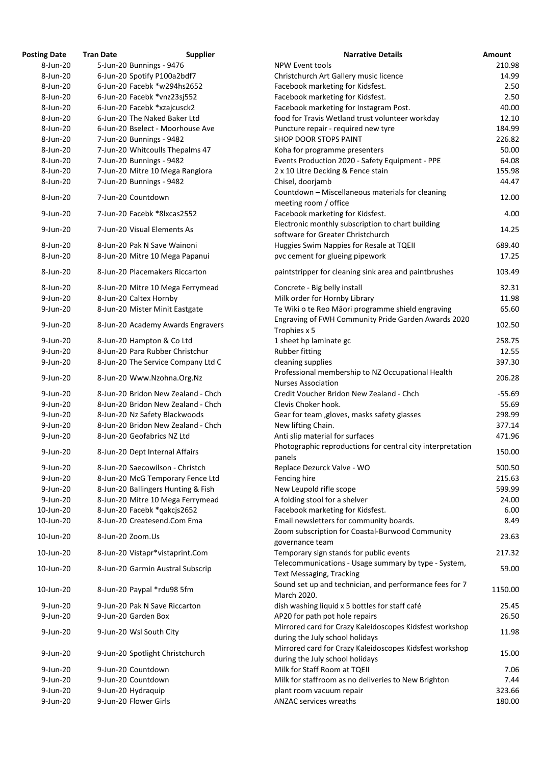| <b>osting Date</b> | <b>Tran Date</b>               | <b>Supplier</b>                    | <b>Narrative Details</b>                                                                     |
|--------------------|--------------------------------|------------------------------------|----------------------------------------------------------------------------------------------|
| 8-Jun-20           | 5-Jun-20 Bunnings - 9476       |                                    | <b>NPW Event tools</b>                                                                       |
| 8-Jun-20           | 6-Jun-20 Spotify P100a2bdf7    |                                    | Christchurch Art Gallery music licence                                                       |
| 8-Jun-20           |                                | 6-Jun-20 Facebk *w294hs2652        | Facebook marketing for Kidsfest.                                                             |
| 8-Jun-20           | 6-Jun-20 Facebk *vnz23sj552    |                                    | Facebook marketing for Kidsfest.                                                             |
| 8-Jun-20           | 6-Jun-20 Facebk *xzajcusck2    |                                    | Facebook marketing for Instagram Post.                                                       |
| 8-Jun-20           | 6-Jun-20 The Naked Baker Ltd   |                                    | food for Travis Wetland trust volunteer workday                                              |
| 8-Jun-20           |                                | 6-Jun-20 Bselect - Moorhouse Ave   | Puncture repair - required new tyre                                                          |
| 8-Jun-20           | 7-Jun-20 Bunnings - 9482       |                                    | <b>SHOP DOOR STOPS PAINT</b>                                                                 |
| 8-Jun-20           |                                | 7-Jun-20 Whitcoulls Thepalms 47    | Koha for programme presenters                                                                |
| 8-Jun-20           | 7-Jun-20 Bunnings - 9482       |                                    | Events Production 2020 - Safety Equipment - PPE                                              |
| 8-Jun-20           |                                | 7-Jun-20 Mitre 10 Mega Rangiora    | 2 x 10 Litre Decking & Fence stain                                                           |
| 8-Jun-20           | 7-Jun-20 Bunnings - 9482       |                                    | Chisel, doorjamb                                                                             |
| 8-Jun-20           | 7-Jun-20 Countdown             |                                    | Countdown - Miscellaneous materials for cleaning<br>meeting room / office                    |
| 9-Jun-20           | 7-Jun-20 Facebk *8lxcas2552    |                                    | Facebook marketing for Kidsfest.                                                             |
| 9-Jun-20           | 7-Jun-20 Visual Elements As    |                                    | Electronic monthly subscription to chart building<br>software for Greater Christchurch       |
| 8-Jun-20           | 8-Jun-20 Pak N Save Wainoni    |                                    | Huggies Swim Nappies for Resale at TQEII                                                     |
| 8-Jun-20           |                                | 8-Jun-20 Mitre 10 Mega Papanui     | pvc cement for glueing pipework                                                              |
| 8-Jun-20           |                                | 8-Jun-20 Placemakers Riccarton     | paintstripper for cleaning sink area and paintbrushes                                        |
| 8-Jun-20           |                                | 8-Jun-20 Mitre 10 Mega Ferrymead   | Concrete - Big belly install                                                                 |
| 9-Jun-20           | 8-Jun-20 Caltex Hornby         |                                    | Milk order for Hornby Library                                                                |
| 9-Jun-20           |                                | 8-Jun-20 Mister Minit Eastgate     | Te Wiki o te Reo Māori programme shield engraving                                            |
| $9$ -Jun-20        |                                | 8-Jun-20 Academy Awards Engravers  | Engraving of FWH Community Pride Garden Awards:<br>Trophies x 5                              |
| 9-Jun-20           | 8-Jun-20 Hampton & Co Ltd      |                                    | 1 sheet hp laminate gc                                                                       |
| 9-Jun-20           |                                | 8-Jun-20 Para Rubber Christchur    | <b>Rubber fitting</b>                                                                        |
| 9-Jun-20           |                                | 8-Jun-20 The Service Company Ltd C | cleaning supplies                                                                            |
| 9-Jun-20           | 8-Jun-20 Www.Nzohna.Org.Nz     |                                    | Professional membership to NZ Occupational Health<br><b>Nurses Association</b>               |
| 9-Jun-20           |                                | 8-Jun-20 Bridon New Zealand - Chch | Credit Voucher Bridon New Zealand - Chch                                                     |
| 9-Jun-20           |                                | 8-Jun-20 Bridon New Zealand - Chch | Clevis Choker hook.                                                                          |
| $9$ -Jun-20        |                                | 8-Jun-20 Nz Safety Blackwoods      | Gear for team, gloves, masks safety glasses                                                  |
| 9-Jun-20           |                                | 8-Jun-20 Bridon New Zealand - Chch | New lifting Chain.                                                                           |
| 9-Jun-20           | 8-Jun-20 Geofabrics NZ Ltd     |                                    | Anti slip material for surfaces                                                              |
| 9-Jun-20           | 8-Jun-20 Dept Internal Affairs |                                    | Photographic reproductions for central city interpret                                        |
|                    |                                |                                    | panels                                                                                       |
| 9-Jun-20           |                                | 8-Jun-20 Saecowilson - Christch    | Replace Dezurck Valve - WO                                                                   |
| 9-Jun-20           |                                | 8-Jun-20 McG Temporary Fence Ltd   | Fencing hire                                                                                 |
| 9-Jun-20           |                                | 8-Jun-20 Ballingers Hunting & Fish | New Leupold rifle scope                                                                      |
| 9-Jun-20           |                                | 8-Jun-20 Mitre 10 Mega Ferrymead   | A folding stool for a shelver                                                                |
| 10-Jun-20          | 8-Jun-20 Facebk *qakcjs2652    |                                    | Facebook marketing for Kidsfest.                                                             |
| 10-Jun-20          | 8-Jun-20 Createsend.Com Ema    |                                    | Email newsletters for community boards.                                                      |
| 10-Jun-20          | 8-Jun-20 Zoom.Us               |                                    | Zoom subscription for Coastal-Burwood Community<br>governance team                           |
| 10-Jun-20          |                                | 8-Jun-20 Vistapr*vistaprint.Com    | Temporary sign stands for public events<br>Telecommunications - Usage summary by type - Syst |
| 10-Jun-20          |                                | 8-Jun-20 Garmin Austral Subscrip   | <b>Text Messaging, Tracking</b>                                                              |
| 10-Jun-20          | 8-Jun-20 Paypal *rdu98 5fm     |                                    | Sound set up and technician, and performance fees f<br>March 2020.                           |
| $9$ -Jun-20        | 9-Jun-20 Pak N Save Riccarton  |                                    | dish washing liquid x 5 bottles for staff café                                               |
| 9-Jun-20           | 9-Jun-20 Garden Box            |                                    | AP20 for path pot hole repairs                                                               |
| 9-Jun-20           | 9-Jun-20 Wsl South City        |                                    | Mirrored card for Crazy Kaleidoscopes Kidsfest works<br>during the July school holidays      |
| 9-Jun-20           |                                | 9-Jun-20 Spotlight Christchurch    | Mirrored card for Crazy Kaleidoscopes Kidsfest works<br>during the July school holidays      |
| 9-Jun-20           | 9-Jun-20 Countdown             |                                    | Milk for Staff Room at TQEII                                                                 |
| 9-Jun-20           | 9-Jun-20 Countdown             |                                    | Milk for staffroom as no deliveries to New Brighton                                          |
| 9-Jun-20           | 9-Jun-20 Hydraquip             |                                    | plant room vacuum repair                                                                     |
| 9-Jun-20           | 9-Jun-20 Flower Girls          |                                    | <b>ANZAC services wreaths</b>                                                                |

| <b>Posting Date</b> | <b>Tran Date</b> | <b>Supplier</b>                    | <b>Narrative Details</b>                                                                   | <b>Amount</b> |
|---------------------|------------------|------------------------------------|--------------------------------------------------------------------------------------------|---------------|
| 8-Jun-20            |                  | 5-Jun-20 Bunnings - 9476           | <b>NPW Event tools</b>                                                                     | 210.98        |
| 8-Jun-20            |                  | 6-Jun-20 Spotify P100a2bdf7        | Christchurch Art Gallery music licence                                                     | 14.99         |
| 8-Jun-20            |                  | 6-Jun-20 Facebk *w294hs2652        | Facebook marketing for Kidsfest.                                                           | 2.50          |
| 8-Jun-20            |                  | 6-Jun-20 Facebk *vnz23sj552        | Facebook marketing for Kidsfest.                                                           | 2.50          |
| 8-Jun-20            |                  | 6-Jun-20 Facebk *xzajcusck2        | Facebook marketing for Instagram Post.                                                     | 40.00         |
| 8-Jun-20            |                  | 6-Jun-20 The Naked Baker Ltd       | food for Travis Wetland trust volunteer workday                                            | 12.10         |
| 8-Jun-20            |                  | 6-Jun-20 Bselect - Moorhouse Ave   | Puncture repair - required new tyre                                                        | 184.99        |
| 8-Jun-20            |                  | 7-Jun-20 Bunnings - 9482           | <b>SHOP DOOR STOPS PAINT</b>                                                               | 226.82        |
| 8-Jun-20            |                  | 7-Jun-20 Whitcoulls Thepalms 47    | Koha for programme presenters                                                              | 50.00         |
| 8-Jun-20            |                  | 7-Jun-20 Bunnings - 9482           | Events Production 2020 - Safety Equipment - PPE                                            | 64.08         |
| 8-Jun-20            |                  |                                    |                                                                                            | 155.98        |
|                     |                  | 7-Jun-20 Mitre 10 Mega Rangiora    | 2 x 10 Litre Decking & Fence stain                                                         |               |
| 8-Jun-20            |                  | 7-Jun-20 Bunnings - 9482           | Chisel, doorjamb                                                                           | 44.47         |
| 8-Jun-20            |                  | 7-Jun-20 Countdown                 | Countdown - Miscellaneous materials for cleaning<br>meeting room / office                  | 12.00         |
| 9-Jun-20            |                  | 7-Jun-20 Facebk *8lxcas2552        | Facebook marketing for Kidsfest.                                                           | 4.00          |
| 9-Jun-20            |                  | 7-Jun-20 Visual Elements As        | Electronic monthly subscription to chart building<br>software for Greater Christchurch     | 14.25         |
| 8-Jun-20            |                  | 8-Jun-20 Pak N Save Wainoni        | Huggies Swim Nappies for Resale at TQEII                                                   | 689.40        |
| 8-Jun-20            |                  | 8-Jun-20 Mitre 10 Mega Papanui     | pvc cement for glueing pipework                                                            | 17.25         |
|                     |                  |                                    |                                                                                            |               |
| 8-Jun-20            |                  | 8-Jun-20 Placemakers Riccarton     | paintstripper for cleaning sink area and paintbrushes                                      | 103.49        |
| 8-Jun-20            |                  | 8-Jun-20 Mitre 10 Mega Ferrymead   | Concrete - Big belly install                                                               | 32.31         |
| 9-Jun-20            |                  | 8-Jun-20 Caltex Hornby             | Milk order for Hornby Library                                                              | 11.98         |
| 9-Jun-20            |                  | 8-Jun-20 Mister Minit Eastgate     | Te Wiki o te Reo Māori programme shield engraving                                          | 65.60         |
| $9$ -Jun-20         |                  | 8-Jun-20 Academy Awards Engravers  | Engraving of FWH Community Pride Garden Awards 2020<br>Trophies x 5                        | 102.50        |
| 9-Jun-20            |                  | 8-Jun-20 Hampton & Co Ltd          | 1 sheet hp laminate gc                                                                     | 258.75        |
| 9-Jun-20            |                  | 8-Jun-20 Para Rubber Christchur    | <b>Rubber fitting</b>                                                                      | 12.55         |
| 9-Jun-20            |                  | 8-Jun-20 The Service Company Ltd C | cleaning supplies                                                                          | 397.30        |
| 9-Jun-20            |                  | 8-Jun-20 Www.Nzohna.Org.Nz         | Professional membership to NZ Occupational Health<br><b>Nurses Association</b>             | 206.28        |
| 9-Jun-20            |                  | 8-Jun-20 Bridon New Zealand - Chch | Credit Voucher Bridon New Zealand - Chch                                                   | $-55.69$      |
|                     |                  |                                    |                                                                                            |               |
| $9$ -Jun-20         |                  | 8-Jun-20 Bridon New Zealand - Chch | Clevis Choker hook.                                                                        | 55.69         |
| 9-Jun-20            |                  | 8-Jun-20 Nz Safety Blackwoods      | Gear for team, gloves, masks safety glasses                                                | 298.99        |
| 9-Jun-20            |                  | 8-Jun-20 Bridon New Zealand - Chch | New lifting Chain.                                                                         | 377.14        |
| 9-Jun-20            |                  | 8-Jun-20 Geofabrics NZ Ltd         | Anti slip material for surfaces                                                            | 471.96        |
| 9-Jun-20            |                  | 8-Jun-20 Dept Internal Affairs     | Photographic reproductions for central city interpretation<br>panels                       | 150.00        |
| 9-Jun-20            |                  | 8-Jun-20 Saecowilson - Christch    | Replace Dezurck Valve - WO                                                                 | 500.50        |
| 9-Jun-20            |                  | 8-Jun-20 McG Temporary Fence Ltd   | Fencing hire                                                                               | 215.63        |
| 9-Jun-20            |                  | 8-Jun-20 Ballingers Hunting & Fish | New Leupold rifle scope                                                                    | 599.99        |
| 9-Jun-20            |                  | 8-Jun-20 Mitre 10 Mega Ferrymead   | A folding stool for a shelver                                                              | 24.00         |
| 10-Jun-20           |                  | 8-Jun-20 Facebk *qakcjs2652        | Facebook marketing for Kidsfest.                                                           | 6.00          |
| 10-Jun-20           |                  | 8-Jun-20 Createsend.Com Ema        | Email newsletters for community boards.                                                    | 8.49          |
| 10-Jun-20           |                  | 8-Jun-20 Zoom.Us                   | Zoom subscription for Coastal-Burwood Community                                            | 23.63         |
| 10-Jun-20           |                  | 8-Jun-20 Vistapr*vistaprint.Com    | governance team<br>Temporary sign stands for public events                                 | 217.32        |
| 10-Jun-20           |                  | 8-Jun-20 Garmin Austral Subscrip   | Telecommunications - Usage summary by type - System,<br><b>Text Messaging, Tracking</b>    | 59.00         |
| 10-Jun-20           |                  | 8-Jun-20 Paypal *rdu98 5fm         | Sound set up and technician, and performance fees for 7<br>March 2020.                     | 1150.00       |
| $9$ -Jun-20         |                  | 9-Jun-20 Pak N Save Riccarton      | dish washing liquid x 5 bottles for staff café                                             | 25.45         |
| 9-Jun-20            |                  | 9-Jun-20 Garden Box                |                                                                                            | 26.50         |
|                     |                  |                                    | AP20 for path pot hole repairs<br>Mirrored card for Crazy Kaleidoscopes Kidsfest workshop  |               |
| 9-Jun-20            |                  | 9-Jun-20 Wsl South City            | during the July school holidays                                                            | 11.98         |
| 9-Jun-20            |                  | 9-Jun-20 Spotlight Christchurch    | Mirrored card for Crazy Kaleidoscopes Kidsfest workshop<br>during the July school holidays | 15.00         |
| $9$ -Jun-20         |                  | 9-Jun-20 Countdown                 | Milk for Staff Room at TQEII                                                               | 7.06          |
| 9-Jun-20            |                  | 9-Jun-20 Countdown                 | Milk for staffroom as no deliveries to New Brighton                                        | 7.44          |
| 9-Jun-20            |                  | 9-Jun-20 Hydraquip                 | plant room vacuum repair                                                                   | 323.66        |
| 9-Jun-20            |                  | 9-Jun-20 Flower Girls              | <b>ANZAC services wreaths</b>                                                              | 180.00        |
|                     |                  |                                    |                                                                                            |               |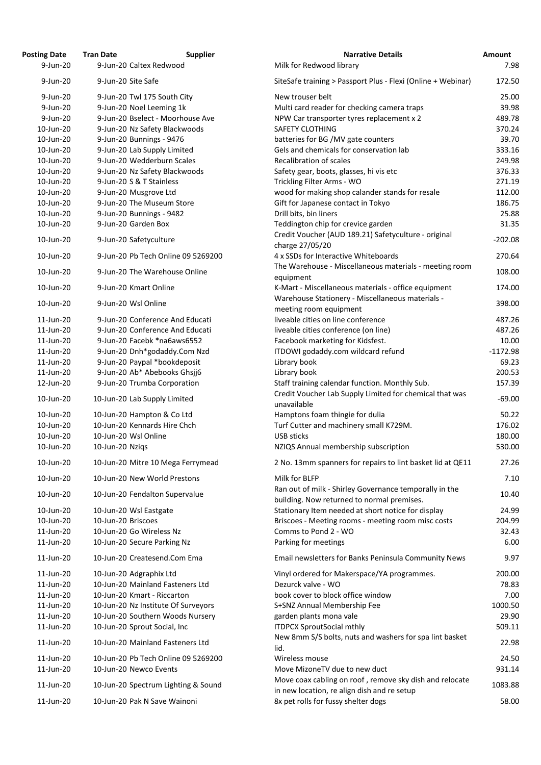| <b>Posting Date</b> | <b>Tran Date</b>             | <b>Supplier</b>                     | <b>Narrative Details</b>                                                                                 |
|---------------------|------------------------------|-------------------------------------|----------------------------------------------------------------------------------------------------------|
| $9$ -Jun-20         | 9-Jun-20 Caltex Redwood      |                                     | Milk for Redwood library                                                                                 |
| 9-Jun-20            | 9-Jun-20 Site Safe           |                                     | SiteSafe training > Passport Plus - Flexi (Online + Webir                                                |
| 9-Jun-20            | 9-Jun-20 Twl 175 South City  |                                     | New trouser belt                                                                                         |
| $9$ -Jun-20         | 9-Jun-20 Noel Leeming 1k     |                                     | Multi card reader for checking camera traps                                                              |
| $9$ -Jun-20         |                              | 9-Jun-20 Bselect - Moorhouse Ave    | NPW Car transporter tyres replacement x 2                                                                |
| 10-Jun-20           |                              | 9-Jun-20 Nz Safety Blackwoods       | <b>SAFETY CLOTHING</b>                                                                                   |
| 10-Jun-20           | 9-Jun-20 Bunnings - 9476     |                                     | batteries for BG /MV gate counters                                                                       |
| 10-Jun-20           | 9-Jun-20 Lab Supply Limited  |                                     | Gels and chemicals for conservation lab                                                                  |
|                     | 9-Jun-20 Wedderburn Scales   |                                     | <b>Recalibration of scales</b>                                                                           |
| 10-Jun-20           |                              |                                     |                                                                                                          |
| 10-Jun-20           |                              | 9-Jun-20 Nz Safety Blackwoods       | Safety gear, boots, glasses, hi vis etc                                                                  |
| 10-Jun-20           | 9-Jun-20 S & T Stainless     |                                     | Trickling Filter Arms - WO                                                                               |
| 10-Jun-20           | 9-Jun-20 Musgrove Ltd        |                                     | wood for making shop calander stands for resale                                                          |
| 10-Jun-20           | 9-Jun-20 The Museum Store    |                                     | Gift for Japanese contact in Tokyo                                                                       |
| 10-Jun-20           | 9-Jun-20 Bunnings - 9482     |                                     | Drill bits, bin liners                                                                                   |
| 10-Jun-20           | 9-Jun-20 Garden Box          |                                     | Teddington chip for crevice garden<br>Credit Voucher (AUD 189.21) Safetyculture - original               |
| 10-Jun-20           | 9-Jun-20 Safetyculture       |                                     | charge 27/05/20                                                                                          |
| 10-Jun-20           |                              | 9-Jun-20 Pb Tech Online 09 5269200  | 4 x SSDs for Interactive Whiteboards                                                                     |
| 10-Jun-20           |                              | 9-Jun-20 The Warehouse Online       | The Warehouse - Miscellaneous materials - meeting ro                                                     |
|                     |                              |                                     | equipment                                                                                                |
| 10-Jun-20           | 9-Jun-20 Kmart Online        |                                     | K-Mart - Miscellaneous materials - office equipment                                                      |
| 10-Jun-20           | 9-Jun-20 Wsl Online          |                                     | Warehouse Stationery - Miscellaneous materials -                                                         |
|                     |                              |                                     | meeting room equipment                                                                                   |
| 11-Jun-20           |                              | 9-Jun-20 Conference And Educati     | liveable cities on line conference                                                                       |
| 11-Jun-20           |                              | 9-Jun-20 Conference And Educati     | liveable cities conference (on line)                                                                     |
| 11-Jun-20           |                              | 9-Jun-20 Facebk *na6aws6552         | Facebook marketing for Kidsfest.                                                                         |
| 11-Jun-20           |                              | 9-Jun-20 Dnh*godaddy.Com Nzd        | ITDOWI godaddy.com wildcard refund                                                                       |
| 11-Jun-20           |                              | 9-Jun-20 Paypal *bookdeposit        | Library book                                                                                             |
| 11-Jun-20           |                              | 9-Jun-20 Ab* Abebooks Ghsjj6        | Library book                                                                                             |
| 12-Jun-20           |                              | 9-Jun-20 Trumba Corporation         | Staff training calendar function. Monthly Sub.<br>Credit Voucher Lab Supply Limited for chemical that wa |
| 10-Jun-20           | 10-Jun-20 Lab Supply Limited |                                     | unavailable                                                                                              |
| 10-Jun-20           | 10-Jun-20 Hampton & Co Ltd   |                                     | Hamptons foam thingie for dulia                                                                          |
| 10-Jun-20           | 10-Jun-20 Kennards Hire Chch |                                     | Turf Cutter and machinery small K729M.                                                                   |
| 10-Jun-20           | 10-Jun-20 Wsl Online         |                                     | <b>USB sticks</b>                                                                                        |
| 10-Jun-20           | 10-Jun-20 Nzigs              |                                     | NZIQS Annual membership subscription                                                                     |
| 10-Jun-20           |                              | 10-Jun-20 Mitre 10 Mega Ferrymead   | 2 No. 13mm spanners for repairs to lint basket lid at Q                                                  |
| 10-Jun-20           | 10-Jun-20 New World Prestons |                                     | Milk for BLFP                                                                                            |
| 10-Jun-20           |                              | 10-Jun-20 Fendalton Supervalue      | Ran out of milk - Shirley Governance temporally in the                                                   |
|                     |                              |                                     | building. Now returned to normal premises.                                                               |
| 10-Jun-20           | 10-Jun-20 Wsl Eastgate       |                                     | Stationary Item needed at short notice for display                                                       |
| 10-Jun-20           | 10-Jun-20 Briscoes           |                                     | Briscoes - Meeting rooms - meeting room misc costs                                                       |
| 11-Jun-20           | 10-Jun-20 Go Wireless Nz     |                                     | Comms to Pond 2 - WO                                                                                     |
| 11-Jun-20           | 10-Jun-20 Secure Parking Nz  |                                     | Parking for meetings                                                                                     |
| 11-Jun-20           |                              | 10-Jun-20 Createsend.Com Ema        | Email newsletters for Banks Peninsula Community Nev                                                      |
| 11-Jun-20           | 10-Jun-20 Adgraphix Ltd      |                                     | Vinyl ordered for Makerspace/YA programmes.                                                              |
| 11-Jun-20           |                              | 10-Jun-20 Mainland Fasteners Ltd    | Dezurck valve - WO                                                                                       |
| 11-Jun-20           | 10-Jun-20 Kmart - Riccarton  |                                     | book cover to block office window                                                                        |
| 11-Jun-20           |                              | 10-Jun-20 Nz Institute Of Surveyors | S+SNZ Annual Membership Fee                                                                              |
| 11-Jun-20           |                              | 10-Jun-20 Southern Woods Nursery    | garden plants mona vale                                                                                  |
| 11-Jun-20           | 10-Jun-20 Sprout Social, Inc |                                     | <b>ITDPCX SproutSocial mthly</b>                                                                         |
|                     |                              |                                     | New 8mm S/S bolts, nuts and washers for spa lint bask                                                    |
| 11-Jun-20           |                              | 10-Jun-20 Mainland Fasteners Ltd    | lid.                                                                                                     |
| 11-Jun-20           |                              | 10-Jun-20 Pb Tech Online 09 5269200 | Wireless mouse                                                                                           |
| 11-Jun-20           | 10-Jun-20 Newco Events       |                                     | Move MizoneTV due to new duct                                                                            |
| 11-Jun-20           |                              |                                     | Move coax cabling on roof, remove sky dish and reloca                                                    |
|                     |                              | 10-Jun-20 Spectrum Lighting & Sound | in new location, re align dish and re setup                                                              |
| 11-Jun-20           | 10-Jun-20 Pak N Save Wainoni |                                     | 8x pet rolls for fussy shelter dogs                                                                      |

| <b>Posting Date</b>    | <b>Tran Date</b>   | <b>Supplier</b>                                             | <b>Narrative Details</b>                                                                                  | <b>Amount</b>      |
|------------------------|--------------------|-------------------------------------------------------------|-----------------------------------------------------------------------------------------------------------|--------------------|
| $9$ -Jun-20            |                    | 9-Jun-20 Caltex Redwood                                     | Milk for Redwood library                                                                                  | 7.98               |
| 9-Jun-20               |                    | 9-Jun-20 Site Safe                                          | SiteSafe training > Passport Plus - Flexi (Online + Webinar)                                              | 172.50             |
| 9-Jun-20               |                    | 9-Jun-20 Twl 175 South City                                 | New trouser belt                                                                                          | 25.00              |
| 9-Jun-20               |                    | 9-Jun-20 Noel Leeming 1k                                    | Multi card reader for checking camera traps                                                               | 39.98              |
| 9-Jun-20               |                    | 9-Jun-20 Bselect - Moorhouse Ave                            | NPW Car transporter tyres replacement x 2                                                                 | 489.78             |
| 10-Jun-20              |                    | 9-Jun-20 Nz Safety Blackwoods                               | <b>SAFETY CLOTHING</b>                                                                                    | 370.24             |
| 10-Jun-20              |                    | 9-Jun-20 Bunnings - 9476                                    | batteries for BG /MV gate counters                                                                        | 39.70              |
| 10-Jun-20              |                    | 9-Jun-20 Lab Supply Limited                                 | Gels and chemicals for conservation lab                                                                   | 333.16             |
|                        |                    | 9-Jun-20 Wedderburn Scales                                  | <b>Recalibration of scales</b>                                                                            | 249.98             |
| 10-Jun-20              |                    |                                                             |                                                                                                           |                    |
| 10-Jun-20              |                    | 9-Jun-20 Nz Safety Blackwoods                               | Safety gear, boots, glasses, hi vis etc                                                                   | 376.33             |
| 10-Jun-20              |                    | 9-Jun-20 S & T Stainless                                    | Trickling Filter Arms - WO                                                                                | 271.19             |
| 10-Jun-20              |                    | 9-Jun-20 Musgrove Ltd                                       | wood for making shop calander stands for resale                                                           | 112.00             |
| 10-Jun-20              |                    | 9-Jun-20 The Museum Store                                   | Gift for Japanese contact in Tokyo                                                                        | 186.75             |
| 10-Jun-20              |                    | 9-Jun-20 Bunnings - 9482                                    | Drill bits, bin liners                                                                                    | 25.88              |
| 10-Jun-20              |                    | 9-Jun-20 Garden Box                                         | Teddington chip for crevice garden                                                                        | 31.35              |
| 10-Jun-20              |                    | 9-Jun-20 Safetyculture                                      | Credit Voucher (AUD 189.21) Safetyculture - original<br>charge 27/05/20                                   | $-202.08$          |
| 10-Jun-20              |                    | 9-Jun-20 Pb Tech Online 09 5269200                          | 4 x SSDs for Interactive Whiteboards                                                                      | 270.64             |
| 10-Jun-20              |                    | 9-Jun-20 The Warehouse Online                               | The Warehouse - Miscellaneous materials - meeting room<br>equipment                                       | 108.00             |
| 10-Jun-20              |                    | 9-Jun-20 Kmart Online                                       | K-Mart - Miscellaneous materials - office equipment                                                       | 174.00             |
| 10-Jun-20              |                    | 9-Jun-20 Wsl Online                                         | Warehouse Stationery - Miscellaneous materials -<br>meeting room equipment                                | 398.00             |
| 11-Jun-20              |                    | 9-Jun-20 Conference And Educati                             | liveable cities on line conference                                                                        | 487.26             |
| 11-Jun-20              |                    | 9-Jun-20 Conference And Educati                             | liveable cities conference (on line)                                                                      | 487.26             |
| 11-Jun-20              |                    | 9-Jun-20 Facebk *na6aws6552                                 | Facebook marketing for Kidsfest.                                                                          | 10.00              |
| 11-Jun-20              |                    | 9-Jun-20 Dnh*godaddy.Com Nzd                                | ITDOWI godaddy.com wildcard refund                                                                        | $-1172.98$         |
| 11-Jun-20              |                    | 9-Jun-20 Paypal *bookdeposit                                | Library book                                                                                              | 69.23              |
| 11-Jun-20              |                    | 9-Jun-20 Ab* Abebooks Ghsjj6                                | Library book                                                                                              | 200.53             |
|                        |                    |                                                             |                                                                                                           |                    |
| 12-Jun-20<br>10-Jun-20 |                    | 9-Jun-20 Trumba Corporation<br>10-Jun-20 Lab Supply Limited | Staff training calendar function. Monthly Sub.<br>Credit Voucher Lab Supply Limited for chemical that was | 157.39<br>$-69.00$ |
|                        |                    |                                                             | unavailable                                                                                               |                    |
| 10-Jun-20              |                    | 10-Jun-20 Hampton & Co Ltd                                  | Hamptons foam thingie for dulia                                                                           | 50.22              |
| 10-Jun-20              |                    | 10-Jun-20 Kennards Hire Chch                                | Turf Cutter and machinery small K729M.                                                                    | 176.02             |
| 10-Jun-20              |                    | 10-Jun-20 Wsl Online                                        | <b>USB sticks</b>                                                                                         | 180.00             |
| 10-Jun-20              | 10-Jun-20 Nzigs    |                                                             | NZIQS Annual membership subscription                                                                      | 530.00             |
| 10-Jun-20              |                    | 10-Jun-20 Mitre 10 Mega Ferrymead                           | 2 No. 13mm spanners for repairs to lint basket lid at QE11                                                | 27.26              |
| 10-Jun-20              |                    | 10-Jun-20 New World Prestons                                | Milk for BLFP<br>Ran out of milk - Shirley Governance temporally in the                                   | 7.10               |
| 10-Jun-20              |                    | 10-Jun-20 Fendalton Supervalue                              | building. Now returned to normal premises.                                                                | 10.40              |
| 10-Jun-20              |                    | 10-Jun-20 Wsl Eastgate                                      | Stationary Item needed at short notice for display                                                        | 24.99              |
| 10-Jun-20              | 10-Jun-20 Briscoes |                                                             | Briscoes - Meeting rooms - meeting room misc costs                                                        | 204.99             |
| 11-Jun-20              |                    | 10-Jun-20 Go Wireless Nz                                    | Comms to Pond 2 - WO                                                                                      | 32.43              |
| 11-Jun-20              |                    | 10-Jun-20 Secure Parking Nz                                 | Parking for meetings                                                                                      | 6.00               |
| 11-Jun-20              |                    | 10-Jun-20 Createsend.Com Ema                                | Email newsletters for Banks Peninsula Community News                                                      | 9.97               |
|                        |                    |                                                             |                                                                                                           |                    |
| 11-Jun-20              |                    | 10-Jun-20 Adgraphix Ltd                                     | Vinyl ordered for Makerspace/YA programmes.                                                               | 200.00             |
| 11-Jun-20              |                    | 10-Jun-20 Mainland Fasteners Ltd                            | Dezurck valve - WO                                                                                        | 78.83              |
| 11-Jun-20              |                    | 10-Jun-20 Kmart - Riccarton                                 | book cover to block office window                                                                         | 7.00               |
| 11-Jun-20              |                    | 10-Jun-20 Nz Institute Of Surveyors                         | S+SNZ Annual Membership Fee                                                                               | 1000.50            |
| 11-Jun-20              |                    | 10-Jun-20 Southern Woods Nursery                            | garden plants mona vale                                                                                   | 29.90              |
| 11-Jun-20              |                    | 10-Jun-20 Sprout Social, Inc                                | <b>ITDPCX SproutSocial mthly</b>                                                                          | 509.11             |
| 11-Jun-20              |                    | 10-Jun-20 Mainland Fasteners Ltd                            | New 8mm S/S bolts, nuts and washers for spa lint basket<br>lid.                                           | 22.98              |
| 11-Jun-20              |                    | 10-Jun-20 Pb Tech Online 09 5269200                         |                                                                                                           |                    |
|                        |                    |                                                             | Wireless mouse                                                                                            | 24.50              |
| 11-Jun-20              |                    | 10-Jun-20 Newco Events                                      | Move MizoneTV due to new duct                                                                             | 931.14             |
| 11-Jun-20              |                    | 10-Jun-20 Spectrum Lighting & Sound                         | Move coax cabling on roof, remove sky dish and relocate<br>in new location, re align dish and re setup    | 1083.88            |
| 11-Jun-20              |                    | 10-Jun-20 Pak N Save Wainoni                                | 8x pet rolls for fussy shelter dogs                                                                       | 58.00              |
|                        |                    |                                                             |                                                                                                           |                    |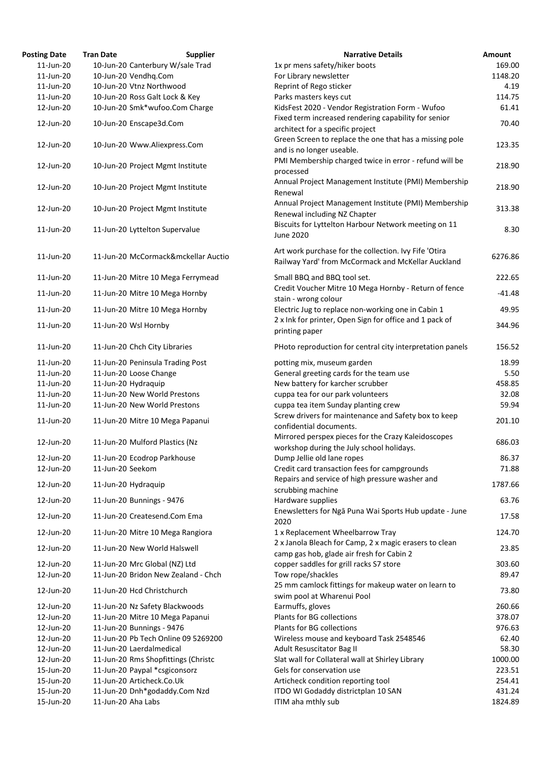| <b>Posting Date</b> | <b>Tran Date</b>                 | <b>Supplier</b>                     | <b>Narrative Details</b>                                  | <b>Amount</b> |
|---------------------|----------------------------------|-------------------------------------|-----------------------------------------------------------|---------------|
| 11-Jun-20           |                                  | 10-Jun-20 Canterbury W/sale Trad    | 1x pr mens safety/hiker boots                             | 169.00        |
| 11-Jun-20           | 10-Jun-20 Vendhq.Com             |                                     | For Library newsletter                                    | 1148.20       |
| 11-Jun-20           | 10-Jun-20 Vtnz Northwood         |                                     | Reprint of Rego sticker                                   | 4.19          |
| 11-Jun-20           | 10-Jun-20 Ross Galt Lock & Key   |                                     | Parks masters keys cut                                    | 114.75        |
| 12-Jun-20           |                                  | 10-Jun-20 Smk*wufoo.Com Charge      | KidsFest 2020 - Vendor Registration Form - Wufoo          | 61.41         |
|                     |                                  |                                     | Fixed term increased rendering capability for senior      |               |
| 12-Jun-20           | 10-Jun-20 Enscape3d.Com          |                                     | architect for a specific project                          | 70.40         |
|                     |                                  |                                     | Green Screen to replace the one that has a missing pole   |               |
| 12-Jun-20           | 10-Jun-20 Www.Aliexpress.Com     |                                     | and is no longer useable.                                 | 123.35        |
|                     |                                  |                                     | PMI Membership charged twice in error - refund will be    |               |
| 12-Jun-20           | 10-Jun-20 Project Mgmt Institute |                                     | processed                                                 | 218.90        |
|                     |                                  |                                     | Annual Project Management Institute (PMI) Membership      |               |
| 12-Jun-20           | 10-Jun-20 Project Mgmt Institute |                                     | Renewal                                                   | 218.90        |
|                     |                                  |                                     |                                                           |               |
| 12-Jun-20           | 10-Jun-20 Project Mgmt Institute |                                     | Annual Project Management Institute (PMI) Membership      | 313.38        |
|                     |                                  |                                     | Renewal including NZ Chapter                              |               |
| 11-Jun-20           | 11-Jun-20 Lyttelton Supervalue   |                                     | Biscuits for Lyttelton Harbour Network meeting on 11      | 8.30          |
|                     |                                  |                                     | June 2020                                                 |               |
|                     |                                  |                                     | Art work purchase for the collection. Ivy Fife 'Otira     |               |
| $11$ -Jun-20        |                                  | 11-Jun-20 McCormack&mckellar Auctio | Railway Yard' from McCormack and McKellar Auckland        | 6276.86       |
|                     |                                  |                                     |                                                           |               |
| 11-Jun-20           |                                  | 11-Jun-20 Mitre 10 Mega Ferrymead   | Small BBQ and BBQ tool set.                               | 222.65        |
| 11-Jun-20           | 11-Jun-20 Mitre 10 Mega Hornby   |                                     | Credit Voucher Mitre 10 Mega Hornby - Return of fence     | $-41.48$      |
|                     |                                  |                                     | stain - wrong colour                                      |               |
| 11-Jun-20           | 11-Jun-20 Mitre 10 Mega Hornby   |                                     | Electric Jug to replace non-working one in Cabin 1        | 49.95         |
| 11-Jun-20           | 11-Jun-20 Wsl Hornby             |                                     | 2 x Ink for printer, Open Sign for office and 1 pack of   | 344.96        |
|                     |                                  |                                     | printing paper                                            |               |
| 11-Jun-20           | 11-Jun-20 Chch City Libraries    |                                     | PHoto reproduction for central city interpretation panels | 156.52        |
|                     |                                  |                                     |                                                           |               |
| 11-Jun-20           | 11-Jun-20 Peninsula Trading Post |                                     | potting mix, museum garden                                | 18.99         |
| 11-Jun-20           | 11-Jun-20 Loose Change           |                                     | General greeting cards for the team use                   | 5.50          |
| 11-Jun-20           | 11-Jun-20 Hydraquip              |                                     | New battery for karcher scrubber                          | 458.85        |
| 11-Jun-20           | 11-Jun-20 New World Prestons     |                                     | cuppa tea for our park volunteers                         | 32.08         |
| 11-Jun-20           | 11-Jun-20 New World Prestons     |                                     | cuppa tea item Sunday planting crew                       | 59.94         |
| 11-Jun-20           | 11-Jun-20 Mitre 10 Mega Papanui  |                                     | Screw drivers for maintenance and Safety box to keep      | 201.10        |
|                     |                                  |                                     | confidential documents.                                   |               |
| 12-Jun-20           | 11-Jun-20 Mulford Plastics (Nz   |                                     | Mirrored perspex pieces for the Crazy Kaleidoscopes       | 686.03        |
|                     |                                  |                                     | workshop during the July school holidays.                 |               |
| 12-Jun-20           | 11-Jun-20 Ecodrop Parkhouse      |                                     | Dump Jellie old lane ropes                                | 86.37         |
| 12-Jun-20           | 11-Jun-20 Seekom                 |                                     | Credit card transaction fees for campgrounds              | 71.88         |
| 12-Jun-20           | 11-Jun-20 Hydraquip              |                                     | Repairs and service of high pressure washer and           | 1787.66       |
|                     |                                  |                                     | scrubbing machine                                         |               |
| 12-Jun-20           | 11-Jun-20 Bunnings - 9476        |                                     | Hardware supplies                                         | 63.76         |
| 12-Jun-20           | 11-Jun-20 Createsend.Com Ema     |                                     | Enewsletters for Nga Puna Wai Sports Hub update - June    | 17.58         |
|                     |                                  |                                     | 2020                                                      |               |
| 12-Jun-20           |                                  | 11-Jun-20 Mitre 10 Mega Rangiora    | 1 x Replacement Wheelbarrow Tray                          | 124.70        |
|                     |                                  |                                     | 2 x Janola Bleach for Camp, 2 x magic erasers to clean    |               |
| 12-Jun-20           | 11-Jun-20 New World Halswell     |                                     | camp gas hob, glade air fresh for Cabin 2                 | 23.85         |
| 12-Jun-20           | 11-Jun-20 Mrc Global (NZ) Ltd    |                                     | copper saddles for grill racks S7 store                   | 303.60        |
| 12-Jun-20           |                                  | 11-Jun-20 Bridon New Zealand - Chch | Tow rope/shackles                                         | 89.47         |
|                     |                                  |                                     | 25 mm camlock fittings for makeup water on learn to       |               |
| 12-Jun-20           | 11-Jun-20 Hcd Christchurch       |                                     | swim pool at Wharenui Pool                                | 73.80         |
| 12-Jun-20           | 11-Jun-20 Nz Safety Blackwoods   |                                     | Earmuffs, gloves                                          | 260.66        |
| 12-Jun-20           | 11-Jun-20 Mitre 10 Mega Papanui  |                                     | Plants for BG collections                                 | 378.07        |
| 12-Jun-20           | 11-Jun-20 Bunnings - 9476        |                                     | Plants for BG collections                                 | 976.63        |
| 12-Jun-20           |                                  | 11-Jun-20 Pb Tech Online 09 5269200 | Wireless mouse and keyboard Task 2548546                  | 62.40         |
| 12-Jun-20           | 11-Jun-20 Laerdalmedical         |                                     | Adult Resuscitator Bag II                                 | 58.30         |
| 12-Jun-20           |                                  | 11-Jun-20 Rms Shopfittings (Christc | Slat wall for Collateral wall at Shirley Library          | 1000.00       |
| 15-Jun-20           | 11-Jun-20 Paypal *csgiconsorz    |                                     | Gels for conservation use                                 | 223.51        |
| 15-Jun-20           | 11-Jun-20 Articheck.Co.Uk        |                                     | Articheck condition reporting tool                        | 254.41        |
| 15-Jun-20           | 11-Jun-20 Dnh*godaddy.Com Nzd    |                                     | ITDO WI Godaddy districtplan 10 SAN                       | 431.24        |
| 15-Jun-20           | 11-Jun-20 Aha Labs               |                                     | ITIM aha mthly sub                                        | 1824.89       |
|                     |                                  |                                     |                                                           |               |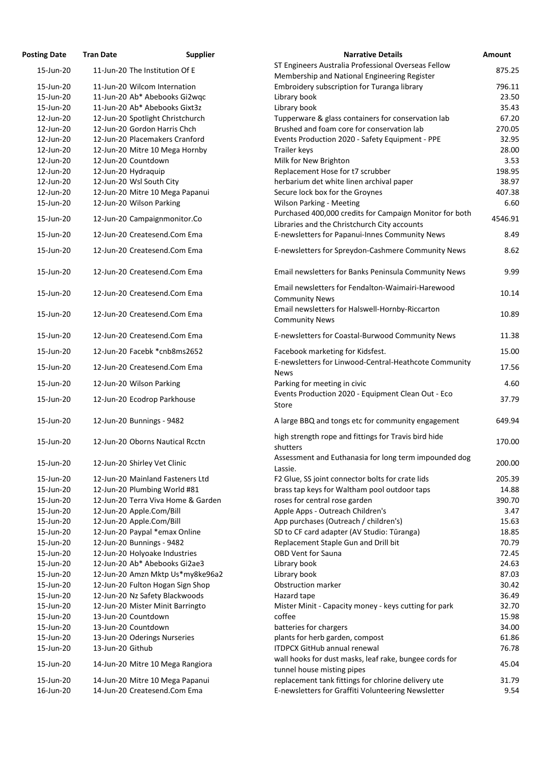| <b>Posting Date</b>    | <b>Tran Date</b>               | <b>Supplier</b>                                                 | <b>Narrative Details</b>                                                                                  | <b>Amount</b> |
|------------------------|--------------------------------|-----------------------------------------------------------------|-----------------------------------------------------------------------------------------------------------|---------------|
| 15-Jun-20              | 11-Jun-20 The Institution Of E |                                                                 | ST Engineers Australia Professional Overseas Fellow                                                       | 875.25        |
|                        |                                |                                                                 | Membership and National Engineering Register                                                              |               |
| 15-Jun-20              | 11-Jun-20 Wilcom Internation   |                                                                 | Embroidery subscription for Turanga library                                                               | 796.11        |
| 15-Jun-20              |                                | 11-Jun-20 Ab* Abebooks Gi2wgc                                   | Library book                                                                                              | 23.50         |
| 15-Jun-20              |                                | 11-Jun-20 Ab* Abebooks Gixt3z                                   | Library book                                                                                              | 35.43         |
| 12-Jun-20              |                                | 12-Jun-20 Spotlight Christchurch                                | Tupperware & glass containers for conservation lab                                                        | 67.20         |
| 12-Jun-20              | 12-Jun-20 Gordon Harris Chch   |                                                                 | Brushed and foam core for conservation lab                                                                | 270.05        |
| 12-Jun-20              |                                | 12-Jun-20 Placemakers Cranford                                  | Events Production 2020 - Safety Equipment - PPE                                                           | 32.95         |
| 12-Jun-20              |                                | 12-Jun-20 Mitre 10 Mega Hornby                                  | Trailer keys                                                                                              | 28.00         |
| 12-Jun-20              | 12-Jun-20 Countdown            |                                                                 | Milk for New Brighton                                                                                     | 3.53          |
| 12-Jun-20              | 12-Jun-20 Hydraquip            |                                                                 | Replacement Hose for t7 scrubber                                                                          | 198.95        |
| 12-Jun-20              | 12-Jun-20 Wsl South City       |                                                                 | herbarium det white linen archival paper                                                                  | 38.97         |
| 12-Jun-20              |                                | 12-Jun-20 Mitre 10 Mega Papanui                                 | Secure lock box for the Groynes                                                                           | 407.38        |
| 15-Jun-20              | 12-Jun-20 Wilson Parking       |                                                                 | <b>Wilson Parking - Meeting</b>                                                                           | 6.60          |
| 15-Jun-20              |                                | 12-Jun-20 Campaignmonitor.Co                                    | Purchased 400,000 credits for Campaign Monitor for both                                                   | 4546.91       |
|                        |                                |                                                                 | Libraries and the Christchurch City accounts                                                              |               |
| 15-Jun-20              | 12-Jun-20 Createsend.Com Ema   |                                                                 | E-newsletters for Papanui-Innes Community News                                                            | 8.49          |
| 15-Jun-20              | 12-Jun-20 Createsend.Com Ema   |                                                                 | E-newsletters for Spreydon-Cashmere Community News                                                        | 8.62          |
| 15-Jun-20              | 12-Jun-20 Createsend.Com Ema   |                                                                 | Email newsletters for Banks Peninsula Community News                                                      | 9.99          |
| 15-Jun-20              | 12-Jun-20 Createsend.Com Ema   |                                                                 | Email newsletters for Fendalton-Waimairi-Harewood<br><b>Community News</b>                                | 10.14         |
| 15-Jun-20              | 12-Jun-20 Createsend.Com Ema   |                                                                 | Email newsletters for Halswell-Hornby-Riccarton                                                           | 10.89         |
| 15-Jun-20              | 12-Jun-20 Createsend.Com Ema   |                                                                 | <b>Community News</b><br>E-newsletters for Coastal-Burwood Community News                                 | 11.38         |
|                        |                                |                                                                 |                                                                                                           |               |
| 15-Jun-20              | 12-Jun-20 Facebk *cnb8ms2652   |                                                                 | Facebook marketing for Kidsfest.<br>E-newsletters for Linwood-Central-Heathcote Community                 | 15.00         |
| 15-Jun-20              | 12-Jun-20 Createsend.Com Ema   |                                                                 | <b>News</b>                                                                                               | 17.56         |
| 15-Jun-20              | 12-Jun-20 Wilson Parking       |                                                                 | Parking for meeting in civic<br>Events Production 2020 - Equipment Clean Out - Eco                        | 4.60          |
| 15-Jun-20              | 12-Jun-20 Ecodrop Parkhouse    |                                                                 | Store                                                                                                     | 37.79         |
| 15-Jun-20              | 12-Jun-20 Bunnings - 9482      |                                                                 | A large BBQ and tongs etc for community engagement                                                        | 649.94        |
| 15-Jun-20              |                                | 12-Jun-20 Oborns Nautical Rcctn                                 | high strength rope and fittings for Travis bird hide<br>shutters                                          | 170.00        |
| 15-Jun-20              | 12-Jun-20 Shirley Vet Clinic   |                                                                 | Assessment and Euthanasia for long term impounded dog<br>Lassie.                                          | 200.00        |
| 15-Jun-20              |                                | 12-Jun-20 Mainland Fasteners Ltd                                | F2 Glue, SS joint connector bolts for crate lids                                                          | 205.39        |
| 15-Jun-20              | 12-Jun-20 Plumbing World #81   |                                                                 | brass tap keys for Waltham pool outdoor taps                                                              | 14.88         |
| 15-Jun-20              |                                | 12-Jun-20 Terra Viva Home & Garden                              | roses for central rose garden                                                                             | 390.70        |
| 15-Jun-20              | 12-Jun-20 Apple.Com/Bill       |                                                                 | Apple Apps - Outreach Children's                                                                          | 3.47          |
| 15-Jun-20              | 12-Jun-20 Apple.Com/Bill       |                                                                 | App purchases (Outreach / children's)                                                                     | 15.63         |
| 15-Jun-20              | 12-Jun-20 Paypal *emax Online  |                                                                 | SD to CF card adapter (AV Studio: Tūranga)                                                                | 18.85         |
| 15-Jun-20              | 12-Jun-20 Bunnings - 9482      |                                                                 | Replacement Staple Gun and Drill bit                                                                      | 70.79         |
| 15-Jun-20              | 12-Jun-20 Holyoake Industries  |                                                                 | <b>OBD Vent for Sauna</b>                                                                                 | 72.45         |
| 15-Jun-20              |                                | 12-Jun-20 Ab* Abebooks Gi2ae3                                   | Library book                                                                                              | 24.63         |
| 15-Jun-20              |                                | 12-Jun-20 Amzn Mktp Us*my8ke96a2                                | Library book                                                                                              | 87.03         |
| 15-Jun-20              |                                | 12-Jun-20 Fulton Hogan Sign Shop                                | <b>Obstruction marker</b>                                                                                 | 30.42         |
| 15-Jun-20              |                                | 12-Jun-20 Nz Safety Blackwoods                                  | Hazard tape                                                                                               | 36.49         |
| 15-Jun-20              |                                | 12-Jun-20 Mister Minit Barringto                                | Mister Minit - Capacity money - keys cutting for park                                                     | 32.70         |
| 15-Jun-20              | 13-Jun-20 Countdown            |                                                                 | coffee                                                                                                    | 15.98         |
| 15-Jun-20              | 13-Jun-20 Countdown            |                                                                 | batteries for chargers                                                                                    | 34.00         |
| 15-Jun-20              | 13-Jun-20 Oderings Nurseries   |                                                                 | plants for herb garden, compost                                                                           | 61.86         |
| 15-Jun-20              | 13-Jun-20 Github               |                                                                 | <b>ITDPCX GitHub annual renewal</b>                                                                       | 76.78         |
| 15-Jun-20              |                                | 14-Jun-20 Mitre 10 Mega Rangiora                                | wall hooks for dust masks, leaf rake, bungee cords for                                                    | 45.04         |
|                        |                                |                                                                 | tunnel house misting pipes                                                                                |               |
| 15-Jun-20<br>16-Jun-20 |                                | 14-Jun-20 Mitre 10 Mega Papanui<br>14-Jun-20 Createsend.Com Ema | replacement tank fittings for chlorine delivery ute<br>E-newsletters for Graffiti Volunteering Newsletter | 31.79<br>9.54 |
|                        |                                |                                                                 |                                                                                                           |               |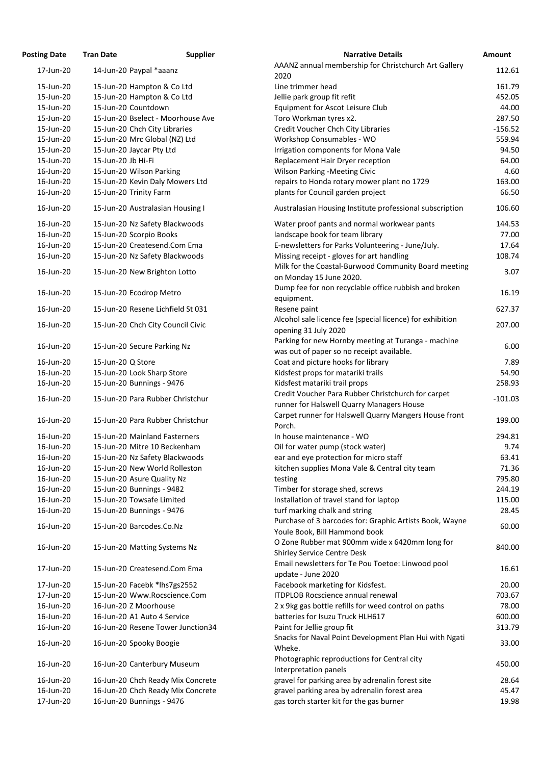| <b>Posting Date</b> | <b>Tran Date</b>                  | <b>Supplier</b>                   | <b>Narrative Details</b>                                  | Amount    |
|---------------------|-----------------------------------|-----------------------------------|-----------------------------------------------------------|-----------|
| 17-Jun-20           | 14-Jun-20 Paypal *aaanz           |                                   | AAANZ annual membership for Christchurch Art Gallery      | 112.61    |
|                     |                                   |                                   | 2020                                                      |           |
| 15-Jun-20           | 15-Jun-20 Hampton & Co Ltd        |                                   | Line trimmer head                                         | 161.79    |
| 15-Jun-20           | 15-Jun-20 Hampton & Co Ltd        |                                   | Jellie park group fit refit                               | 452.05    |
| 15-Jun-20           | 15-Jun-20 Countdown               |                                   | Equipment for Ascot Leisure Club                          | 44.00     |
| 15-Jun-20           |                                   | 15-Jun-20 Bselect - Moorhouse Ave | Toro Workman tyres x2.                                    | 287.50    |
| 15-Jun-20           | 15-Jun-20 Chch City Libraries     |                                   | Credit Voucher Chch City Libraries                        | $-156.52$ |
| 15-Jun-20           | 15-Jun-20 Mrc Global (NZ) Ltd     |                                   | Workshop Consumables - WO                                 | 559.94    |
| 15-Jun-20           | 15-Jun-20 Jaycar Pty Ltd          |                                   | Irrigation components for Mona Vale                       | 94.50     |
| 15-Jun-20           | 15-Jun-20 Jb Hi-Fi                |                                   | Replacement Hair Dryer reception                          | 64.00     |
| 16-Jun-20           | 15-Jun-20 Wilson Parking          |                                   | <b>Wilson Parking -Meeting Civic</b>                      | 4.60      |
| 16-Jun-20           | 15-Jun-20 Kevin Daly Mowers Ltd   |                                   | repairs to Honda rotary mower plant no 1729               | 163.00    |
| 16-Jun-20           | 15-Jun-20 Trinity Farm            |                                   | plants for Council garden project                         | 66.50     |
| 16-Jun-20           | 15-Jun-20 Australasian Housing I  |                                   | Australasian Housing Institute professional subscription  | 106.60    |
| 16-Jun-20           | 15-Jun-20 Nz Safety Blackwoods    |                                   | Water proof pants and normal workwear pants               | 144.53    |
| 16-Jun-20           | 15-Jun-20 Scorpio Books           |                                   | landscape book for team library                           | 77.00     |
| 16-Jun-20           | 15-Jun-20 Createsend.Com Ema      |                                   | E-newsletters for Parks Volunteering - June/July.         | 17.64     |
| 16-Jun-20           | 15-Jun-20 Nz Safety Blackwoods    |                                   | Missing receipt - gloves for art handling                 | 108.74    |
|                     |                                   |                                   | Milk for the Coastal-Burwood Community Board meeting      |           |
| 16-Jun-20           | 15-Jun-20 New Brighton Lotto      |                                   | on Monday 15 June 2020.                                   | 3.07      |
|                     |                                   |                                   | Dump fee for non recyclable office rubbish and broken     |           |
| 16-Jun-20           | 15-Jun-20 Ecodrop Metro           |                                   | equipment.                                                | 16.19     |
| 16-Jun-20           | 15-Jun-20 Resene Lichfield St 031 |                                   | Resene paint                                              | 627.37    |
|                     |                                   |                                   | Alcohol sale licence fee (special licence) for exhibition |           |
| 16-Jun-20           | 15-Jun-20 Chch City Council Civic |                                   | opening 31 July 2020                                      | 207.00    |
|                     |                                   |                                   | Parking for new Hornby meeting at Turanga - machine       |           |
| 16-Jun-20           | 15-Jun-20 Secure Parking Nz       |                                   | was out of paper so no receipt available.                 | 6.00      |
| 16-Jun-20           | 15-Jun-20 Q Store                 |                                   | Coat and picture hooks for library                        | 7.89      |
| 16-Jun-20           | 15-Jun-20 Look Sharp Store        |                                   | Kidsfest props for matariki trails                        | 54.90     |
| 16-Jun-20           | 15-Jun-20 Bunnings - 9476         |                                   | Kidsfest matariki trail props                             | 258.93    |
|                     |                                   |                                   | Credit Voucher Para Rubber Christchurch for carpet        |           |
| 16-Jun-20           | 15-Jun-20 Para Rubber Christchur  |                                   | runner for Halswell Quarry Managers House                 | $-101.03$ |
|                     |                                   |                                   | Carpet runner for Halswell Quarry Mangers House front     |           |
| 16-Jun-20           | 15-Jun-20 Para Rubber Christchur  |                                   | Porch.                                                    | 199.00    |
| 16-Jun-20           | 15-Jun-20 Mainland Fasterners     |                                   | In house maintenance - WO                                 | 294.81    |
| 16-Jun-20           | 15-Jun-20 Mitre 10 Beckenham      |                                   | Oil for water pump (stock water)                          | 9.74      |
| 16-Jun-20           | 15-Jun-20 Nz Safety Blackwoods    |                                   | ear and eye protection for micro staff                    | 63.41     |
| 16-Jun-20           | 15-Jun-20 New World Rolleston     |                                   | kitchen supplies Mona Vale & Central city team            | 71.36     |
| 16-Jun-20           | 15-Jun-20 Asure Quality Nz        |                                   |                                                           | 795.80    |
|                     |                                   |                                   | testing                                                   |           |
| 16-Jun-20           | 15-Jun-20 Bunnings - 9482         |                                   | Timber for storage shed, screws                           | 244.19    |
| 16-Jun-20           | 15-Jun-20 Towsafe Limited         |                                   | Installation of travel stand for laptop                   | 115.00    |
| 16-Jun-20           | 15-Jun-20 Bunnings - 9476         |                                   | turf marking chalk and string                             | 28.45     |
| 16-Jun-20           | 15-Jun-20 Barcodes.Co.Nz          |                                   | Purchase of 3 barcodes for: Graphic Artists Book, Wayne   | 60.00     |
|                     |                                   |                                   | Youle Book, Bill Hammond book                             |           |
| 16-Jun-20           | 15-Jun-20 Matting Systems Nz      |                                   | O Zone Rubber mat 900mm wide x 6420mm long for            | 840.00    |
|                     |                                   |                                   | <b>Shirley Service Centre Desk</b>                        |           |
| 17-Jun-20           | 15-Jun-20 Createsend.Com Ema      |                                   | Email newsletters for Te Pou Toetoe: Linwood pool         | 16.61     |
| 17-Jun-20           | 15-Jun-20 Facebk *lhs7gs2552      |                                   | update - June 2020<br>Facebook marketing for Kidsfest.    | 20.00     |
| 17-Jun-20           | 15-Jun-20 Www.Rocscience.Com      |                                   | <b>ITDPLOB Rocscience annual renewal</b>                  | 703.67    |
|                     |                                   |                                   |                                                           |           |
| 16-Jun-20           | 16-Jun-20 Z Moorhouse             |                                   | 2 x 9kg gas bottle refills for weed control on paths      | 78.00     |
| 16-Jun-20           | 16-Jun-20 A1 Auto 4 Service       |                                   | batteries for Isuzu Truck HLH617                          | 600.00    |
| 16-Jun-20           |                                   | 16-Jun-20 Resene Tower Junction34 | Paint for Jellie group fit                                | 313.79    |
| 16-Jun-20           | 16-Jun-20 Spooky Boogie           |                                   | Snacks for Naval Point Development Plan Hui with Ngati    | 33.00     |
|                     |                                   |                                   | Wheke.                                                    |           |
| 16-Jun-20           | 16-Jun-20 Canterbury Museum       |                                   | Photographic reproductions for Central city               | 450.00    |
|                     |                                   |                                   | Interpretation panels                                     |           |
| 16-Jun-20           |                                   | 16-Jun-20 Chch Ready Mix Concrete | gravel for parking area by adrenalin forest site          | 28.64     |
| 16-Jun-20           |                                   | 16-Jun-20 Chch Ready Mix Concrete | gravel parking area by adrenalin forest area              | 45.47     |
| 17-Jun-20           | 16-Jun-20 Bunnings - 9476         |                                   | gas torch starter kit for the gas burner                  | 19.98     |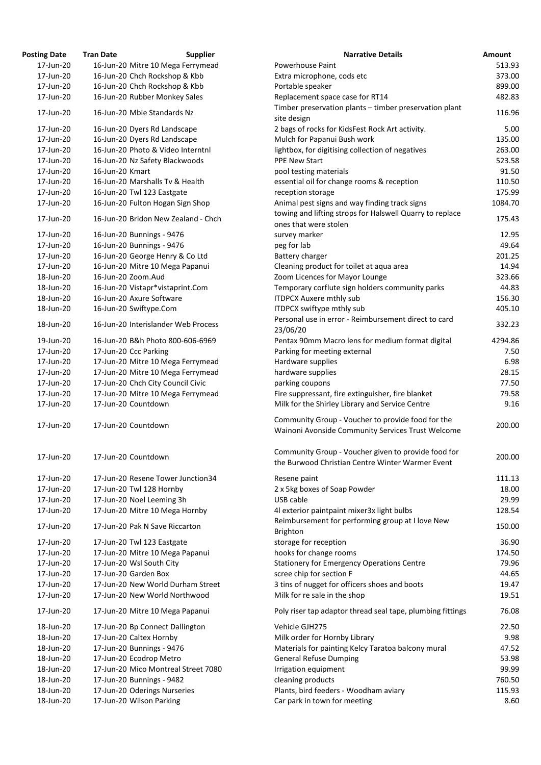| osting Date | <b>Tran Date</b>                    | <b>Supplier</b> | <b>Narrative Details</b>                                                                                |
|-------------|-------------------------------------|-----------------|---------------------------------------------------------------------------------------------------------|
| 17-Jun-20   | 16-Jun-20 Mitre 10 Mega Ferrymead   |                 | <b>Powerhouse Paint</b>                                                                                 |
| 17-Jun-20   | 16-Jun-20 Chch Rockshop & Kbb       |                 | Extra microphone, cods etc                                                                              |
| 17-Jun-20   | 16-Jun-20 Chch Rockshop & Kbb       |                 | Portable speaker                                                                                        |
| 17-Jun-20   | 16-Jun-20 Rubber Monkey Sales       |                 | Replacement space case for RT14                                                                         |
| 17-Jun-20   | 16-Jun-20 Mbie Standards Nz         |                 | Timber preservation plants - timber preservation plant<br>site design                                   |
| 17-Jun-20   | 16-Jun-20 Dyers Rd Landscape        |                 | 2 bags of rocks for KidsFest Rock Art activity.                                                         |
| 17-Jun-20   | 16-Jun-20 Dyers Rd Landscape        |                 | Mulch for Papanui Bush work                                                                             |
| 17-Jun-20   | 16-Jun-20 Photo & Video Interntnl   |                 | lightbox, for digitising collection of negatives                                                        |
| 17-Jun-20   | 16-Jun-20 Nz Safety Blackwoods      |                 | <b>PPE New Start</b>                                                                                    |
| 17-Jun-20   | 16-Jun-20 Kmart                     |                 | pool testing materials                                                                                  |
| 17-Jun-20   | 16-Jun-20 Marshalls Tv & Health     |                 | essential oil for change rooms & reception                                                              |
| 17-Jun-20   | 16-Jun-20 Twl 123 Eastgate          |                 | reception storage                                                                                       |
| 17-Jun-20   | 16-Jun-20 Fulton Hogan Sign Shop    |                 | Animal pest signs and way finding track signs                                                           |
| 17-Jun-20   | 16-Jun-20 Bridon New Zealand - Chch |                 | towing and lifting strops for Halswell Quarry to replace<br>ones that were stolen                       |
| 17-Jun-20   | 16-Jun-20 Bunnings - 9476           |                 | survey marker                                                                                           |
| 17-Jun-20   | 16-Jun-20 Bunnings - 9476           |                 | peg for lab                                                                                             |
| 17-Jun-20   | 16-Jun-20 George Henry & Co Ltd     |                 | Battery charger                                                                                         |
| 17-Jun-20   | 16-Jun-20 Mitre 10 Mega Papanui     |                 | Cleaning product for toilet at aqua area                                                                |
| 18-Jun-20   | 16-Jun-20 Zoom.Aud                  |                 | Zoom Licences for Mayor Lounge                                                                          |
| 18-Jun-20   | 16-Jun-20 Vistapr*vistaprint.Com    |                 | Temporary corflute sign holders community parks                                                         |
| 18-Jun-20   | 16-Jun-20 Axure Software            |                 | <b>ITDPCX Auxere mthly sub</b>                                                                          |
| 18-Jun-20   | 16-Jun-20 Swiftype.Com              |                 | ITDPCX swiftype mthly sub                                                                               |
|             |                                     |                 | Personal use in error - Reimbursement direct to card                                                    |
| 18-Jun-20   | 16-Jun-20 Interislander Web Process |                 | 23/06/20                                                                                                |
| 19-Jun-20   | 16-Jun-20 B&h Photo 800-606-6969    |                 | Pentax 90mm Macro lens for medium format digital                                                        |
| 17-Jun-20   | 17-Jun-20 Ccc Parking               |                 | Parking for meeting external                                                                            |
| 17-Jun-20   | 17-Jun-20 Mitre 10 Mega Ferrymead   |                 | Hardware supplies                                                                                       |
| 17-Jun-20   | 17-Jun-20 Mitre 10 Mega Ferrymead   |                 | hardware supplies                                                                                       |
| 17-Jun-20   | 17-Jun-20 Chch City Council Civic   |                 | parking coupons                                                                                         |
| 17-Jun-20   | 17-Jun-20 Mitre 10 Mega Ferrymead   |                 | Fire suppressant, fire extinguisher, fire blanket                                                       |
| 17-Jun-20   | 17-Jun-20 Countdown                 |                 | Milk for the Shirley Library and Service Centre                                                         |
| 17-Jun-20   | 17-Jun-20 Countdown                 |                 | Community Group - Voucher to provide food for the<br>Wainoni Avonside Community Services Trust Welcome  |
| 17-Jun-20   | 17-Jun-20 Countdown                 |                 | Community Group - Voucher given to provide food for<br>the Burwood Christian Centre Winter Warmer Event |
| 17-Jun-20   | 17-Jun-20 Resene Tower Junction34   |                 | Resene paint                                                                                            |
| 17-Jun-20   | 17-Jun-20 Twl 128 Hornby            |                 | 2 x 5kg boxes of Soap Powder                                                                            |
| 17-Jun-20   | 17-Jun-20 Noel Leeming 3h           |                 | USB cable                                                                                               |
| 17-Jun-20   | 17-Jun-20 Mitre 10 Mega Hornby      |                 | 4l exterior paintpaint mixer3x light bulbs                                                              |
| 17-Jun-20   | 17-Jun-20 Pak N Save Riccarton      |                 | Reimbursement for performing group at I love New<br><b>Brighton</b>                                     |
| 17-Jun-20   | 17-Jun-20 Twl 123 Eastgate          |                 | storage for reception                                                                                   |
| 17-Jun-20   | 17-Jun-20 Mitre 10 Mega Papanui     |                 | hooks for change rooms                                                                                  |
| 17-Jun-20   | 17-Jun-20 Wsl South City            |                 | <b>Stationery for Emergency Operations Centre</b>                                                       |
| 17-Jun-20   | 17-Jun-20 Garden Box                |                 | scree chip for section F                                                                                |
| 17-Jun-20   | 17-Jun-20 New World Durham Street   |                 | 3 tins of nugget for officers shoes and boots                                                           |
| 17-Jun-20   | 17-Jun-20 New World Northwood       |                 | Milk for re sale in the shop                                                                            |
| 17-Jun-20   | 17-Jun-20 Mitre 10 Mega Papanui     |                 | Poly riser tap adaptor thread seal tape, plumbing fitting                                               |
| 18-Jun-20   | 17-Jun-20 Bp Connect Dallington     |                 | Vehicle GJH275                                                                                          |
| 18-Jun-20   | 17-Jun-20 Caltex Hornby             |                 | Milk order for Hornby Library                                                                           |
| 18-Jun-20   | 17-Jun-20 Bunnings - 9476           |                 | Materials for painting Kelcy Taratoa balcony mural                                                      |
| 18-Jun-20   | 17-Jun-20 Ecodrop Metro             |                 | <b>General Refuse Dumping</b>                                                                           |
| 18-Jun-20   | 17-Jun-20 Mico Montreal Street 7080 |                 | Irrigation equipment                                                                                    |
| 18-Jun-20   | 17-Jun-20 Bunnings - 9482           |                 | cleaning products                                                                                       |
| 18-Jun-20   | 17-Jun-20 Oderings Nurseries        |                 | Plants, bird feeders - Woodham aviary                                                                   |
| 18.11n.20   | 17-lun-20 Wilson Parking            |                 | Car nark in town for meeting                                                                            |

| <b>Posting Date</b>    | <b>Tran Date</b><br><b>Supplier</b> | <b>Narrative Details</b>                                                                                  | Amount  |
|------------------------|-------------------------------------|-----------------------------------------------------------------------------------------------------------|---------|
| 17-Jun-20              | 16-Jun-20 Mitre 10 Mega Ferrymead   | <b>Powerhouse Paint</b>                                                                                   | 513.93  |
| 17-Jun-20              | 16-Jun-20 Chch Rockshop & Kbb       | Extra microphone, cods etc                                                                                | 373.00  |
| 17-Jun-20              | 16-Jun-20 Chch Rockshop & Kbb       | Portable speaker                                                                                          | 899.00  |
| 17-Jun-20              | 16-Jun-20 Rubber Monkey Sales       | Replacement space case for RT14                                                                           | 482.83  |
| 17-Jun-20              | 16-Jun-20 Mbie Standards Nz         | Timber preservation plants - timber preservation plant                                                    | 116.96  |
| 17-Jun-20              | 16-Jun-20 Dyers Rd Landscape        | site design<br>2 bags of rocks for KidsFest Rock Art activity.                                            | 5.00    |
| 17-Jun-20              | 16-Jun-20 Dyers Rd Landscape        | Mulch for Papanui Bush work                                                                               | 135.00  |
| 17-Jun-20              | 16-Jun-20 Photo & Video Interntnl   | lightbox, for digitising collection of negatives                                                          | 263.00  |
| 17-Jun-20              | 16-Jun-20 Nz Safety Blackwoods      | <b>PPE New Start</b>                                                                                      | 523.58  |
| 17-Jun-20              | 16-Jun-20 Kmart                     | pool testing materials                                                                                    | 91.50   |
| 17-Jun-20              | 16-Jun-20 Marshalls Tv & Health     |                                                                                                           | 110.50  |
|                        |                                     | essential oil for change rooms & reception                                                                | 175.99  |
| 17-Jun-20<br>17-Jun-20 | 16-Jun-20 Twl 123 Eastgate          | reception storage                                                                                         | 1084.70 |
|                        | 16-Jun-20 Fulton Hogan Sign Shop    | Animal pest signs and way finding track signs<br>towing and lifting strops for Halswell Quarry to replace |         |
| 17-Jun-20              | 16-Jun-20 Bridon New Zealand - Chch | ones that were stolen                                                                                     | 175.43  |
| 17-Jun-20              | 16-Jun-20 Bunnings - 9476           | survey marker                                                                                             | 12.95   |
| 17-Jun-20              | 16-Jun-20 Bunnings - 9476           | peg for lab                                                                                               | 49.64   |
| 17-Jun-20              | 16-Jun-20 George Henry & Co Ltd     | Battery charger                                                                                           | 201.25  |
| 17-Jun-20              | 16-Jun-20 Mitre 10 Mega Papanui     | Cleaning product for toilet at aqua area                                                                  | 14.94   |
| 18-Jun-20              | 16-Jun-20 Zoom.Aud                  | Zoom Licences for Mayor Lounge                                                                            | 323.66  |
| 18-Jun-20              | 16-Jun-20 Vistapr*vistaprint.Com    | Temporary corflute sign holders community parks                                                           | 44.83   |
| 18-Jun-20              | 16-Jun-20 Axure Software            | <b>ITDPCX Auxere mthly sub</b>                                                                            | 156.30  |
| 18-Jun-20              | 16-Jun-20 Swiftype.Com              | ITDPCX swiftype mthly sub                                                                                 | 405.10  |
| 18-Jun-20              | 16-Jun-20 Interislander Web Process | Personal use in error - Reimbursement direct to card<br>23/06/20                                          | 332.23  |
| 19-Jun-20              | 16-Jun-20 B&h Photo 800-606-6969    | Pentax 90mm Macro lens for medium format digital                                                          | 4294.86 |
| 17-Jun-20              | 17-Jun-20 Ccc Parking               | Parking for meeting external                                                                              | 7.50    |
| 17-Jun-20              | 17-Jun-20 Mitre 10 Mega Ferrymead   | Hardware supplies                                                                                         | 6.98    |
| 17-Jun-20              | 17-Jun-20 Mitre 10 Mega Ferrymead   | hardware supplies                                                                                         | 28.15   |
| 17-Jun-20              | 17-Jun-20 Chch City Council Civic   | parking coupons                                                                                           | 77.50   |
| 17-Jun-20              | 17-Jun-20 Mitre 10 Mega Ferrymead   | Fire suppressant, fire extinguisher, fire blanket                                                         | 79.58   |
| 17-Jun-20              | 17-Jun-20 Countdown                 | Milk for the Shirley Library and Service Centre                                                           | 9.16    |
| 17-Jun-20              | 17-Jun-20 Countdown                 | Community Group - Voucher to provide food for the<br>Wainoni Avonside Community Services Trust Welcome    | 200.00  |
| 17-Jun-20              | 17-Jun-20 Countdown                 | Community Group - Voucher given to provide food for<br>the Burwood Christian Centre Winter Warmer Event   | 200.00  |
| 17-Jun-20              | 17-Jun-20 Resene Tower Junction34   | Resene paint                                                                                              | 111.13  |
| 17-Jun-20              | 17-Jun-20 Twl 128 Hornby            | 2 x 5kg boxes of Soap Powder                                                                              | 18.00   |
| 17-Jun-20              | 17-Jun-20 Noel Leeming 3h           | USB cable                                                                                                 | 29.99   |
| 17-Jun-20              | 17-Jun-20 Mitre 10 Mega Hornby      | 4l exterior paintpaint mixer3x light bulbs                                                                | 128.54  |
| 17-Jun-20              | 17-Jun-20 Pak N Save Riccarton      | Reimbursement for performing group at I love New                                                          | 150.00  |
| 17-Jun-20              | 17-Jun-20 Twl 123 Eastgate          | <b>Brighton</b><br>storage for reception                                                                  | 36.90   |
| 17-Jun-20              | 17-Jun-20 Mitre 10 Mega Papanui     | hooks for change rooms                                                                                    | 174.50  |
| 17-Jun-20              | 17-Jun-20 Wsl South City            | <b>Stationery for Emergency Operations Centre</b>                                                         | 79.96   |
| 17-Jun-20              | 17-Jun-20 Garden Box                | scree chip for section F                                                                                  | 44.65   |
| 17-Jun-20              | 17-Jun-20 New World Durham Street   | 3 tins of nugget for officers shoes and boots                                                             | 19.47   |
| 17-Jun-20              | 17-Jun-20 New World Northwood       | Milk for re sale in the shop                                                                              | 19.51   |
| 17-Jun-20              | 17-Jun-20 Mitre 10 Mega Papanui     | Poly riser tap adaptor thread seal tape, plumbing fittings                                                | 76.08   |
|                        |                                     |                                                                                                           |         |
| 18-Jun-20              | 17-Jun-20 Bp Connect Dallington     | Vehicle GJH275                                                                                            | 22.50   |
| 18-Jun-20              | 17-Jun-20 Caltex Hornby             | Milk order for Hornby Library                                                                             | 9.98    |
| 18-Jun-20              | 17-Jun-20 Bunnings - 9476           | Materials for painting Kelcy Taratoa balcony mural                                                        | 47.52   |
| 18-Jun-20              | 17-Jun-20 Ecodrop Metro             | <b>General Refuse Dumping</b>                                                                             | 53.98   |
| 18-Jun-20              | 17-Jun-20 Mico Montreal Street 7080 | Irrigation equipment                                                                                      | 99.99   |
| 18-Jun-20              | 17-Jun-20 Bunnings - 9482           | cleaning products                                                                                         | 760.50  |
| 18-Jun-20              | 17-Jun-20 Oderings Nurseries        | Plants, bird feeders - Woodham aviary                                                                     | 115.93  |
| 18-Jun-20              | 17-Jun-20 Wilson Parking            | Car park in town for meeting                                                                              | 8.60    |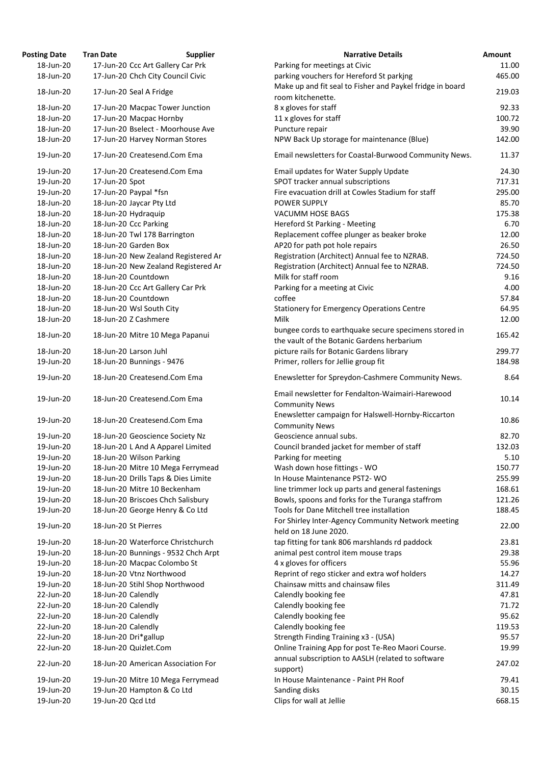| <b>osting Date</b> | <b>Tran Date</b>          | <b>Supplier</b>                     | <b>Narrative Details</b>                                                                           |
|--------------------|---------------------------|-------------------------------------|----------------------------------------------------------------------------------------------------|
| 18-Jun-20          |                           | 17-Jun-20 Ccc Art Gallery Car Prk   | Parking for meetings at Civic                                                                      |
| 18-Jun-20          |                           | 17-Jun-20 Chch City Council Civic   | parking vouchers for Hereford St parking                                                           |
| 18-Jun-20          | 17-Jun-20 Seal A Fridge   |                                     | Make up and fit seal to Fisher and Paykel fridge in boar                                           |
|                    |                           |                                     | room kitchenette.                                                                                  |
| 18-Jun-20          |                           | 17-Jun-20 Macpac Tower Junction     | 8 x gloves for staff                                                                               |
| 18-Jun-20          | 17-Jun-20 Macpac Hornby   |                                     | 11 x gloves for staff                                                                              |
| 18-Jun-20          |                           | 17-Jun-20 Bselect - Moorhouse Ave   | Puncture repair                                                                                    |
| 18-Jun-20          |                           | 17-Jun-20 Harvey Norman Stores      | NPW Back Up storage for maintenance (Blue)                                                         |
| 19-Jun-20          |                           | 17-Jun-20 Createsend.Com Ema        | Email newsletters for Coastal-Burwood Community Ne                                                 |
| 19-Jun-20          |                           | 17-Jun-20 Createsend.Com Ema        | Email updates for Water Supply Update                                                              |
| 19-Jun-20          | 17-Jun-20 Spot            |                                     | SPOT tracker annual subscriptions                                                                  |
| 19-Jun-20          | 17-Jun-20 Paypal *fsn     |                                     | Fire evacuation drill at Cowles Stadium for staff                                                  |
| 18-Jun-20          | 18-Jun-20 Jaycar Pty Ltd  |                                     | <b>POWER SUPPLY</b>                                                                                |
| 18-Jun-20          | 18-Jun-20 Hydraquip       |                                     | <b>VACUMM HOSE BAGS</b>                                                                            |
| 18-Jun-20          | 18-Jun-20 Ccc Parking     |                                     | Hereford St Parking - Meeting                                                                      |
| 18-Jun-20          |                           | 18-Jun-20 Twl 178 Barrington        | Replacement coffee plunger as beaker broke                                                         |
| 18-Jun-20          | 18-Jun-20 Garden Box      |                                     | AP20 for path pot hole repairs                                                                     |
| 18-Jun-20          |                           | 18-Jun-20 New Zealand Registered Ar | Registration (Architect) Annual fee to NZRAB.                                                      |
| 18-Jun-20          |                           | 18-Jun-20 New Zealand Registered Ar | Registration (Architect) Annual fee to NZRAB.                                                      |
| 18-Jun-20          | 18-Jun-20 Countdown       |                                     | Milk for staff room                                                                                |
| 18-Jun-20          |                           | 18-Jun-20 Ccc Art Gallery Car Prk   | Parking for a meeting at Civic                                                                     |
| 18-Jun-20          | 18-Jun-20 Countdown       |                                     | coffee                                                                                             |
| 18-Jun-20          | 18-Jun-20 Wsl South City  |                                     | <b>Stationery for Emergency Operations Centre</b>                                                  |
| 18-Jun-20          | 18-Jun-20 Z Cashmere      |                                     | Milk                                                                                               |
| 18-Jun-20          |                           | 18-Jun-20 Mitre 10 Mega Papanui     | bungee cords to earthquake secure specimens stored i<br>the vault of the Botanic Gardens herbarium |
| 18-Jun-20          | 18-Jun-20 Larson Juhl     |                                     | picture rails for Botanic Gardens library                                                          |
| 19-Jun-20          | 18-Jun-20 Bunnings - 9476 |                                     | Primer, rollers for Jellie group fit                                                               |
| 19-Jun-20          |                           | 18-Jun-20 Createsend.Com Ema        | Enewsletter for Spreydon-Cashmere Community News                                                   |
|                    |                           |                                     | Email newsletter for Fendalton-Waimairi-Harewood                                                   |
| 19-Jun-20          |                           | 18-Jun-20 Createsend.Com Ema        | <b>Community News</b>                                                                              |
|                    |                           |                                     | Enewsletter campaign for Halswell-Hornby-Riccarton                                                 |
| 19-Jun-20          |                           | 18-Jun-20 Createsend.Com Ema        | <b>Community News</b>                                                                              |
| 19-Jun-20          |                           | 18-Jun-20 Geoscience Society Nz     | Geoscience annual subs.                                                                            |
| 19-Jun-20          |                           | 18-Jun-20 L And A Apparel Limited   | Council branded jacket for member of staff                                                         |
| 19-Jun-20          | 18-Jun-20 Wilson Parking  |                                     | Parking for meeting                                                                                |
| 19-Jun-20          |                           | 18-Jun-20 Mitre 10 Mega Ferrymead   | Wash down hose fittings - WO                                                                       |
| 19-Jun-20          |                           | 18-Jun-20 Drills Taps & Dies Limite | In House Maintenance PST2-WO                                                                       |
| 19-Jun-20          |                           | 18-Jun-20 Mitre 10 Beckenham        | line trimmer lock up parts and general fastenings                                                  |
| 19-Jun-20          |                           | 18-Jun-20 Briscoes Chch Salisbury   | Bowls, spoons and forks for the Turanga staffrom                                                   |
| 19-Jun-20          |                           | 18-Jun-20 George Henry & Co Ltd     | Tools for Dane Mitchell tree installation                                                          |
|                    |                           |                                     | For Shirley Inter-Agency Community Network meeting                                                 |
| 19-Jun-20          | 18-Jun-20 St Pierres      |                                     | held on 18 June 2020.                                                                              |
| 19-Jun-20          |                           | 18-Jun-20 Waterforce Christchurch   | tap fitting for tank 806 marshlands rd paddock                                                     |
| 19-Jun-20          |                           | 18-Jun-20 Bunnings - 9532 Chch Arpt | animal pest control item mouse traps                                                               |
| 19-Jun-20          |                           | 18-Jun-20 Macpac Colombo St         | 4 x gloves for officers                                                                            |
| 19-Jun-20          | 18-Jun-20 Vtnz Northwood  |                                     | Reprint of rego sticker and extra wof holders                                                      |
| 19-Jun-20          |                           | 18-Jun-20 Stihl Shop Northwood      | Chainsaw mitts and chainsaw files                                                                  |
| 22-Jun-20          | 18-Jun-20 Calendly        |                                     | Calendly booking fee                                                                               |
| 22-Jun-20          | 18-Jun-20 Calendly        |                                     | Calendly booking fee                                                                               |
| 22-Jun-20          | 18-Jun-20 Calendly        |                                     | Calendly booking fee                                                                               |
| 22-Jun-20          | 18-Jun-20 Calendly        |                                     | Calendly booking fee                                                                               |
| 22-Jun-20          | 18-Jun-20 Dri*gallup      |                                     | Strength Finding Training x3 - (USA)                                                               |
| 22-Jun-20          | 18-Jun-20 Quizlet.Com     |                                     | Online Training App for post Te-Reo Maori Course.                                                  |
| 22-Jun-20          |                           | 18-Jun-20 American Association For  | annual subscription to AASLH (related to software                                                  |
| 19-Jun-20          |                           | 19-Jun-20 Mitre 10 Mega Ferrymead   | support)<br>In House Maintenance - Paint PH Roof                                                   |
| 19-Jun-20          |                           | 19-Jun-20 Hampton & Co Ltd          | Sanding disks                                                                                      |
| 19-Jun-20          | 19-Jun-20 Qcd Ltd         |                                     | Clips for wall at Jellie                                                                           |
|                    |                           |                                     |                                                                                                    |

| <b>Posting Date</b>    | <b>Tran Date</b>     | <b>Supplier</b>                     | <b>Narrative Details</b>                                                                            | Amount           |
|------------------------|----------------------|-------------------------------------|-----------------------------------------------------------------------------------------------------|------------------|
| 18-Jun-20              |                      | 17-Jun-20 Ccc Art Gallery Car Prk   | Parking for meetings at Civic                                                                       | 11.00            |
| 18-Jun-20              |                      | 17-Jun-20 Chch City Council Civic   | parking vouchers for Hereford St parking                                                            | 465.00           |
|                        |                      |                                     | Make up and fit seal to Fisher and Paykel fridge in board                                           |                  |
| 18-Jun-20              |                      | 17-Jun-20 Seal A Fridge             | room kitchenette.                                                                                   | 219.03           |
| 18-Jun-20              |                      | 17-Jun-20 Macpac Tower Junction     | 8 x gloves for staff                                                                                | 92.33            |
| 18-Jun-20              |                      | 17-Jun-20 Macpac Hornby             | 11 x gloves for staff                                                                               | 100.72           |
| 18-Jun-20              |                      | 17-Jun-20 Bselect - Moorhouse Ave   | Puncture repair                                                                                     | 39.90            |
| 18-Jun-20              |                      | 17-Jun-20 Harvey Norman Stores      | NPW Back Up storage for maintenance (Blue)                                                          | 142.00           |
| 19-Jun-20              |                      | 17-Jun-20 Createsend.Com Ema        | Email newsletters for Coastal-Burwood Community News.                                               | 11.37            |
| 19-Jun-20              |                      | 17-Jun-20 Createsend.Com Ema        | Email updates for Water Supply Update                                                               | 24.30            |
| 19-Jun-20              | 17-Jun-20 Spot       |                                     | SPOT tracker annual subscriptions                                                                   | 717.31           |
| 19-Jun-20              |                      | 17-Jun-20 Paypal *fsn               | Fire evacuation drill at Cowles Stadium for staff                                                   | 295.00           |
| 18-Jun-20              |                      | 18-Jun-20 Jaycar Pty Ltd            | <b>POWER SUPPLY</b>                                                                                 | 85.70            |
| 18-Jun-20              |                      | 18-Jun-20 Hydraquip                 | <b>VACUMM HOSE BAGS</b>                                                                             | 175.38           |
| 18-Jun-20              |                      | 18-Jun-20 Ccc Parking               | Hereford St Parking - Meeting                                                                       | 6.70             |
| 18-Jun-20              |                      | 18-Jun-20 Twl 178 Barrington        | Replacement coffee plunger as beaker broke                                                          | 12.00            |
| 18-Jun-20              |                      | 18-Jun-20 Garden Box                | AP20 for path pot hole repairs                                                                      | 26.50            |
| 18-Jun-20              |                      |                                     |                                                                                                     |                  |
|                        |                      | 18-Jun-20 New Zealand Registered Ar | Registration (Architect) Annual fee to NZRAB.                                                       | 724.50           |
| 18-Jun-20              |                      | 18-Jun-20 New Zealand Registered Ar | Registration (Architect) Annual fee to NZRAB.                                                       | 724.50           |
| 18-Jun-20              |                      | 18-Jun-20 Countdown                 | Milk for staff room                                                                                 | 9.16             |
| 18-Jun-20              |                      | 18-Jun-20 Ccc Art Gallery Car Prk   | Parking for a meeting at Civic                                                                      | 4.00             |
| 18-Jun-20              |                      | 18-Jun-20 Countdown                 | coffee                                                                                              | 57.84            |
| 18-Jun-20              |                      | 18-Jun-20 Wsl South City            | <b>Stationery for Emergency Operations Centre</b>                                                   | 64.95            |
| 18-Jun-20              |                      | 18-Jun-20 Z Cashmere                | Milk                                                                                                | 12.00            |
| 18-Jun-20              |                      | 18-Jun-20 Mitre 10 Mega Papanui     | bungee cords to earthquake secure specimens stored in<br>the vault of the Botanic Gardens herbarium | 165.42           |
| 18-Jun-20              |                      | 18-Jun-20 Larson Juhl               | picture rails for Botanic Gardens library                                                           | 299.77           |
| 19-Jun-20              |                      | 18-Jun-20 Bunnings - 9476           | Primer, rollers for Jellie group fit                                                                | 184.98           |
| 19-Jun-20              |                      | 18-Jun-20 Createsend.Com Ema        | Enewsletter for Spreydon-Cashmere Community News.                                                   | 8.64             |
| 19-Jun-20              |                      | 18-Jun-20 Createsend.Com Ema        | Email newsletter for Fendalton-Waimairi-Harewood<br><b>Community News</b>                           | 10.14            |
| 19-Jun-20              |                      | 18-Jun-20 Createsend.Com Ema        | Enewsletter campaign for Halswell-Hornby-Riccarton<br><b>Community News</b>                         | 10.86            |
| 19-Jun-20              |                      | 18-Jun-20 Geoscience Society Nz     | Geoscience annual subs.                                                                             | 82.70            |
| 19-Jun-20              |                      | 18-Jun-20 L And A Apparel Limited   | Council branded jacket for member of staff                                                          | 132.03           |
| 19-Jun-20              |                      | 18-Jun-20 Wilson Parking            | Parking for meeting                                                                                 | 5.10             |
| 19-Jun-20              |                      | 18-Jun-20 Mitre 10 Mega Ferrymead   | Wash down hose fittings - WO                                                                        | 150.77           |
| 19-Jun-20              |                      | 18-Jun-20 Drills Taps & Dies Limite | In House Maintenance PST2-WO                                                                        | 255.99           |
| 19-Jun-20              |                      | 18-Jun-20 Mitre 10 Beckenham        |                                                                                                     | 168.61           |
| 19-Jun-20              |                      |                                     | line trimmer lock up parts and general fastenings                                                   |                  |
|                        |                      | 18-Jun-20 Briscoes Chch Salisbury   | Bowls, spoons and forks for the Turanga staffrom<br>Tools for Dane Mitchell tree installation       | 121.26<br>188.45 |
| 19-Jun-20<br>19-Jun-20 | 18-Jun-20 St Pierres | 18-Jun-20 George Henry & Co Ltd     | For Shirley Inter-Agency Community Network meeting                                                  | 22.00            |
| 19-Jun-20              |                      | 18-Jun-20 Waterforce Christchurch   | held on 18 June 2020.<br>tap fitting for tank 806 marshlands rd paddock                             | 23.81            |
| 19-Jun-20              |                      | 18-Jun-20 Bunnings - 9532 Chch Arpt | animal pest control item mouse traps                                                                | 29.38            |
| 19-Jun-20              |                      | 18-Jun-20 Macpac Colombo St         | 4 x gloves for officers                                                                             | 55.96            |
| 19-Jun-20              |                      | 18-Jun-20 Vtnz Northwood            |                                                                                                     | 14.27            |
|                        |                      |                                     | Reprint of rego sticker and extra wof holders                                                       |                  |
| 19-Jun-20              |                      | 18-Jun-20 Stihl Shop Northwood      | Chainsaw mitts and chainsaw files                                                                   | 311.49           |
| 22-Jun-20              | 18-Jun-20 Calendly   |                                     | Calendly booking fee                                                                                | 47.81            |
| 22-Jun-20              | 18-Jun-20 Calendly   |                                     | Calendly booking fee                                                                                | 71.72            |
| 22-Jun-20              | 18-Jun-20 Calendly   |                                     | Calendly booking fee                                                                                | 95.62            |
| 22-Jun-20              | 18-Jun-20 Calendly   |                                     | Calendly booking fee                                                                                | 119.53           |
| 22-Jun-20              |                      | 18-Jun-20 Dri*gallup                | Strength Finding Training x3 - (USA)                                                                | 95.57            |
| 22-Jun-20              |                      | 18-Jun-20 Quizlet.Com               | Online Training App for post Te-Reo Maori Course.                                                   | 19.99            |
| 22-Jun-20              |                      | 18-Jun-20 American Association For  | annual subscription to AASLH (related to software<br>support)                                       | 247.02           |
| 19-Jun-20              |                      | 19-Jun-20 Mitre 10 Mega Ferrymead   | In House Maintenance - Paint PH Roof                                                                | 79.41            |
| 19-Jun-20              |                      | 19-Jun-20 Hampton & Co Ltd          | Sanding disks                                                                                       | 30.15            |
| 19-Jun-20              | 19-Jun-20 Qcd Ltd    |                                     | Clips for wall at Jellie                                                                            | 668.15           |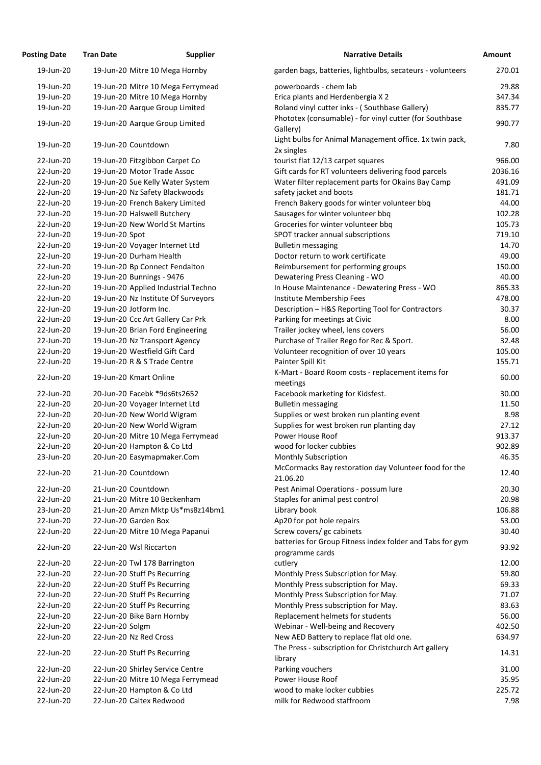| <b>Posting Date</b> | <b>Tran Date</b>        | <b>Supplier</b>                                              | <b>Narrative Details</b>                                               |  |
|---------------------|-------------------------|--------------------------------------------------------------|------------------------------------------------------------------------|--|
| 19-Jun-20           |                         | 19-Jun-20 Mitre 10 Mega Hornby                               | garden bags, batteries, lightbulbs, secateurs - volunteers             |  |
| 19-Jun-20           |                         | 19-Jun-20 Mitre 10 Mega Ferrymead                            | powerboards - chem lab                                                 |  |
| 19-Jun-20           |                         | 19-Jun-20 Mitre 10 Mega Hornby                               | Erica plants and Herdenbergia X 2                                      |  |
| 19-Jun-20           |                         | 19-Jun-20 Aarque Group Limited                               | Roland vinyl cutter inks - (Southbase Gallery)                         |  |
| 19-Jun-20           |                         | 19-Jun-20 Aarque Group Limited                               | Phototex (consumable) - for vinyl cutter (for Southbase<br>Gallery)    |  |
| 19-Jun-20           | 19-Jun-20 Countdown     |                                                              | Light bulbs for Animal Management office. 1x twin pack,<br>2x singles  |  |
| 22-Jun-20           |                         | 19-Jun-20 Fitzgibbon Carpet Co                               | tourist flat 12/13 carpet squares                                      |  |
| 22-Jun-20           |                         | 19-Jun-20 Motor Trade Assoc                                  | Gift cards for RT volunteers delivering food parcels                   |  |
| 22-Jun-20           |                         | 19-Jun-20 Sue Kelly Water System                             | Water filter replacement parts for Okains Bay Camp                     |  |
| 22-Jun-20           |                         | 19-Jun-20 Nz Safety Blackwoods                               | safety jacket and boots                                                |  |
| 22-Jun-20           |                         | 19-Jun-20 French Bakery Limited                              | French Bakery goods for winter volunteer bbq                           |  |
| 22-Jun-20           |                         | 19-Jun-20 Halswell Butchery                                  | Sausages for winter volunteer bbq                                      |  |
| 22-Jun-20           |                         | 19-Jun-20 New World St Martins                               | Groceries for winter volunteer bbq                                     |  |
| 22-Jun-20           | 19-Jun-20 Spot          |                                                              | SPOT tracker annual subscriptions                                      |  |
| 22-Jun-20           |                         | 19-Jun-20 Voyager Internet Ltd                               | <b>Bulletin messaging</b>                                              |  |
| 22-Jun-20           |                         | 19-Jun-20 Durham Health                                      | Doctor return to work certificate                                      |  |
| 22-Jun-20           |                         | 19-Jun-20 Bp Connect Fendalton                               | Reimbursement for performing groups                                    |  |
| 22-Jun-20           |                         | 19-Jun-20 Bunnings - 9476                                    | Dewatering Press Cleaning - WO                                         |  |
| 22-Jun-20           |                         | 19-Jun-20 Applied Industrial Techno                          | In House Maintenance - Dewatering Press - WO                           |  |
| 22-Jun-20           |                         | 19-Jun-20 Nz Institute Of Surveyors                          | Institute Membership Fees                                              |  |
| 22-Jun-20           | 19-Jun-20 Jotform Inc.  |                                                              | Description - H&S Reporting Tool for Contractors                       |  |
| 22-Jun-20           |                         | 19-Jun-20 Ccc Art Gallery Car Prk                            | Parking for meetings at Civic                                          |  |
| 22-Jun-20           |                         | 19-Jun-20 Brian Ford Engineering                             | Trailer jockey wheel, lens covers                                      |  |
| 22-Jun-20           |                         | 19-Jun-20 Nz Transport Agency                                | Purchase of Trailer Rego for Rec & Sport.                              |  |
| 22-Jun-20           |                         | 19-Jun-20 Westfield Gift Card                                | Volunteer recognition of over 10 years                                 |  |
| 22-Jun-20           |                         | 19-Jun-20 R & S Trade Centre                                 | Painter Spill Kit<br>K-Mart - Board Room costs - replacement items for |  |
| 22-Jun-20           | 19-Jun-20 Kmart Online  |                                                              | meetings                                                               |  |
| 22-Jun-20           |                         | 20-Jun-20 Facebk *9ds6ts2652                                 | Facebook marketing for Kidsfest.                                       |  |
| 22-Jun-20           |                         | 20-Jun-20 Voyager Internet Ltd                               | <b>Bulletin messaging</b>                                              |  |
| 22-Jun-20           |                         | 20-Jun-20 New World Wigram                                   | Supplies or west broken run planting event                             |  |
| 22-Jun-20           |                         | 20-Jun-20 New World Wigram                                   | Supplies for west broken run planting day                              |  |
| 22-Jun-20           |                         | 20-Jun-20 Mitre 10 Mega Ferrymead                            | Power House Roof                                                       |  |
| 22-Jun-20           |                         | 20-Jun-20 Hampton & Co Ltd                                   | wood for locker cubbies                                                |  |
| 23-Jun-20           |                         | 20-Jun-20 Easymapmaker.Com                                   | <b>Monthly Subscription</b>                                            |  |
| 22-Jun-20           | 21-Jun-20 Countdown     |                                                              | McCormacks Bay restoration day Volunteer food for the<br>21.06.20      |  |
| 22-Jun-20           | 21-Jun-20 Countdown     |                                                              | Pest Animal Operations - possum lure                                   |  |
| 22-Jun-20           |                         | 21-Jun-20 Mitre 10 Beckenham                                 | Staples for animal pest control                                        |  |
| 23-Jun-20           |                         | 21-Jun-20 Amzn Mktp Us*ms8z14bm1                             | Library book                                                           |  |
| 22-Jun-20           | 22-Jun-20 Garden Box    |                                                              | Ap20 for pot hole repairs                                              |  |
| 22-Jun-20           |                         | 22-Jun-20 Mitre 10 Mega Papanui                              | Screw covers/ gc cabinets                                              |  |
| 22-Jun-20           | 22-Jun-20 Wsl Riccarton |                                                              | batteries for Group Fitness index folder and Tabs for gym              |  |
| 22-Jun-20           |                         |                                                              | programme cards<br>cutlery                                             |  |
| 22-Jun-20           |                         | 22-Jun-20 Twl 178 Barrington<br>22-Jun-20 Stuff Ps Recurring | Monthly Press Subscription for May.                                    |  |
| 22-Jun-20           |                         | 22-Jun-20 Stuff Ps Recurring                                 | Monthly Press subscription for May.                                    |  |
| 22-Jun-20           |                         | 22-Jun-20 Stuff Ps Recurring                                 | Monthly Press Subscription for May.                                    |  |
| 22-Jun-20           |                         | 22-Jun-20 Stuff Ps Recurring                                 | Monthly Press subscription for May.                                    |  |
| 22-Jun-20           |                         | 22-Jun-20 Bike Barn Hornby                                   | Replacement helmets for students                                       |  |
| 22-Jun-20           | 22-Jun-20 Solgm         |                                                              | Webinar - Well-being and Recovery                                      |  |
| 22-Jun-20           | 22-Jun-20 Nz Red Cross  |                                                              | New AED Battery to replace flat old one.                               |  |
| 22-Jun-20           |                         | 22-Jun-20 Stuff Ps Recurring                                 | The Press - subscription for Christchurch Art gallery                  |  |
|                     |                         |                                                              | library                                                                |  |
| 22-Jun-20           |                         | 22-Jun-20 Shirley Service Centre                             | Parking vouchers                                                       |  |
| 22-Jun-20           |                         | 22-Jun-20 Mitre 10 Mega Ferrymead                            | Power House Roof                                                       |  |
| 22-Jun-20           |                         | 22-Jun-20 Hampton & Co Ltd                                   | wood to make locker cubbies                                            |  |
| 22-Jun-20           |                         | 22-Jun-20 Caltex Redwood                                     | milk for Redwood staffroom                                             |  |

| ing Date  | Tran Date       | Supplier                            | Narrative Details                                                                                 | <b>Amount</b> |
|-----------|-----------------|-------------------------------------|---------------------------------------------------------------------------------------------------|---------------|
| 19-Jun-20 |                 | 19-Jun-20 Mitre 10 Mega Hornby      | garden bags, batteries, lightbulbs, secateurs - volunteers                                        | 270.01        |
| 19-Jun-20 |                 | 19-Jun-20 Mitre 10 Mega Ferrymead   | powerboards - chem lab                                                                            | 29.88         |
| 19-Jun-20 |                 | 19-Jun-20 Mitre 10 Mega Hornby      | Erica plants and Herdenbergia X 2                                                                 | 347.34        |
| 19-Jun-20 |                 | 19-Jun-20 Aarque Group Limited      | Roland vinyl cutter inks - (Southbase Gallery)                                                    | 835.77        |
| 19-Jun-20 |                 | 19-Jun-20 Aarque Group Limited      | Phototex (consumable) - for vinyl cutter (for Southbase<br>Gallery)                               | 990.77        |
| 19-Jun-20 |                 | 19-Jun-20 Countdown                 | Light bulbs for Animal Management office. 1x twin pack,                                           | 7.80          |
| 22-Jun-20 |                 | 19-Jun-20 Fitzgibbon Carpet Co      | 2x singles<br>tourist flat 12/13 carpet squares                                                   | 966.00        |
| 22-Jun-20 |                 | 19-Jun-20 Motor Trade Assoc         | Gift cards for RT volunteers delivering food parcels                                              | 2036.16       |
| 22-Jun-20 |                 | 19-Jun-20 Sue Kelly Water System    | Water filter replacement parts for Okains Bay Camp                                                | 491.09        |
| 22-Jun-20 |                 | 19-Jun-20 Nz Safety Blackwoods      | safety jacket and boots                                                                           | 181.71        |
| 22-Jun-20 |                 | 19-Jun-20 French Bakery Limited     | French Bakery goods for winter volunteer bbq                                                      | 44.00         |
| 22-Jun-20 |                 | 19-Jun-20 Halswell Butchery         | Sausages for winter volunteer bbq                                                                 | 102.28        |
| 22-Jun-20 |                 | 19-Jun-20 New World St Martins      | Groceries for winter volunteer bbq                                                                | 105.73        |
| 22-Jun-20 | 19-Jun-20 Spot  |                                     | SPOT tracker annual subscriptions                                                                 | 719.10        |
| 22-Jun-20 |                 | 19-Jun-20 Voyager Internet Ltd      | <b>Bulletin messaging</b>                                                                         | 14.70         |
| 22-Jun-20 |                 | 19-Jun-20 Durham Health             | Doctor return to work certificate                                                                 | 49.00         |
| 22-Jun-20 |                 | 19-Jun-20 Bp Connect Fendalton      | Reimbursement for performing groups                                                               | 150.00        |
| 22-Jun-20 |                 | 19-Jun-20 Bunnings - 9476           | Dewatering Press Cleaning - WO                                                                    | 40.00         |
| 22-Jun-20 |                 | 19-Jun-20 Applied Industrial Techno | In House Maintenance - Dewatering Press - WO                                                      | 865.33        |
| 22-Jun-20 |                 | 19-Jun-20 Nz Institute Of Surveyors | Institute Membership Fees                                                                         | 478.00        |
| 22-Jun-20 |                 | 19-Jun-20 Jotform Inc.              | Description - H&S Reporting Tool for Contractors                                                  | 30.37         |
| 22-Jun-20 |                 | 19-Jun-20 Ccc Art Gallery Car Prk   | Parking for meetings at Civic                                                                     | 8.00          |
| 22-Jun-20 |                 | 19-Jun-20 Brian Ford Engineering    | Trailer jockey wheel, lens covers                                                                 | 56.00         |
| 22-Jun-20 |                 | 19-Jun-20 Nz Transport Agency       | Purchase of Trailer Rego for Rec & Sport.                                                         | 32.48         |
| 22-Jun-20 |                 | 19-Jun-20 Westfield Gift Card       | Volunteer recognition of over 10 years                                                            | 105.00        |
| 22-Jun-20 |                 | 19-Jun-20 R & S Trade Centre        | Painter Spill Kit                                                                                 | 155.71        |
| 22-Jun-20 |                 | 19-Jun-20 Kmart Online              | K-Mart - Board Room costs - replacement items for<br>meetings                                     | 60.00         |
| 22-Jun-20 |                 | 20-Jun-20 Facebk *9ds6ts2652        | Facebook marketing for Kidsfest.                                                                  | 30.00         |
| 22-Jun-20 |                 | 20-Jun-20 Voyager Internet Ltd      | <b>Bulletin messaging</b>                                                                         | 11.50         |
| 22-Jun-20 |                 | 20-Jun-20 New World Wigram          | Supplies or west broken run planting event                                                        | 8.98          |
| 22-Jun-20 |                 | 20-Jun-20 New World Wigram          | Supplies for west broken run planting day                                                         | 27.12         |
| 22-Jun-20 |                 | 20-Jun-20 Mitre 10 Mega Ferrymead   | Power House Roof                                                                                  | 913.37        |
| 22-Jun-20 |                 | 20-Jun-20 Hampton & Co Ltd          | wood for locker cubbies                                                                           | 902.89        |
| 23-Jun-20 |                 | 20-Jun-20 Easymapmaker.Com          | <b>Monthly Subscription</b>                                                                       | 46.35         |
| 22-Jun-20 |                 | 21-Jun-20 Countdown                 | McCormacks Bay restoration day Volunteer food for the<br>21.06.20                                 | 12.40         |
| 22-Jun-20 |                 | 21-Jun-20 Countdown                 | Pest Animal Operations - possum lure                                                              | 20.30         |
| 22-Jun-20 |                 | 21-Jun-20 Mitre 10 Beckenham        | Staples for animal pest control                                                                   | 20.98         |
| 23-Jun-20 |                 | 21-Jun-20 Amzn Mktp Us*ms8z14bm1    | Library book                                                                                      | 106.88        |
| 22-Jun-20 |                 | 22-Jun-20 Garden Box                | Ap20 for pot hole repairs                                                                         | 53.00         |
| 22-Jun-20 |                 | 22-Jun-20 Mitre 10 Mega Papanui     | Screw covers/ gc cabinets                                                                         | 30.40         |
| 22-Jun-20 |                 | 22-Jun-20 Wsl Riccarton             | batteries for Group Fitness index folder and Tabs for gym<br>programme cards                      | 93.92         |
| 22-Jun-20 |                 | 22-Jun-20 Twl 178 Barrington        | cutlery                                                                                           | 12.00         |
| 22-Jun-20 |                 | 22-Jun-20 Stuff Ps Recurring        | Monthly Press Subscription for May.                                                               | 59.80         |
| 22-Jun-20 |                 | 22-Jun-20 Stuff Ps Recurring        | Monthly Press subscription for May.                                                               | 69.33         |
| 22-Jun-20 |                 | 22-Jun-20 Stuff Ps Recurring        | Monthly Press Subscription for May.                                                               | 71.07         |
| 22-Jun-20 |                 | 22-Jun-20 Stuff Ps Recurring        | Monthly Press subscription for May.                                                               | 83.63         |
| 22-Jun-20 |                 | 22-Jun-20 Bike Barn Hornby          | Replacement helmets for students                                                                  | 56.00         |
| 22-Jun-20 | 22-Jun-20 Solgm |                                     | Webinar - Well-being and Recovery                                                                 | 402.50        |
| 22-Jun-20 |                 | 22-Jun-20 Nz Red Cross              | New AED Battery to replace flat old one.<br>The Press - subscription for Christchurch Art gallery | 634.97        |
| 22-Jun-20 |                 | 22-Jun-20 Stuff Ps Recurring        | library                                                                                           | 14.31         |
| 22-Jun-20 |                 | 22-Jun-20 Shirley Service Centre    | Parking vouchers                                                                                  | 31.00         |
| 22-Jun-20 |                 | 22-Jun-20 Mitre 10 Mega Ferrymead   | Power House Roof                                                                                  | 35.95         |
| 22-Jun-20 |                 | 22-Jun-20 Hampton & Co Ltd          | wood to make locker cubbies<br>milk for Redwood staffroom                                         | 225.72        |
| 22-Jun-20 |                 | 22-Jun-20 Caltex Redwood            |                                                                                                   | 7.98          |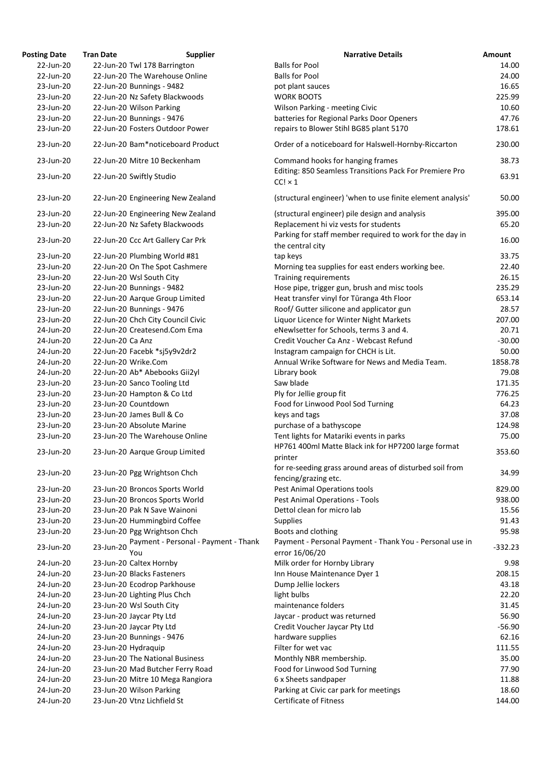| <b>Posting Date</b> | <b>Tran Date</b><br><b>Supplier</b>                      | <b>Narrative Details</b>                                                                        | Amount    |
|---------------------|----------------------------------------------------------|-------------------------------------------------------------------------------------------------|-----------|
| 22-Jun-20           | 22-Jun-20 Twl 178 Barrington                             | <b>Balls for Pool</b>                                                                           | 14.00     |
| 22-Jun-20           | 22-Jun-20 The Warehouse Online                           | <b>Balls for Pool</b>                                                                           | 24.00     |
| 23-Jun-20           | 22-Jun-20 Bunnings - 9482                                | pot plant sauces                                                                                | 16.65     |
| 23-Jun-20           | 22-Jun-20 Nz Safety Blackwoods                           | <b>WORK BOOTS</b>                                                                               | 225.99    |
| 23-Jun-20           | 22-Jun-20 Wilson Parking                                 | Wilson Parking - meeting Civic                                                                  | 10.60     |
| 23-Jun-20           | 22-Jun-20 Bunnings - 9476                                | batteries for Regional Parks Door Openers                                                       | 47.76     |
| 23-Jun-20           | 22-Jun-20 Fosters Outdoor Power                          | repairs to Blower Stihl BG85 plant 5170                                                         | 178.61    |
| 23-Jun-20           | 22-Jun-20 Bam*noticeboard Product                        | Order of a noticeboard for Halswell-Hornby-Riccarton                                            | 230.00    |
| 23-Jun-20           | 22-Jun-20 Mitre 10 Beckenham                             | Command hooks for hanging frames                                                                | 38.73     |
| 23-Jun-20           | 22-Jun-20 Swiftly Studio                                 | Editing: 850 Seamless Transitions Pack For Premiere Pro                                         | 63.91     |
|                     |                                                          | $CC! \times 1$                                                                                  |           |
| 23-Jun-20           | 22-Jun-20 Engineering New Zealand                        | (structural engineer) 'when to use finite element analysis'                                     | 50.00     |
| 23-Jun-20           | 22-Jun-20 Engineering New Zealand                        | (structural engineer) pile design and analysis                                                  | 395.00    |
| 23-Jun-20           | 22-Jun-20 Nz Safety Blackwoods                           | Replacement hi viz vests for students                                                           | 65.20     |
| 23-Jun-20           | 22-Jun-20 Ccc Art Gallery Car Prk                        | Parking for staff member required to work for the day in<br>the central city                    | 16.00     |
| 23-Jun-20           | 22-Jun-20 Plumbing World #81                             | tap keys                                                                                        | 33.75     |
| 23-Jun-20           | 22-Jun-20 On The Spot Cashmere                           | Morning tea supplies for east enders working bee.                                               | 22.40     |
| 23-Jun-20           | 22-Jun-20 Wsl South City                                 | Training requirements                                                                           | 26.15     |
| 23-Jun-20           | 22-Jun-20 Bunnings - 9482                                | Hose pipe, trigger gun, brush and misc tools                                                    | 235.29    |
| 23-Jun-20           | 22-Jun-20 Aarque Group Limited                           | Heat transfer vinyl for Tūranga 4th Floor                                                       | 653.14    |
| 23-Jun-20           | 22-Jun-20 Bunnings - 9476                                | Roof/ Gutter silicone and applicator gun                                                        | 28.57     |
| 23-Jun-20           | 22-Jun-20 Chch City Council Civic                        | Liquor Licence for Winter Night Markets                                                         | 207.00    |
| 24-Jun-20           | 22-Jun-20 Createsend.Com Ema                             | eNewlsetter for Schools, terms 3 and 4.                                                         | 20.71     |
| 24-Jun-20           | 22-Jun-20 Ca Anz                                         | Credit Voucher Ca Anz - Webcast Refund                                                          | $-30.00$  |
| 24-Jun-20           |                                                          | Instagram campaign for CHCH is Lit.                                                             | 50.00     |
| 24-Jun-20           | 22-Jun-20 Facebk *sj5y9v2dr2<br>22-Jun-20 Wrike.Com      | Annual Wrike Software for News and Media Team.                                                  | 1858.78   |
| 24-Jun-20           | 22-Jun-20 Ab* Abebooks Gii2yl                            | Library book                                                                                    | 79.08     |
|                     |                                                          | Saw blade                                                                                       | 171.35    |
| 23-Jun-20           | 23-Jun-20 Sanco Tooling Ltd                              |                                                                                                 |           |
| 23-Jun-20           | 23-Jun-20 Hampton & Co Ltd                               | Ply for Jellie group fit                                                                        | 776.25    |
| 23-Jun-20           | 23-Jun-20 Countdown                                      | Food for Linwood Pool Sod Turning                                                               | 64.23     |
| 23-Jun-20           | 23-Jun-20 James Bull & Co                                | keys and tags                                                                                   | 37.08     |
| 23-Jun-20           | 23-Jun-20 Absolute Marine                                | purchase of a bathyscope                                                                        | 124.98    |
| 23-Jun-20           | 23-Jun-20 The Warehouse Online                           | Tent lights for Matariki events in parks<br>HP761 400ml Matte Black ink for HP7200 large format | 75.00     |
| 23-Jun-20           | 23-Jun-20 Aarque Group Limited                           | printer                                                                                         | 353.60    |
| 23-Jun-20           | 23-Jun-20 Pgg Wrightson Chch                             | for re-seeding grass around areas of disturbed soil from                                        | 34.99     |
|                     |                                                          | fencing/grazing etc.                                                                            |           |
| 23-Jun-20           | 23-Jun-20 Broncos Sports World                           | Pest Animal Operations tools                                                                    | 829.00    |
| 23-Jun-20           | 23-Jun-20 Broncos Sports World                           | Pest Animal Operations - Tools                                                                  | 938.00    |
| 23-Jun-20           | 23-Jun-20 Pak N Save Wainoni                             | Dettol clean for micro lab                                                                      | 15.56     |
| 23-Jun-20           | 23-Jun-20 Hummingbird Coffee                             | <b>Supplies</b>                                                                                 | 91.43     |
| 23-Jun-20           | 23-Jun-20 Pgg Wrightson Chch                             | Boots and clothing                                                                              | 95.98     |
| 23-Jun-20           | Payment - Personal - Payment - Thank<br>23-Jun-20<br>You | Payment - Personal Payment - Thank You - Personal use in<br>error 16/06/20                      | $-332.23$ |
| 24-Jun-20           | 23-Jun-20 Caltex Hornby                                  | Milk order for Hornby Library                                                                   | 9.98      |
| 24-Jun-20           | 23-Jun-20 Blacks Fasteners                               | Inn House Maintenance Dyer 1                                                                    | 208.15    |
| 24-Jun-20           | 23-Jun-20 Ecodrop Parkhouse                              | Dump Jellie lockers                                                                             | 43.18     |
| 24-Jun-20           | 23-Jun-20 Lighting Plus Chch                             | light bulbs                                                                                     | 22.20     |
| 24-Jun-20           | 23-Jun-20 Wsl South City                                 | maintenance folders                                                                             | 31.45     |
| 24-Jun-20           | 23-Jun-20 Jaycar Pty Ltd                                 | Jaycar - product was returned                                                                   | 56.90     |
| 24-Jun-20           | 23-Jun-20 Jaycar Pty Ltd                                 | Credit Voucher Jaycar Pty Ltd                                                                   | $-56.90$  |
| 24-Jun-20           | 23-Jun-20 Bunnings - 9476                                | hardware supplies                                                                               | 62.16     |
| 24-Jun-20           | 23-Jun-20 Hydraquip                                      | Filter for wet vac                                                                              | 111.55    |
| 24-Jun-20           | 23-Jun-20 The National Business                          | Monthly NBR membership.                                                                         | 35.00     |
| 24-Jun-20           | 23-Jun-20 Mad Butcher Ferry Road                         | Food for Linwood Sod Turning                                                                    | 77.90     |
| 24-Jun-20           | 23-Jun-20 Mitre 10 Mega Rangiora                         | 6 x Sheets sandpaper                                                                            | 11.88     |
| 24-Jun-20           | 23-Jun-20 Wilson Parking                                 | Parking at Civic car park for meetings                                                          | 18.60     |
| 24-Jun-20           | 23-Jun-20 Vtnz Lichfield St                              | <b>Certificate of Fitness</b>                                                                   | 144.00    |
|                     |                                                          |                                                                                                 |           |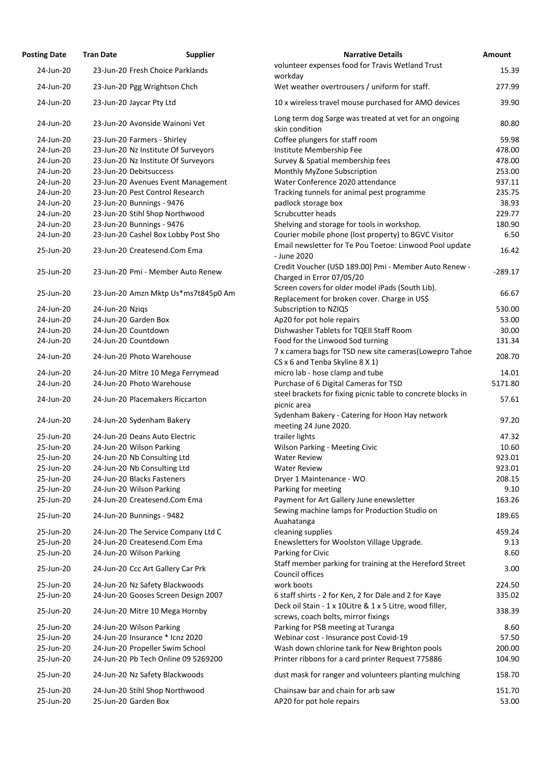| <b>Posting Date</b>    | <b>Tran Date</b>           | <b>Supplier</b>                                                     | <b>Narrative Details</b>                                                                        | Amount       |
|------------------------|----------------------------|---------------------------------------------------------------------|-------------------------------------------------------------------------------------------------|--------------|
| 24-Jun-20              |                            | 23-Jun-20 Fresh Choice Parklands                                    | volunteer expenses food for Travis Wetland Trust                                                | 15.39        |
| 24-Jun-20              |                            |                                                                     | workday<br>Wet weather overtrousers / uniform for staff.                                        | 277.99       |
|                        |                            | 23-Jun-20 Pgg Wrightson Chch                                        |                                                                                                 |              |
| 24-Jun-20              | 23-Jun-20 Jaycar Pty Ltd   |                                                                     | 10 x wireless travel mouse purchased for AMO devices                                            | 39.90        |
| 24-Jun-20              |                            | 23-Jun-20 Avonside Wainoni Vet                                      | Long term dog Sarge was treated at vet for an ongoing<br>skin condition                         | 80.80        |
| 24-Jun-20              |                            | 23-Jun-20 Farmers - Shirley                                         | Coffee plungers for staff room                                                                  | 59.98        |
| 24-Jun-20              |                            | 23-Jun-20 Nz Institute Of Surveyors                                 | Institute Membership Fee                                                                        | 478.00       |
| 24-Jun-20              |                            | 23-Jun-20 Nz Institute Of Surveyors                                 |                                                                                                 | 478.00       |
|                        |                            |                                                                     | Survey & Spatial membership fees                                                                |              |
| 24-Jun-20              | 23-Jun-20 Debitsuccess     |                                                                     | Monthly MyZone Subscription                                                                     | 253.00       |
| 24-Jun-20              |                            | 23-Jun-20 Avenues Event Management                                  | Water Conference 2020 attendance                                                                | 937.11       |
| 24-Jun-20              |                            | 23-Jun-20 Pest Control Research                                     | Tracking tunnels for animal pest programme                                                      | 235.75       |
| 24-Jun-20              | 23-Jun-20 Bunnings - 9476  |                                                                     | padlock storage box                                                                             | 38.93        |
| 24-Jun-20              |                            | 23-Jun-20 Stihl Shop Northwood                                      | Scrubcutter heads                                                                               | 229.77       |
| 24-Jun-20              | 23-Jun-20 Bunnings - 9476  |                                                                     | Shelving and storage for tools in workshop.                                                     | 180.90       |
| 24-Jun-20              |                            | 23-Jun-20 Cashel Box Lobby Post Sho                                 | Courier mobile phone (lost property) to BGVC Visitor                                            | 6.50         |
| 25-Jun-20              |                            | 23-Jun-20 Createsend.Com Ema                                        | Email newsletter for Te Pou Toetoe: Linwood Pool update<br>- June 2020                          | 16.42        |
| 25-Jun-20              |                            | 23-Jun-20 Pmi - Member Auto Renew                                   | Credit Voucher (USD 189.00) Pmi - Member Auto Renew -<br>Charged in Error 07/05/20              | $-289.17$    |
|                        |                            |                                                                     | Screen covers for older model iPads (South Lib).                                                |              |
| 25-Jun-20              |                            | 23-Jun-20 Amzn Mktp Us*ms7t845p0 Am                                 | Replacement for broken cover. Charge in US\$                                                    | 66.67        |
| 24-Jun-20              | 24-Jun-20 Nziqs            |                                                                     | Subscription to NZIQS                                                                           | 530.00       |
| 24-Jun-20              | 24-Jun-20 Garden Box       |                                                                     | Ap20 for pot hole repairs                                                                       | 53.00        |
| 24-Jun-20              | 24-Jun-20 Countdown        |                                                                     | Dishwasher Tablets for TQEII Staff Room                                                         | 30.00        |
| 24-Jun-20              | 24-Jun-20 Countdown        |                                                                     | Food for the Linwood Sod turning                                                                | 131.34       |
| 24-Jun-20              |                            | 24-Jun-20 Photo Warehouse                                           | 7 x camera bags for TSD new site cameras(Lowepro Tahoe                                          | 208.70       |
|                        |                            |                                                                     | CS x 6 and Tenba Skyline 8 X 1)                                                                 |              |
| 24-Jun-20              |                            | 24-Jun-20 Mitre 10 Mega Ferrymead                                   | micro lab - hose clamp and tube                                                                 | 14.01        |
| 24-Jun-20              |                            | 24-Jun-20 Photo Warehouse                                           | Purchase of 6 Digital Cameras for TSD                                                           | 5171.80      |
| 24-Jun-20              |                            | 24-Jun-20 Placemakers Riccarton                                     | steel brackets for fixing picnic table to concrete blocks in<br>picnic area                     | 57.61        |
| 24-Jun-20              |                            | 24-Jun-20 Sydenham Bakery                                           | Sydenham Bakery - Catering for Hoon Hay network<br>meeting 24 June 2020.                        | 97.20        |
| 25-Jun-20              |                            | 24-Jun-20 Deans Auto Electric                                       | trailer lights                                                                                  | 47.32        |
| 25-Jun-20              | 24-Jun-20 Wilson Parking   |                                                                     | <b>Wilson Parking - Meeting Civic</b>                                                           | 10.60        |
| 25-Jun-20              |                            | 24-Jun-20 Nb Consulting Ltd                                         | <b>Water Review</b>                                                                             | 923.01       |
| 25-Jun-20              |                            | 24-Jun-20 Nb Consulting Ltd                                         | <b>Water Review</b>                                                                             | 923.01       |
| 25-Jun-20              | 24-Jun-20 Blacks Fasteners |                                                                     | Dryer 1 Maintenance - WO                                                                        | 208.15       |
| 25-Jun-20              | 24-Jun-20 Wilson Parking   |                                                                     | Parking for meeting                                                                             | 9.10         |
| 25-Jun-20              |                            | 24-Jun-20 Createsend.Com Ema                                        | Payment for Art Gallery June enewsletter                                                        | 163.26       |
| 25-Jun-20              | 24-Jun-20 Bunnings - 9482  |                                                                     | Sewing machine lamps for Production Studio on                                                   | 189.65       |
| 25-Jun-20              |                            |                                                                     | Auahatanga                                                                                      | 459.24       |
| 25-Jun-20              |                            | 24-Jun-20 The Service Company Ltd C<br>24-Jun-20 Createsend.Com Ema | cleaning supplies                                                                               | 9.13         |
|                        |                            |                                                                     | Enewsletters for Woolston Village Upgrade.                                                      |              |
| 25-Jun-20<br>25-Jun-20 | 24-Jun-20 Wilson Parking   | 24-Jun-20 Ccc Art Gallery Car Prk                                   | Parking for Civic<br>Staff member parking for training at the Hereford Street                   | 8.60<br>3.00 |
|                        |                            |                                                                     | Council offices                                                                                 |              |
| 25-Jun-20              |                            | 24-Jun-20 Nz Safety Blackwoods                                      | work boots                                                                                      | 224.50       |
| 25-Jun-20              |                            | 24-Jun-20 Gooses Screen Design 2007                                 | 6 staff shirts - 2 for Ken, 2 for Dale and 2 for Kaye                                           | 335.02       |
| 25-Jun-20              |                            | 24-Jun-20 Mitre 10 Mega Hornby                                      | Deck oil Stain - 1 x 10Litre & 1 x 5 Litre, wood filler,<br>screws, coach bolts, mirror fixings | 338.39       |
| 25-Jun-20              | 24-Jun-20 Wilson Parking   |                                                                     | Parking for PSB meeting at Turanga                                                              | 8.60         |
| 25-Jun-20              |                            | 24-Jun-20 Insurance * Icnz 2020                                     | Webinar cost - Insurance post Covid-19                                                          | 57.50        |
| 25-Jun-20              |                            | 24-Jun-20 Propeller Swim School                                     | Wash down chlorine tank for New Brighton pools                                                  | 200.00       |
| 25-Jun-20              |                            | 24-Jun-20 Pb Tech Online 09 5269200                                 | Printer ribbons for a card printer Request 775886                                               | 104.90       |
| 25-Jun-20              |                            | 24-Jun-20 Nz Safety Blackwoods                                      | dust mask for ranger and volunteers planting mulching                                           | 158.70       |
| 25-Jun-20              |                            | 24-Jun-20 Stihl Shop Northwood                                      | Chainsaw bar and chain for arb saw                                                              | 151.70       |
| 25-Jun-20              | 25-Jun-20 Garden Box       |                                                                     | AP20 for pot hole repairs                                                                       | 53.00        |
|                        |                            |                                                                     |                                                                                                 |              |